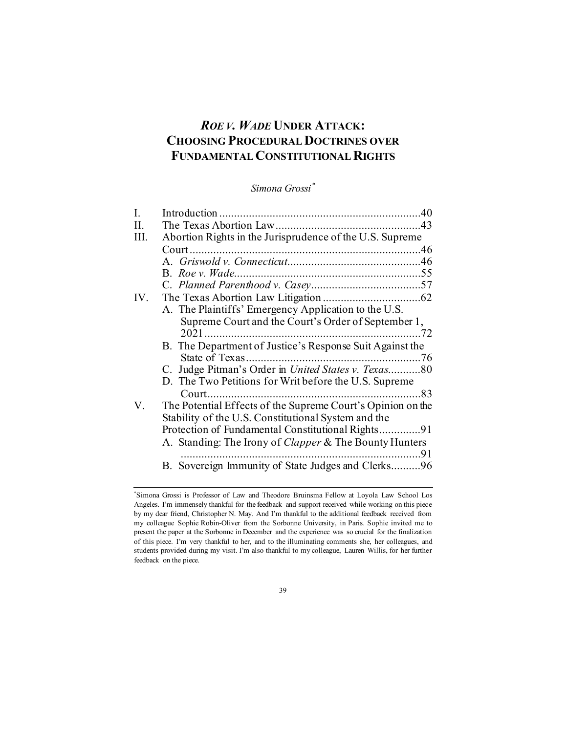# *ROE V. WADE* **UNDER ATTACK: CHOOSING PROCEDURAL DOCTRINES OVER FUNDAMENTAL CONSTITUTIONAL RIGHTS**

*Simona Grossi[\\*](#page-0-0)*

| I. |                                                                   |  |
|----|-------------------------------------------------------------------|--|
| H. |                                                                   |  |
| Ш. | Abortion Rights in the Jurisprudence of the U.S. Supreme          |  |
|    |                                                                   |  |
|    |                                                                   |  |
|    |                                                                   |  |
|    |                                                                   |  |
|    |                                                                   |  |
|    | A. The Plaintiffs' Emergency Application to the U.S.              |  |
|    | Supreme Court and the Court's Order of September 1,               |  |
|    |                                                                   |  |
|    | B. The Department of Justice's Response Suit Against the          |  |
|    |                                                                   |  |
|    | C. Judge Pitman's Order in United States v. Texas80               |  |
|    | D. The Two Petitions for Writ before the U.S. Supreme             |  |
|    |                                                                   |  |
| V. | The Potential Effects of the Supreme Court's Opinion on the       |  |
|    | Stability of the U.S. Constitutional System and the               |  |
|    | Protection of Fundamental Constitutional Rights91                 |  |
|    | A. Standing: The Irony of <i>Clapper &amp;</i> The Bounty Hunters |  |
|    |                                                                   |  |
|    | B. Sovereign Immunity of State Judges and Clerks96                |  |
|    |                                                                   |  |

<span id="page-0-0"></span><sup>\*</sup> Simona Grossi is Professor of Law and Theodore Bruinsma Fellow at Loyola Law School Los Angeles. I'm immensely thankful for the feedback and support received while working on this piece by my dear friend, Christopher N. May. And I'm thankful to the additional feedback received from my colleague Sophie Robin-Oliver from the Sorbonne University, in Paris. Sophie invited me to present the paper at the Sorbonne in December and the experience was so crucial for the finalization of this piece. I'm very thankful to her, and to the illuminating comments she, her colleagues, and students provided during my visit. I'm also thankful to my colleague, Lauren Willis, for her further feedback on the piece.

<sup>39</sup>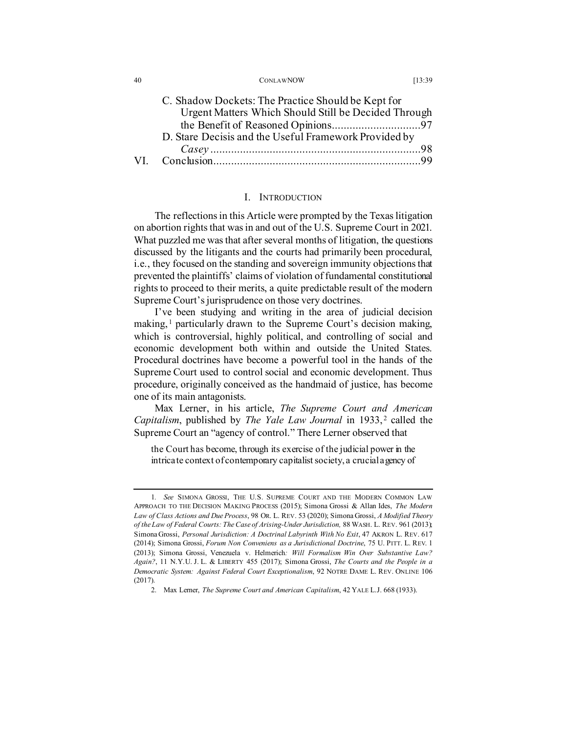| 40 | <b>CONLAWNOW</b>                                      | [13:39] |
|----|-------------------------------------------------------|---------|
|    | C. Shadow Dockets: The Practice Should be Kept for    |         |
|    | Urgent Matters Which Should Still be Decided Through  |         |
|    |                                                       |         |
|    | D. Stare Decisis and the Useful Framework Provided by |         |
|    |                                                       |         |
|    |                                                       |         |

## I. INTRODUCTION

The reflections in this Article were prompted by the Texas litigation on abortion rights that was in and out of the U.S. Supreme Court in 2021. What puzzled me was that after several months of litigation, the questions discussed by the litigants and the courts had primarily been procedural, i.e., they focused on the standing and sovereign immunity objections that prevented the plaintiffs' claims of violation of fundamental constitutional rights to proceed to their merits, a quite predictable result of the modern Supreme Court's jurisprudence on those very doctrines.

I've been studying and writing in the area of judicial decision making,<sup>[1](#page-1-0)</sup> particularly drawn to the Supreme Court's decision making, which is controversial, highly political, and controlling of social and economic development both within and outside the United States. Procedural doctrines have become a powerful tool in the hands of the Supreme Court used to control social and economic development. Thus procedure, originally conceived as the handmaid of justice, has become one of its main antagonists.

Max Lerner, in his article, *The Supreme Court and American Capitalism*, published by *The Yale Law Journal* in 1933, [2](#page-1-1) called the Supreme Court an "agency of control." There Lerner observed that

the Court has become, through its exercise of the judicial power in the intricate context of contemporary capitalist society, a crucial agency of

<span id="page-1-0"></span><sup>1</sup>*. See* SIMONA GROSSI, THE U.S. SUPREME COURT AND THE MODERN COMMON LAW APPROACH TO THE DECISION MAKING PROCESS (2015); Simona Grossi & Allan Ides, *The Modern Law of Class Actions and Due Process*, 98 OR. L. REV. 53 (2020); Simona Grossi, *A Modified Theory of the Law of Federal Courts: The Case of Arising-Under Jurisdiction,* 88 WASH. L. REV. 961 (2013); Simona Grossi, *Personal Jurisdiction: A Doctrinal Labyrinth With No Exit*, 47 AKRON L. REV. 617 (2014); Simona Grossi, *Forum Non Conveniens as a Jurisdictional Doctrine*, 75 U. PITT. L. REV. 1 (2013); Simona Grossi, Venezuela v. Helmerich*: Will Formalism Win Over Substantive Law? Again?*, 11 N.Y.U. J. L. & LIBERTY 455 (2017); Simona Grossi, *The Courts and the People in a Democratic System: Against Federal Court Exceptionalism*, 92 NOTRE DAME L. REV. ONLINE 106 (2017).

<span id="page-1-1"></span><sup>2.</sup> Max Lerner, *The Supreme Court and American Capitalism*, 42 YALE L.J. 668 (1933).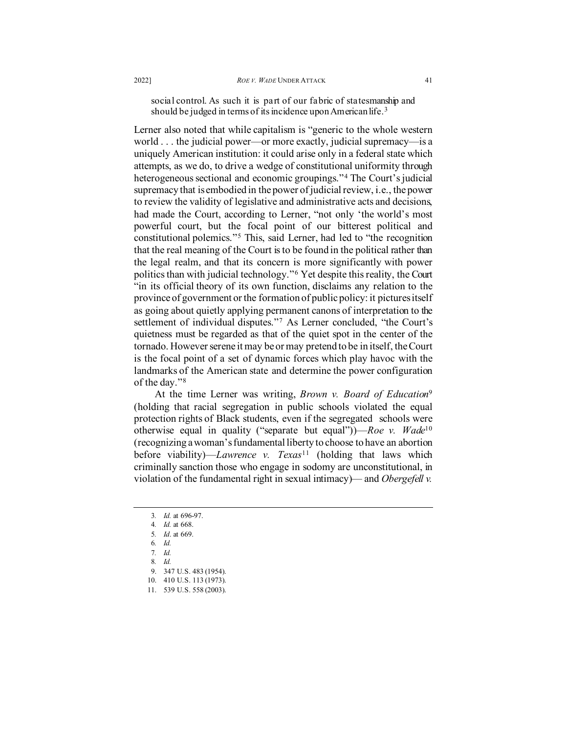social control. As such it is part of our fabric of statesmanship and should be judged in terms of its incidence upon American life.<sup>[3](#page-2-0)</sup>

Lerner also noted that while capitalism is "generic to the whole western world . . . the judicial power—or more exactly, judicial supremacy—is a uniquely American institution: it could arise only in a federal state which attempts, as we do, to drive a wedge of constitutional uniformity through heterogeneous sectional and economic groupings."[4](#page-2-1) The Court's judicial supremacy that is embodied in the power of judicial review, i.e., the power to review the validity of legislative and administrative acts and decisions, had made the Court, according to Lerner, "not only 'the world's most powerful court, but the focal point of our bitterest political and constitutional polemics."[5](#page-2-2) This, said Lerner, had led to "the recognition that the real meaning of the Court is to be found in the political rather than the legal realm, and that its concern is more significantly with power politics than with judicial technology."[6](#page-2-3) Yet despite this reality, the Court "in its official theory of its own function, disclaims any relation to the province of government or the formation of public policy: it pictures itself as going about quietly applying permanent canons of interpretation to the settlement of individual disputes."<sup>[7](#page-2-4)</sup> As Lerner concluded, "the Court's quietness must be regarded as that of the quiet spot in the center of the tornado. However serene it may be or may pretend to be in itself, the Court is the focal point of a set of dynamic forces which play havoc with the landmarks of the American state and determine the power configuration of the day."[8](#page-2-5)

At the time Lerner was writing, *Brown v. Board of Education*[9](#page-2-6) (holding that racial segregation in public schools violated the equal protection rights of Black students, even if the segregated schools were otherwise equal in quality ("separate but equal"))—*Roe v. Wade*[10](#page-2-7) (recognizing a woman's fundamental liberty to choose to have an abortion before viability)—*Lawrence v. Texas*[11](#page-2-8) (holding that laws which criminally sanction those who engage in sodomy are unconstitutional, in violation of the fundamental right in sexual intimacy)— and *Obergefell v.* 

3*. Id.* at 696-97.

- 7*. Id.*
- 8*. Id.*

<sup>4</sup>*. Id.* at 668.

<span id="page-2-4"></span><span id="page-2-3"></span><span id="page-2-2"></span><span id="page-2-1"></span><span id="page-2-0"></span><sup>5</sup>*. Id*. at 669.

<sup>6</sup>*. Id.*

<sup>9.</sup> 347 U.S. 483 (1954).

<span id="page-2-7"></span><span id="page-2-6"></span><span id="page-2-5"></span><sup>10.</sup> 410 U.S. 113 (1973).

<span id="page-2-8"></span><sup>11.</sup> 539 U.S. 558 (2003).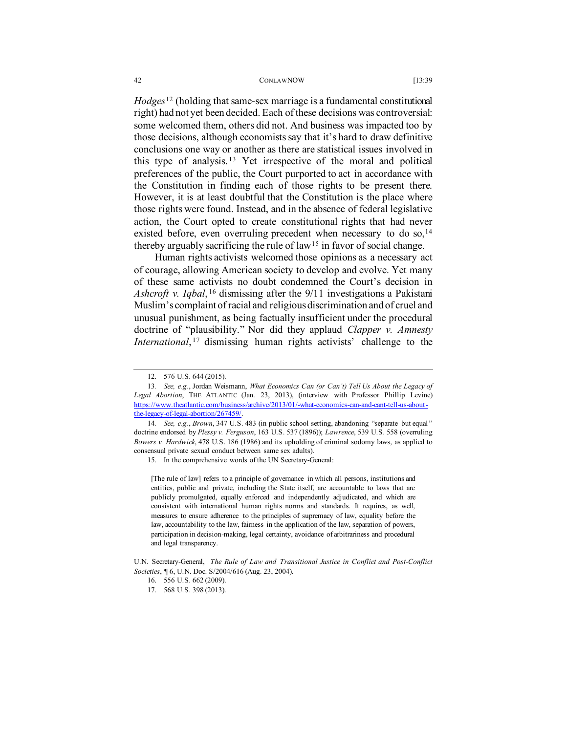*Hodges*[12](#page-3-0) (holding that same-sex marriage is a fundamental constitutional right) had not yet been decided. Each of these decisions was controversial: some welcomed them, others did not. And business was impacted too by those decisions, although economists say that it's hard to draw definitive conclusions one way or another as there are statistical issues involved in this type of analysis. [13](#page-3-1) Yet irrespective of the moral and political preferences of the public, the Court purported to act in accordance with the Constitution in finding each of those rights to be present there. However, it is at least doubtful that the Constitution is the place where those rights were found. Instead, and in the absence of federal legislative action, the Court opted to create constitutional rights that had never existed before, even overruling precedent when necessary to do so,  $14$ thereby arguably sacrificing the rule of law<sup>[15](#page-3-3)</sup> in favor of social change.

Human rights activists welcomed those opinions as a necessary act of courage, allowing American society to develop and evolve. Yet many of these same activists no doubt condemned the Court's decision in *Ashcroft v. Iqbal*, [16](#page-3-4) dismissing after the 9/11 investigations a Pakistani Muslim's complaint of racial and religious discrimination and of cruel and unusual punishment, as being factually insufficient under the procedural doctrine of "plausibility." Nor did they applaud *Clapper v. Amnesty International*, [17](#page-3-5) dismissing human rights activists' challenge to the

15. In the comprehensive words of the UN Secretary-General:

[The rule of law] refers to a principle of governance in which all persons, institutions and entities, public and private, including the State itself, are accountable to laws that are publicly promulgated, equally enforced and independently adjudicated, and which are consistent with international human rights norms and standards. It requires, as well, measures to ensure adherence to the principles of supremacy of law, equality before the law, accountability to the law, fairness in the application of the law, separation of powers, participation in decision-making, legal certainty, avoidance of arbitrariness and procedural and legal transparency.

<span id="page-3-5"></span><span id="page-3-4"></span>U.N. Secretary-General, *The Rule of Law and Transitional Justice in Conflict and Post-Conflict Societies*, ¶ 6, U.N. Doc. S/2004/616 (Aug. 23, 2004).

<sup>12.</sup> 576 U.S. 644 (2015).

<span id="page-3-1"></span><span id="page-3-0"></span><sup>13</sup>*. See, e.g.*, Jordan Weismann, *What Economics Can (or Can't) Tell Us About the Legacy of Legal Abortion*, THE ATLANTIC (Jan. 23, 2013), (interview with Professor Phillip Levine) [https://www.theatlantic.com/business/archive/2013/01/-what-economics-can-and-cant-tell-us-about](https://www.theatlantic.com/business/archive/2013/01/-what-economics-can-and-cant-tell-us-about-the-legacy-of-legal-abortion/267459/)[the-legacy-of-legal-abortion/267459/.](https://www.theatlantic.com/business/archive/2013/01/-what-economics-can-and-cant-tell-us-about-the-legacy-of-legal-abortion/267459/) 

<span id="page-3-3"></span><span id="page-3-2"></span><sup>14</sup>*. See, e.g.*, *Brown*, 347 U.S. 483 (in public school setting, abandoning "separate but equal " doctrine endorsed by *Plessy v. Ferguson*, 163 U.S. 537 (1896)); *Lawrence*, 539 U.S. 558 (overruling *Bowers v. Hardwick*, 478 U.S. 186 (1986) and its upholding of criminal sodomy laws, as applied to consensual private sexual conduct between same sex adults).

<sup>16.</sup> 556 U.S. 662 (2009).

<sup>17.</sup> 568 U.S. 398 (2013).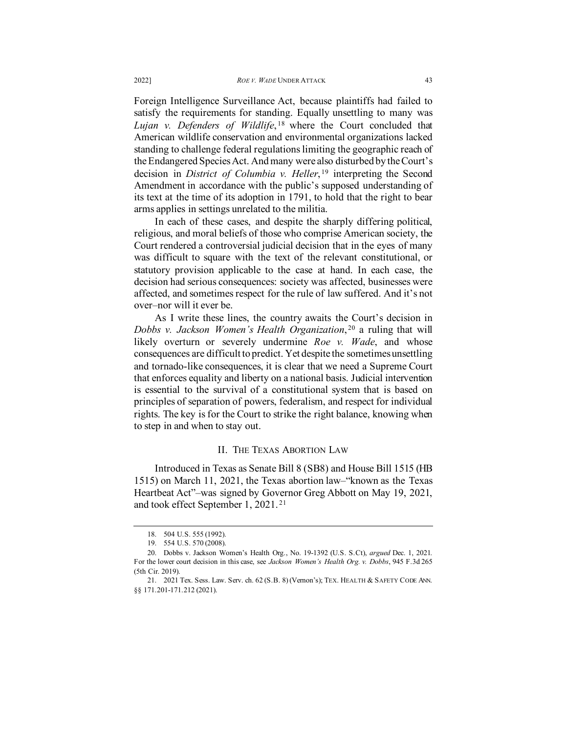Foreign Intelligence Surveillance Act, because plaintiffs had failed to satisfy the requirements for standing. Equally unsettling to many was *Lujan v. Defenders of Wildlife*, [18](#page-4-0) where the Court concluded that American wildlife conservation and environmental organizations lacked standing to challenge federal regulations limiting the geographic reach of the Endangered Species Act. And many were also disturbed by the Court's decision in *District of Columbia v. Heller*, [19](#page-4-1) interpreting the Second Amendment in accordance with the public's supposed understanding of its text at the time of its adoption in 1791, to hold that the right to bear arms applies in settings unrelated to the militia.

In each of these cases, and despite the sharply differing political, religious, and moral beliefs of those who comprise American society, the Court rendered a controversial judicial decision that in the eyes of many was difficult to square with the text of the relevant constitutional, or statutory provision applicable to the case at hand. In each case, the decision had serious consequences: society was affected, businesses were affected, and sometimes respect for the rule of law suffered. And it's not over–nor will it ever be.

As I write these lines, the country awaits the Court's decision in *Dobbs v. Jackson Women's Health Organization*,<sup>[20](#page-4-2)</sup> a ruling that will likely overturn or severely undermine *Roe v. Wade*, and whose consequences are difficult to predict. Yet despite the sometimes unsettling and tornado-like consequences, it is clear that we need a Supreme Court that enforces equality and liberty on a national basis. Judicial intervention is essential to the survival of a constitutional system that is based on principles of separation of powers, federalism, and respect for individual rights. The key is for the Court to strike the right balance, knowing when to step in and when to stay out.

## II. THE TEXAS ABORTION LAW

Introduced in Texas as Senate Bill 8 (SB8) and House Bill 1515 (HB 1515) on March 11, 2021, the Texas abortion law–"known as the Texas Heartbeat Act"–was signed by Governor Greg Abbott on May 19, 2021, and took effect September 1, 2021. [21](#page-4-3)

<sup>18.</sup> 504 U.S. 555 (1992).

<sup>19.</sup> 554 U.S. 570 (2008).

<span id="page-4-2"></span><span id="page-4-1"></span><span id="page-4-0"></span><sup>20.</sup> Dobbs v. Jackson Women's Health Org., No. 19-1392 (U.S. S.Ct), *argued* Dec. 1, 2021. For the lower court decision in this case, see *Jackson Women's Health Org. v. Dobbs*, 945 F.3d 265 (5th Cir. 2019).

<span id="page-4-3"></span><sup>21.</sup> 2021 Tex. Sess. Law. Serv. ch. 62 (S.B. 8) (Vernon's); TEX. HEALTH & SAFETY CODE ANN. §§ 171.201-171.212 (2021).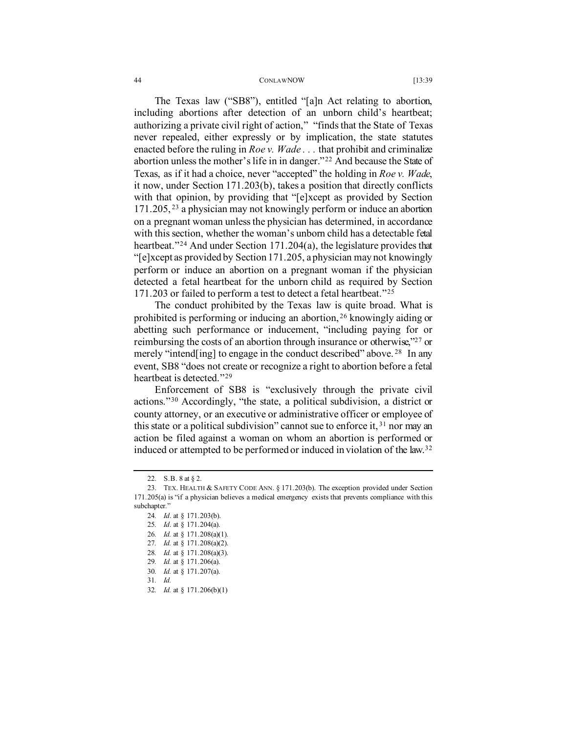The Texas law ("SB8"), entitled "[a]n Act relating to abortion, including abortions after detection of an unborn child's heartbeat; authorizing a private civil right of action," "finds that the State of Texas never repealed, either expressly or by implication, the state statutes enacted before the ruling in *Roe v. Wade . . .* that prohibit and criminalize abortion unless the mother's life in in danger."[22](#page-5-0) And because the State of Texas, as if it had a choice, never "accepted" the holding in *Roe v. Wade*, it now, under Section 171.203(b), takes a position that directly conflicts with that opinion, by providing that "[e]xcept as provided by Section 171.205, [23](#page-5-1) a physician may not knowingly perform or induce an abortion on a pregnant woman unless the physician has determined, in accordance with this section, whether the woman's unborn child has a detectable fetal heartbeat."<sup>[24](#page-5-2)</sup> And under Section 171.204(a), the legislature provides that "[e]xcept as provided by Section 171.205, a physician may not knowingly perform or induce an abortion on a pregnant woman if the physician detected a fetal heartbeat for the unborn child as required by Section 171.203 or failed to perform a test to detect a fetal heartbeat."[25](#page-5-3)

The conduct prohibited by the Texas law is quite broad. What is prohibited is performing or inducing an abortion, [26](#page-5-4) knowingly aiding or abetting such performance or inducement, "including paying for or reimbursing the costs of an abortion through insurance or otherwise,["27](#page-5-5) or merely "intend[ing] to engage in the conduct described" above.<sup>[28](#page-5-6)</sup> In any event, SB8 "does not create or recognize a right to abortion before a fetal heartbeat is detected."[29](#page-5-7)

Enforcement of SB8 is "exclusively through the private civil actions."[30](#page-5-8) Accordingly, "the state, a political subdivision, a district or county attorney, or an executive or administrative officer or employee of this state or a political subdivision" cannot sue to enforce it, [31](#page-5-9) nor may an action be filed against a woman on whom an abortion is performed or induced or attempted to be performed or induced in violation of the law.[32](#page-5-10)

<sup>22.</sup> S.B. 8 at § 2.

<span id="page-5-4"></span><span id="page-5-3"></span><span id="page-5-2"></span><span id="page-5-1"></span><span id="page-5-0"></span><sup>23.</sup> TEX. HEALTH & SAFETY CODE ANN. § 171.203(b). The exception provided under Section 171.205(a) is "if a physician believes a medical emergency exists that prevents compliance with this subchapter."

<sup>24</sup>*. Id*. at § 171.203(b).

<sup>25</sup>*. Id*. at § 171.204(a).

<sup>26</sup>*. Id.* at § 171.208(a)(1).

<span id="page-5-6"></span><span id="page-5-5"></span><sup>27</sup>*. Id.* at § 171.208(a)(2).

<sup>28</sup>*. Id.* at § 171.208(a)(3).

<sup>29</sup>*. Id.* at § 171.206(a).

<span id="page-5-10"></span><span id="page-5-9"></span><span id="page-5-8"></span><span id="page-5-7"></span><sup>30</sup>*. Id.* at § 171.207(a).

<sup>31</sup>*. Id.*

<sup>32</sup>*. Id.* at § 171.206(b)(1)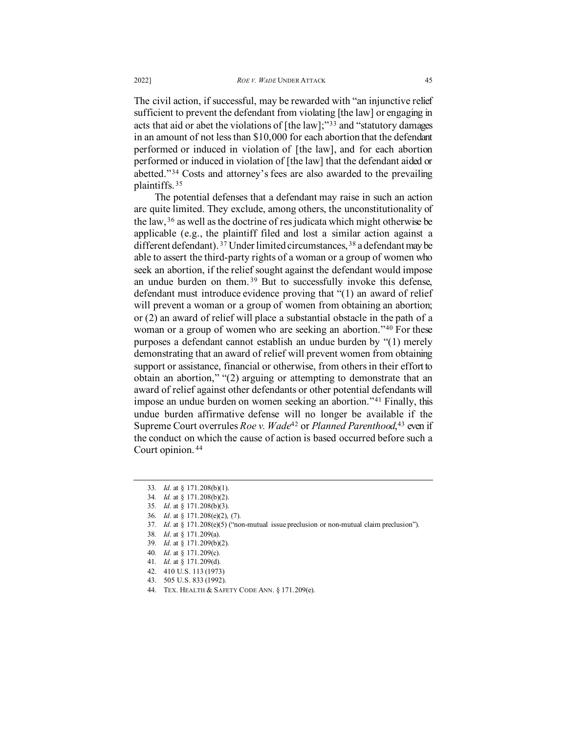The civil action, if successful, may be rewarded with "an injunctive relief sufficient to prevent the defendant from violating [the law] or engaging in acts that aid or abet the violations of [the law];"[33](#page-6-0) and "statutory damages in an amount of not less than \$10,000 for each abortion that the defendant performed or induced in violation of [the law], and for each abortion performed or induced in violation of [the law] that the defendant aided or abetted."[34](#page-6-1) Costs and attorney's fees are also awarded to the prevailing plaintiffs. [35](#page-6-2)

The potential defenses that a defendant may raise in such an action are quite limited. They exclude, among others, the unconstitutionality of the law, [36](#page-6-3) as well as the doctrine of res judicata which might otherwise be applicable (e.g., the plaintiff filed and lost a similar action against a different defendant). [37](#page-6-4) Under limited circumstances, [38](#page-6-5) a defendant may be able to assert the third-party rights of a woman or a group of women who seek an abortion, if the relief sought against the defendant would impose an undue burden on them.<sup>[39](#page-6-6)</sup> But to successfully invoke this defense, defendant must introduce evidence proving that "(1) an award of relief will prevent a woman or a group of women from obtaining an abortion; or (2) an award of relief will place a substantial obstacle in the path of a woman or a group of women who are seeking an abortion."<sup>[40](#page-6-7)</sup> For these purposes a defendant cannot establish an undue burden by "(1) merely demonstrating that an award of relief will prevent women from obtaining support or assistance, financial or otherwise, from others in their effort to obtain an abortion," "(2) arguing or attempting to demonstrate that an award of relief against other defendants or other potential defendants will impose an undue burden on women seeking an abortion."[41](#page-6-8) Finally, this undue burden affirmative defense will no longer be available if the Supreme Court overrules *Roe v. Wade*<sup>[42](#page-6-9)</sup> or *Planned Parenthood*,<sup>[43](#page-6-10)</sup> even if the conduct on which the cause of action is based occurred before such a Court opinion. [44](#page-6-11)

- <span id="page-6-4"></span>37*. Id*. at § 171.208(e)(5) ("non-mutual issue preclusion or non-mutual claim preclusion").
- <span id="page-6-5"></span>38*. Id*. at § 171.209(a).

- <span id="page-6-7"></span>40*. Id*. at § 171.209(c).
- 41*. Id*. at § 171.209(d).
- 42. 410 U.S. 113 (1973)
- 43. 505 U.S. 833 (1992).

<span id="page-6-0"></span><sup>33</sup>*. Id*. at § 171.208(b)(1).

<span id="page-6-1"></span><sup>34</sup>*. Id.* at § 171.208(b)(2).

<span id="page-6-2"></span><sup>35</sup>*. Id*. at § 171.208(b)(3).

<span id="page-6-3"></span><sup>36</sup>*. Id*. at § 171.208(e)(2), (7).

<span id="page-6-6"></span><sup>39</sup>*. Id*. at § 171.209(b)(2).

<span id="page-6-11"></span><span id="page-6-10"></span><span id="page-6-9"></span><span id="page-6-8"></span><sup>44.</sup> TEX. HEALTH & SAFETY CODE ANN. § 171.209(e).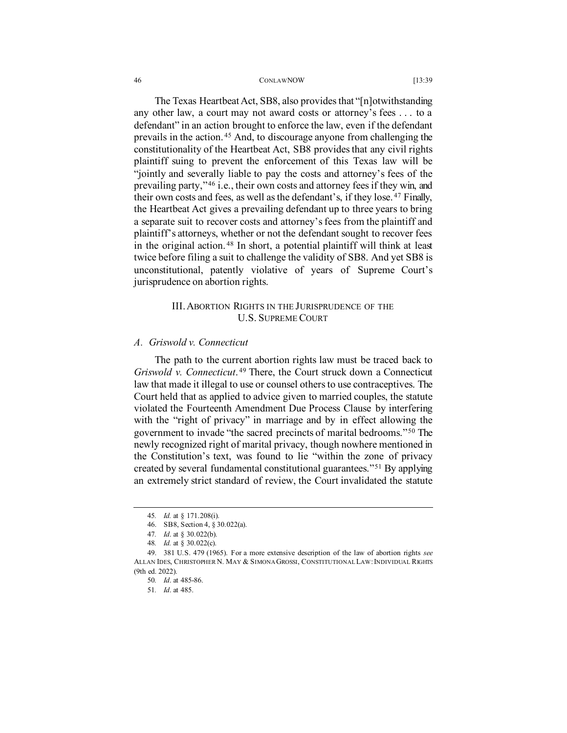The Texas Heartbeat Act, SB8, also provides that "[n]otwithstanding any other law, a court may not award costs or attorney's fees . . . to a defendant" in an action brought to enforce the law, even if the defendant prevails in the action. [45](#page-7-0) And, to discourage anyone from challenging the constitutionality of the Heartbeat Act, SB8 provides that any civil rights plaintiff suing to prevent the enforcement of this Texas law will be "jointly and severally liable to pay the costs and attorney's fees of the prevailing party,"[46](#page-7-1) i.e., their own costs and attorney fees if they win, and their own costs and fees, as well as the defendant's, if they lose. [47](#page-7-2) Finally, the Heartbeat Act gives a prevailing defendant up to three years to bring a separate suit to recover costs and attorney's fees from the plaintiff and plaintiff's attorneys, whether or not the defendant sought to recover fees in the original action. [48](#page-7-3) In short, a potential plaintiff will think at least twice before filing a suit to challenge the validity of SB8. And yet SB8 is unconstitutional, patently violative of years of Supreme Court's jurisprudence on abortion rights.

## III. ABORTION RIGHTS IN THE JURISPRUDENCE OF THE U.S. SUPREME COURT

## *A. Griswold v. Connecticut*

The path to the current abortion rights law must be traced back to *Griswold v. Connecticut*. [49](#page-7-4) There, the Court struck down a Connecticut law that made it illegal to use or counsel others to use contraceptives. The Court held that as applied to advice given to married couples, the statute violated the Fourteenth Amendment Due Process Clause by interfering with the "right of privacy" in marriage and by in effect allowing the government to invade "the sacred precincts of marital bedrooms."[50](#page-7-5) The newly recognized right of marital privacy, though nowhere mentioned in the Constitution's text, was found to lie "within the zone of privacy created by several fundamental constitutional guarantees."[51](#page-7-6) By applying an extremely strict standard of review, the Court invalidated the statute

<sup>45</sup>*. Id.* at § 171.208(i).

<sup>46.</sup> SB8, Section 4, § 30.022(a).

<sup>47</sup>*. Id*. at § 30.022(b).

<sup>48</sup>*. Id.* at § 30.022(c).

<span id="page-7-6"></span><span id="page-7-5"></span><span id="page-7-4"></span><span id="page-7-3"></span><span id="page-7-2"></span><span id="page-7-1"></span><span id="page-7-0"></span><sup>49.</sup> 381 U.S. 479 (1965). For a more extensive description of the law of abortion rights *see* ALLAN IDES, CHRISTOPHER N. MAY & SIMONA GROSSI, CONSTITUTIONAL LAW:INDIVIDUAL RIGHTS (9th ed. 2022).

<sup>50</sup>*. Id*. at 485-86.

<sup>51</sup>*. Id*. at 485.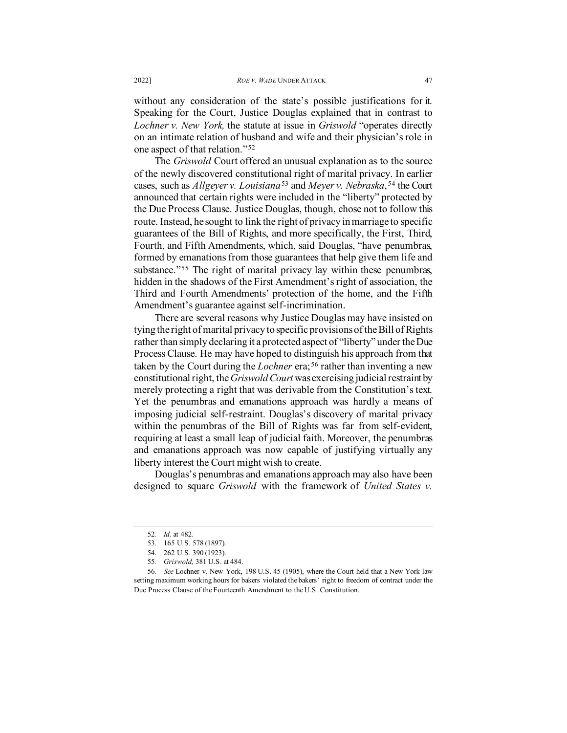without any consideration of the state's possible justifications for it. Speaking for the Court, Justice Douglas explained that in contrast to *Lochner v. New York,* the statute at issue in *Griswold* "operates directly on an intimate relation of husband and wife and their physician's role in one aspect of that relation."[52](#page-8-0)

The *Griswold* Court offered an unusual explanation as to the source of the newly discovered constitutional right of marital privacy. In earlier cases, such as *Allgeyer v. Louisiana*[53](#page-8-1) and *Meyer v. Nebraska*, [54](#page-8-2) the Court announced that certain rights were included in the "liberty" protected by the Due Process Clause. Justice Douglas, though, chose not to follow this route. Instead, he sought to link the right of privacy in marriage to specific guarantees of the Bill of Rights, and more specifically, the First, Third, Fourth, and Fifth Amendments, which, said Douglas, "have penumbras, formed by emanations from those guarantees that help give them life and substance."<sup>[55](#page-8-3)</sup> The right of marital privacy lay within these penumbras, hidden in the shadows of the First Amendment's right of association, the Third and Fourth Amendments' protection of the home, and the Fifth Amendment's guarantee against self-incrimination.

There are several reasons why Justice Douglas may have insisted on tying the right of marital privacy to specific provisions of the Bill of Rights rather than simply declaring it a protected aspect of "liberty" under the Due Process Clause. He may have hoped to distinguish his approach from that taken by the Court during the *Lochner* era;<sup>[56](#page-8-4)</sup> rather than inventing a new constitutional right, the *Griswold Court* was exercising judicial restraint by merely protecting a right that was derivable from the Constitution's text. Yet the penumbras and emanations approach was hardly a means of imposing judicial self-restraint. Douglas's discovery of marital privacy within the penumbras of the Bill of Rights was far from self-evident, requiring at least a small leap of judicial faith. Moreover, the penumbras and emanations approach was now capable of justifying virtually any liberty interest the Court might wish to create.

Douglas's penumbras and emanations approach may also have been designed to square *Griswold* with the framework of *United States v.* 

<sup>52</sup>*. Id*. at 482.

<sup>53.</sup> 165 U.S. 578 (1897).

<sup>54.</sup> 262 U.S. 390 (1923).

<sup>55</sup>*. Griswold,* 381 U.S. at 484.

<span id="page-8-4"></span><span id="page-8-3"></span><span id="page-8-2"></span><span id="page-8-1"></span><span id="page-8-0"></span><sup>56</sup>*. See* Lochner v. New York, 198 U.S. 45 (1905), where the Court held that a New York law setting maximum working hours for bakers violated the bakers' right to freedom of contract under the Due Process Clause of the Fourteenth Amendment to the U.S. Constitution.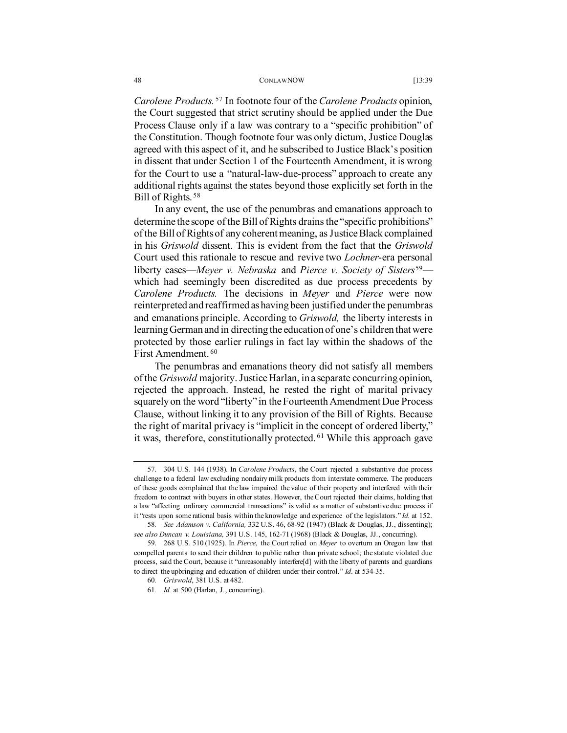*Carolene Products.* [57](#page-9-0) In footnote four of the *Carolene Products* opinion, the Court suggested that strict scrutiny should be applied under the Due Process Clause only if a law was contrary to a "specific prohibition" of the Constitution. Though footnote four was only dictum, Justice Douglas agreed with this aspect of it, and he subscribed to Justice Black's position in dissent that under Section 1 of the Fourteenth Amendment, it is wrong for the Court to use a "natural-law-due-process" approach to create any additional rights against the states beyond those explicitly set forth in the Bill of Rights. [58](#page-9-1)

In any event, the use of the penumbras and emanations approach to determine the scope of the Bill of Rights drains the "specific prohibitions" of the Bill of Rights of any coherent meaning, as Justice Black complained in his *Griswold* dissent. This is evident from the fact that the *Griswold* Court used this rationale to rescue and revive two *Lochner*-era personal liberty cases—*Meyer v. Nebraska* and *Pierce v. Society of Sisters*[59](#page-9-2) which had seemingly been discredited as due process precedents by *Carolene Products.* The decisions in *Meyer* and *Pierce* were now reinterpreted and reaffirmed as having been justified under the penumbras and emanations principle. According to *Griswold,* the liberty interests in learning German and in directing the education of one's children that were protected by those earlier rulings in fact lay within the shadows of the First Amendment. [60](#page-9-3)

The penumbras and emanations theory did not satisfy all members of the *Griswold* majority. Justice Harlan, in a separate concurring opinion, rejected the approach. Instead, he rested the right of marital privacy squarely on the word "liberty" in the Fourteenth Amendment Due Process Clause, without linking it to any provision of the Bill of Rights. Because the right of marital privacy is "implicit in the concept of ordered liberty," it was, therefore, constitutionally protected. [61](#page-9-4) While this approach gave

<span id="page-9-0"></span><sup>57.</sup> 304 U.S. 144 (1938). In *Carolene Products*, the Court rejected a substantive due process challenge to a federal law excluding nondairy milk products from interstate commerce. The producers of these goods complained that the law impaired the value of their property and interfered with their freedom to contract with buyers in other states. However, the Court rejected their claims, holding that a law "affecting ordinary commercial transactions" is valid as a matter of substantive due process if it "rests upon some rational basis within the knowledge and experience of the legislators." *Id.* at 152.

<span id="page-9-1"></span><sup>58</sup>*. See Adamson v. California,* 332 U.S. 46, 68-92 (1947) (Black & Douglas, JJ., dissenting); *see also Duncan v. Louisiana,* 391 U.S. 145, 162-71 (1968) (Black & Douglas, JJ., concurring).

<span id="page-9-4"></span><span id="page-9-3"></span><span id="page-9-2"></span><sup>59.</sup> 268 U.S. 510 (1925). In *Pierce*, the Court relied on *Meyer* to overturn an Oregon law that compelled parents to send their children to public rather than private school; the statute violated due process, said the Court, because it "unreasonably interfere[d] with the liberty of parents and guardians to direct the upbringing and education of children under their control." *Id*. at 534-35.

<sup>60</sup>*. Griswold*, 381 U.S. at 482.

<sup>61</sup>*. Id.* at 500 (Harlan, J., concurring).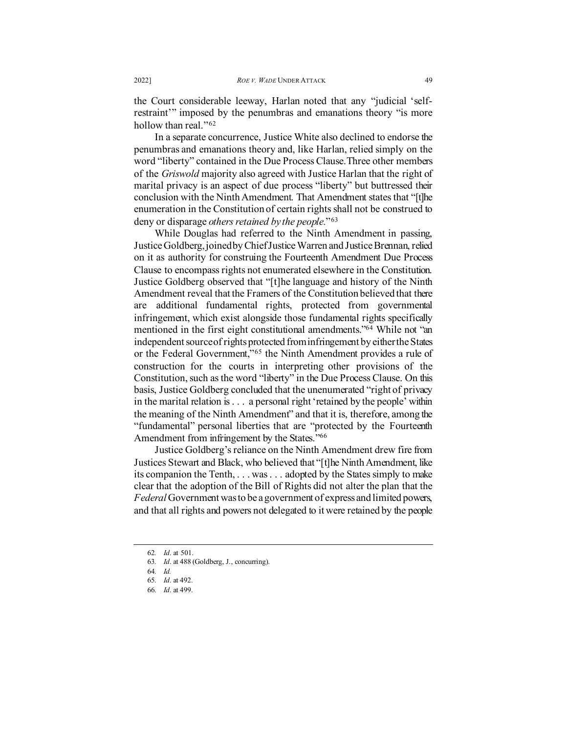the Court considerable leeway, Harlan noted that any "judicial 'selfrestraint'" imposed by the penumbras and emanations theory "is more hollow than real."[62](#page-10-0)

In a separate concurrence, Justice White also declined to endorse the penumbras and emanations theory and, like Harlan, relied simply on the word "liberty" contained in the Due Process Clause.Three other members of the *Griswold* majority also agreed with Justice Harlan that the right of marital privacy is an aspect of due process "liberty" but buttressed their conclusion with the Ninth Amendment. That Amendment states that "[t]he enumeration in the Constitution of certain rights shall not be construed to deny or disparage *others retained by the people.*"[63](#page-10-1)

While Douglas had referred to the Ninth Amendment in passing, Justice Goldberg, joined by Chief Justice Warren and Justice Brennan, relied on it as authority for construing the Fourteenth Amendment Due Process Clause to encompass rights not enumerated elsewhere in the Constitution. Justice Goldberg observed that "[t]he language and history of the Ninth Amendment reveal that the Framers of the Constitution believed that there are additional fundamental rights, protected from governmental infringement, which exist alongside those fundamental rights specifically mentioned in the first eight constitutional amendments.["64](#page-10-2) While not "an independent source of rights protected from infringement by either the States or the Federal Government,"[65](#page-10-3) the Ninth Amendment provides a rule of construction for the courts in interpreting other provisions of the Constitution, such as the word "liberty" in the Due Process Clause. On this basis, Justice Goldberg concluded that the unenumerated "right of privacy in the marital relation is . . . a personal right 'retained by the people' within the meaning of the Ninth Amendment" and that it is, therefore, among the "fundamental" personal liberties that are "protected by the Fourteenth Amendment from infringement by the States."[66](#page-10-4)

Justice Goldberg's reliance on the Ninth Amendment drew fire from Justices Stewart and Black, who believed that "[t]he Ninth Amendment, like its companion the Tenth, . . . was . . . adopted by the States simply to make clear that the adoption of the Bill of Rights did not alter the plan that the *Federal* Government was to be a government of express and limited powers, and that all rights and powers not delegated to it were retained by the people

<span id="page-10-0"></span><sup>62</sup>*. Id*. at 501.

<span id="page-10-2"></span><span id="page-10-1"></span><sup>63</sup>*. Id*. at 488 (Goldberg, J., concurring).

<sup>64</sup>*. Id.*

<span id="page-10-3"></span><sup>65</sup>*. Id*. at 492.

<span id="page-10-4"></span><sup>66</sup>*. Id*. at 499.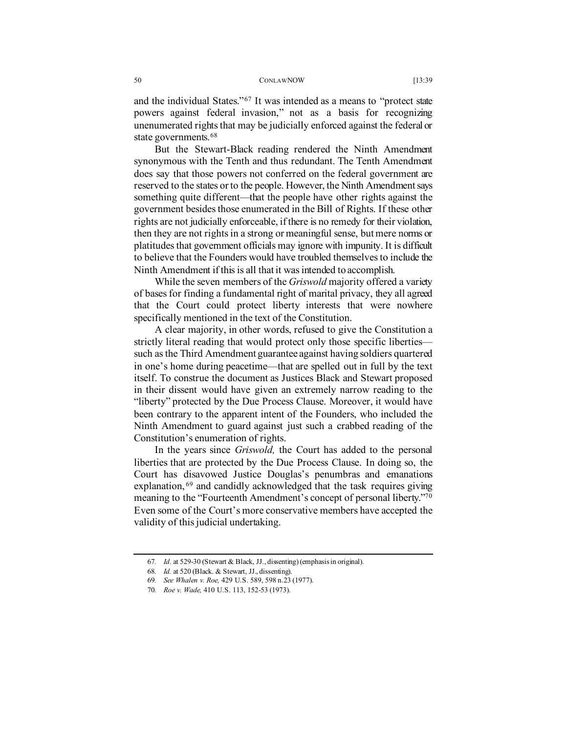and the individual States."[67](#page-11-0) It was intended as a means to "protect state powers against federal invasion," not as a basis for recognizing unenumerated rights that may be judicially enforced against the federal or state governments.[68](#page-11-1)

But the Stewart-Black reading rendered the Ninth Amendment synonymous with the Tenth and thus redundant. The Tenth Amendment does say that those powers not conferred on the federal government are reserved to the states or to the people. However, the Ninth Amendment says something quite different—that the people have other rights against the government besides those enumerated in the Bill of Rights. If these other rights are not judicially enforceable, if there is no remedy for their violation, then they are not rights in a strong or meaningful sense, but mere norms or platitudes that government officials may ignore with impunity. It is difficult to believe that the Founders would have troubled themselves to include the Ninth Amendment if this is all that it was intended to accomplish.

While the seven members of the *Griswold* majority offered a variety of bases for finding a fundamental right of marital privacy, they all agreed that the Court could protect liberty interests that were nowhere specifically mentioned in the text of the Constitution.

A clear majority, in other words, refused to give the Constitution a strictly literal reading that would protect only those specific liberties such as the Third Amendment guarantee against having soldiers quartered in one's home during peacetime—that are spelled out in full by the text itself. To construe the document as Justices Black and Stewart proposed in their dissent would have given an extremely narrow reading to the "liberty" protected by the Due Process Clause. Moreover, it would have been contrary to the apparent intent of the Founders, who included the Ninth Amendment to guard against just such a crabbed reading of the Constitution's enumeration of rights.

In the years since *Griswold,* the Court has added to the personal liberties that are protected by the Due Process Clause. In doing so, the Court has disavowed Justice Douglas's penumbras and emanations explanation, [69](#page-11-2) and candidly acknowledged that the task requires giving meaning to the "Fourteenth Amendment's concept of personal liberty.["70](#page-11-3) Even some of the Court's more conservative members have accepted the validity of this judicial undertaking.

<span id="page-11-0"></span><sup>67</sup>*. Id*. at 529-30 (Stewart & Black, JJ., dissenting) (emphasis in original).

<span id="page-11-1"></span><sup>68</sup>*. Id.* at 520 (Black. & Stewart, JJ., dissenting).

<span id="page-11-2"></span><sup>69</sup>*. See Whalen v. Roe,* 429 U.S. 589, 598 n.23 (1977).

<span id="page-11-3"></span><sup>70</sup>*. Roe v. Wade,* 410 U.S. 113, 152-53 (1973).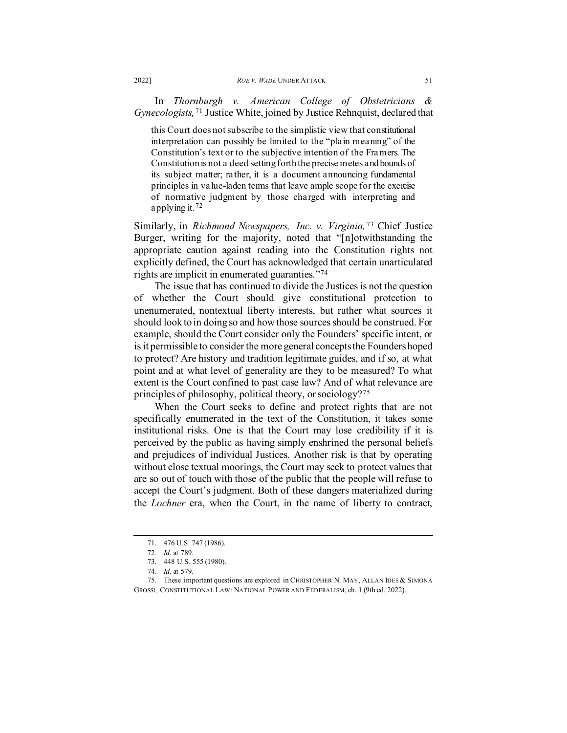In *Thornburgh v. American College of Obstetricians & Gynecologists,* [71](#page-12-0) Justice White, joined by Justice Rehnquist, declared that

this Court does not subscribe to the simplistic view that constitutional interpretation can possibly be limited to the "plain meaning" of the Constitution's text or to the subjective intention of the Framers. The Constitution is not a deed setting forth the precise metes and bounds of its subject matter; rather, it is a document announcing fundamental principles in value-laden terms that leave ample scope for the exercise of normative judgment by those charged with interpreting and applying it.[72](#page-12-1)

Similarly, in *Richmond Newspapers, Inc. v. Virginia,* [73](#page-12-2) Chief Justice Burger, writing for the majority, noted that "[n]otwithstanding the appropriate caution against reading into the Constitution rights not explicitly defined, the Court has acknowledged that certain unarticulated rights are implicit in enumerated guaranties."[74](#page-12-3)

The issue that has continued to divide the Justices is not the question of whether the Court should give constitutional protection to unenumerated, nontextual liberty interests, but rather what sources it should look to in doing so and how those sources should be construed. For example, should the Court consider only the Founders' specific intent, or is it permissible to consider the more general concepts the Founders hoped to protect? Are history and tradition legitimate guides, and if so, at what point and at what level of generality are they to be measured? To what extent is the Court confined to past case law? And of what relevance are principles of philosophy, political theory, or sociology?[75](#page-12-4)

When the Court seeks to define and protect rights that are not specifically enumerated in the text of the Constitution, it takes some institutional risks. One is that the Court may lose credibility if it is perceived by the public as having simply enshrined the personal beliefs and prejudices of individual Justices. Another risk is that by operating without close textual moorings, the Court may seek to protect values that are so out of touch with those of the public that the people will refuse to accept the Court's judgment. Both of these dangers materialized during the *Lochner* era, when the Court, in the name of liberty to contract,

<sup>71.</sup> 476 U.S. 747 (1986).

<sup>72</sup>*. Id*. at 789.

<sup>73.</sup> 448 U.S. 555 (1980).

<sup>74</sup>*. Id*. at 579.

<span id="page-12-4"></span><span id="page-12-3"></span><span id="page-12-2"></span><span id="page-12-1"></span><span id="page-12-0"></span><sup>75.</sup> These important questions are explored in CHRISTOPHER N. MAY, ALLAN IDES & SIMONA GROSSI*,* CONSTITUTIONAL LAW: NATIONAL POWER AND FEDERALISM, ch. 1 (9th ed. 2022).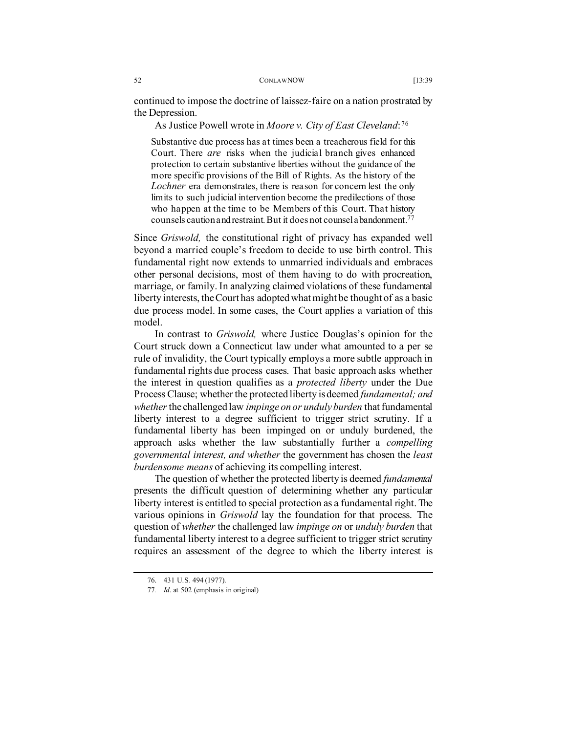## As Justice Powell wrote in *Moore v. City of East Cleveland*:[76](#page-13-0)

Substantive due process has at times been a treacherous field for this Court. There *are* risks when the judicial branch gives enhanced protection to certain substantive liberties without the guidance of the more specific provisions of the Bill of Rights. As the history of the *Lochner* era demonstrates, there is reason for concern lest the only limits to such judicial intervention become the predilections of those who happen at the time to be Members of this Court. That history counsels caution and restraint. But it does not counsel abandonment[.77](#page-13-1)

Since *Griswold,* the constitutional right of privacy has expanded well beyond a married couple's freedom to decide to use birth control. This fundamental right now extends to unmarried individuals and embraces other personal decisions, most of them having to do with procreation, marriage, or family. In analyzing claimed violations of these fundamental liberty interests, the Court has adopted what might be thought of as a basic due process model. In some cases, the Court applies a variation of this model.

In contrast to *Griswold,* where Justice Douglas's opinion for the Court struck down a Connecticut law under what amounted to a per se rule of invalidity, the Court typically employs a more subtle approach in fundamental rights due process cases. That basic approach asks whether the interest in question qualifies as a *protected liberty* under the Due Process Clause; whether the protected liberty is deemed *fundamental; and whether* the challenged law *impinge on or unduly burden* that fundamental liberty interest to a degree sufficient to trigger strict scrutiny. If a fundamental liberty has been impinged on or unduly burdened, the approach asks whether the law substantially further a *compelling governmental interest, and whether* the government has chosen the *least burdensome means* of achieving its compelling interest.

The question of whether the protected liberty is deemed *fundamental* presents the difficult question of determining whether any particular liberty interest is entitled to special protection as a fundamental right. The various opinions in *Griswold* lay the foundation for that process. The question of *whether* the challenged law *impinge on* or *unduly burden* that fundamental liberty interest to a degree sufficient to trigger strict scrutiny requires an assessment of the degree to which the liberty interest is

<span id="page-13-0"></span><sup>76.</sup> 431 U.S. 494 (1977).

<span id="page-13-1"></span><sup>77</sup>*. Id*. at 502 (emphasis in original)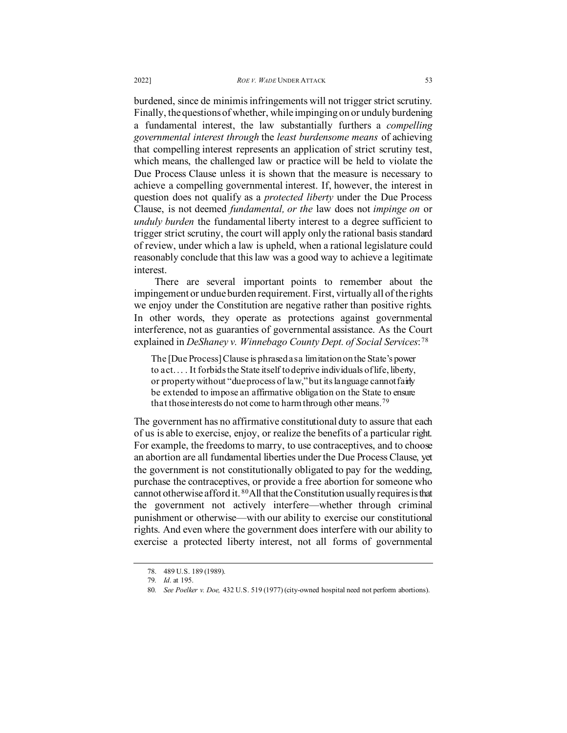burdened, since de minimis infringements will not trigger strict scrutiny. Finally, the questions of whether, while impinging on or unduly burdening a fundamental interest, the law substantially furthers a *compelling governmental interest through* the *least burdensome means* of achieving that compelling interest represents an application of strict scrutiny test, which means, the challenged law or practice will be held to violate the Due Process Clause unless it is shown that the measure is necessary to achieve a compelling governmental interest. If, however, the interest in question does not qualify as a *protected liberty* under the Due Process Clause, is not deemed *fundamental, or the* law does not *impinge on* or *unduly burden* the fundamental liberty interest to a degree sufficient to trigger strict scrutiny, the court will apply only the rational basis standard of review, under which a law is upheld, when a rational legislature could reasonably conclude that this law was a good way to achieve a legitimate interest.

There are several important points to remember about the impingement or undue burden requirement. First, virtually all of the rights we enjoy under the Constitution are negative rather than positive rights. In other words, they operate as protections against governmental interference, not as guaranties of governmental assistance. As the Court explained in *DeShaney v. Winnebago County Dept. of Social Services*:[78](#page-14-0)

The [Due Process] Clause is phrased as a limitation on the State's power to act. . . . It forbids the State itself to deprive individuals of life, liberty, or property without "due process of law," but its language cannot fairly be extended to impose an affirmative obligation on the State to ensure that those interests do not come to harm through other means.[79](#page-14-1)

The government has no affirmative constitutional duty to assure that each of us is able to exercise, enjoy, or realize the benefits of a particular right. For example, the freedoms to marry, to use contraceptives, and to choose an abortion are all fundamental liberties under the Due Process Clause, yet the government is not constitutionally obligated to pay for the wedding, purchase the contraceptives, or provide a free abortion for someone who cannot otherwise afford it. [80A](#page-14-2)ll that the Constitution usually requires is that the government not actively interfere—whether through criminal punishment or otherwise—with our ability to exercise our constitutional rights. And even where the government does interfere with our ability to exercise a protected liberty interest, not all forms of governmental

<sup>78.</sup> 489 U.S. 189 (1989).

<span id="page-14-2"></span><span id="page-14-1"></span><span id="page-14-0"></span><sup>79</sup>*. Id*. at 195.

<sup>80</sup>*. See Poelker v. Doe,* 432 U.S. 519 (1977) (city-owned hospital need not perform abortions).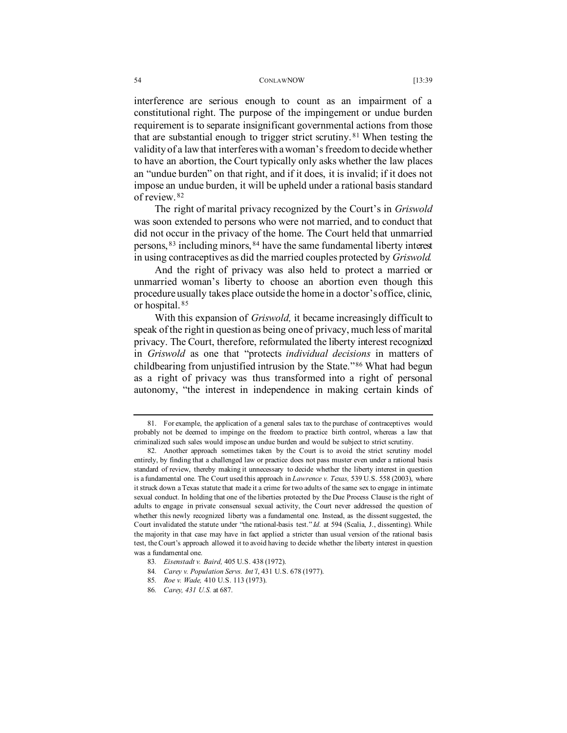interference are serious enough to count as an impairment of a constitutional right. The purpose of the impingement or undue burden requirement is to separate insignificant governmental actions from those that are substantial enough to trigger strict scrutiny. [81](#page-15-0) When testing the validity of a law that interferes with a woman's freedom to decide whether to have an abortion, the Court typically only asks whether the law places an "undue burden" on that right, and if it does, it is invalid; if it does not impose an undue burden, it will be upheld under a rational basis standard of review. [82](#page-15-1)

The right of marital privacy recognized by the Court's in *Griswold*  was soon extended to persons who were not married, and to conduct that did not occur in the privacy of the home. The Court held that unmarried persons, [83](#page-15-2) including minors, [84](#page-15-3) have the same fundamental liberty interest in using contraceptives as did the married couples protected by *Griswold.*

And the right of privacy was also held to protect a married or unmarried woman's liberty to choose an abortion even though this procedure usually takes place outside the home in a doctor's office, clinic, or hospital. [85](#page-15-4)

With this expansion of *Griswold,* it became increasingly difficult to speak of the right in question as being one of privacy, much less of marital privacy. The Court, therefore, reformulated the liberty interest recognized in *Griswold* as one that "protects *individual decisions* in matters of childbearing from unjustified intrusion by the State."[86](#page-15-5) What had begun as a right of privacy was thus transformed into a right of personal autonomy, "the interest in independence in making certain kinds of

<span id="page-15-5"></span>86*. Carey, 431 U.S.* at 687.

<span id="page-15-0"></span><sup>81.</sup> For example, the application of a general sales tax to the purchase of contraceptives would probably not be deemed to impinge on the freedom to practice birth control, whereas a law that criminalized such sales would impose an undue burden and would be subject to strict scrutiny.

<span id="page-15-1"></span><sup>82.</sup> Another approach sometimes taken by the Court is to avoid the strict scrutiny model entirely, by finding that a challenged law or practice does not pass muster even under a rational basis standard of review, thereby making it unnecessary to decide whether the liberty interest in question is a fundamental one. The Court used this approach in *Lawrence v. Texas,* 539 U.S. 558 (2003), where it struck down a Texas statute that made it a crime for two adults of the same sex to engage in intimate sexual conduct. In holding that one of the liberties protected by the Due Process Clause is the right of adults to engage in private consensual sexual activity, the Court never addressed the question of whether this newly recognized liberty was a fundamental one. Instead, as the dissent suggested, the Court invalidated the statute under "the rational-basis test." *Id.* at 594 (Scalia, J., dissenting). While the majority in that case may have in fact applied a stricter than usual version of the rational basis test, the Court's approach allowed it to avoid having to decide whether the liberty interest in question was a fundamental one.

<span id="page-15-4"></span><span id="page-15-3"></span><span id="page-15-2"></span><sup>83</sup>*. Eisenstadt v. Baird,* 405 U.S. 438 (1972).

<sup>84</sup>*. Carey v. Population Servs. Int'l*, 431 U.S. 678 (1977).

<sup>85</sup>*. Roe v. Wade,* 410 U.S. 113 (1973).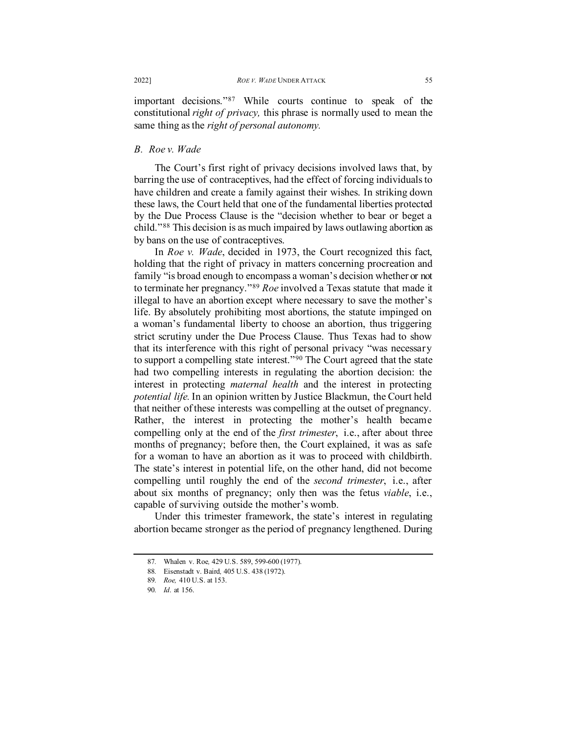important decisions."[87](#page-16-0) While courts continue to speak of the constitutional *right of privacy,* this phrase is normally used to mean the same thing as the *right of personal autonomy.*

## *B. Roe v. Wade*

The Court's first right of privacy decisions involved laws that, by barring the use of contraceptives, had the effect of forcing individuals to have children and create a family against their wishes. In striking down these laws, the Court held that one of the fundamental liberties protected by the Due Process Clause is the "decision whether to bear or beget a child."[88](#page-16-1) This decision is as much impaired by laws outlawing abortion as by bans on the use of contraceptives.

In *Roe v. Wade*, decided in 1973, the Court recognized this fact, holding that the right of privacy in matters concerning procreation and family "is broad enough to encompass a woman's decision whether or not to terminate her pregnancy."[89](#page-16-2) *Roe* involved a Texas statute that made it illegal to have an abortion except where necessary to save the mother's life. By absolutely prohibiting most abortions, the statute impinged on a woman's fundamental liberty to choose an abortion, thus triggering strict scrutiny under the Due Process Clause. Thus Texas had to show that its interference with this right of personal privacy "was necessary to support a compelling state interest."[90](#page-16-3) The Court agreed that the state had two compelling interests in regulating the abortion decision: the interest in protecting *maternal health* and the interest in protecting *potential life.* In an opinion written by Justice Blackmun, the Court held that neither of these interests was compelling at the outset of pregnancy. Rather, the interest in protecting the mother's health became compelling only at the end of the *first trimester*, i.e., after about three months of pregnancy; before then, the Court explained, it was as safe for a woman to have an abortion as it was to proceed with childbirth. The state's interest in potential life, on the other hand, did not become compelling until roughly the end of the *second trimester*, i.e., after about six months of pregnancy; only then was the fetus *viable*, i.e., capable of surviving outside the mother's womb.

<span id="page-16-1"></span><span id="page-16-0"></span>Under this trimester framework, the state's interest in regulating abortion became stronger as the period of pregnancy lengthened. During

<sup>87</sup>*.* Whalen v. Roe*,* 429 U.S. 589, 599-600 (1977).

<sup>88</sup>*.* Eisenstadt v. Baird*,* 405 U.S. 438 (1972).

<span id="page-16-2"></span><sup>89</sup>*. Roe,* 410 U.S. at 153.

<span id="page-16-3"></span><sup>90</sup>*. Id*. at 156.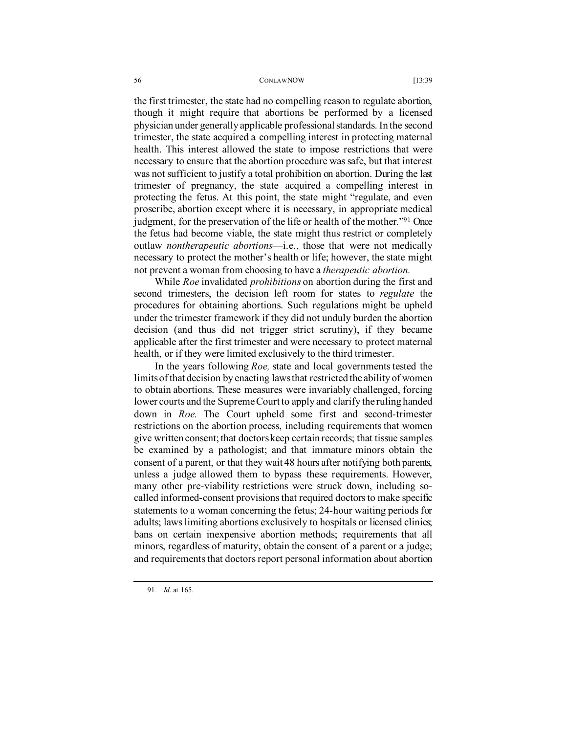the first trimester, the state had no compelling reason to regulate abortion, though it might require that abortions be performed by a licensed physician under generally applicable professional standards. In the second trimester, the state acquired a compelling interest in protecting maternal health. This interest allowed the state to impose restrictions that were necessary to ensure that the abortion procedure was safe, but that interest was not sufficient to justify a total prohibition on abortion. During the last trimester of pregnancy, the state acquired a compelling interest in protecting the fetus. At this point, the state might "regulate, and even proscribe, abortion except where it is necessary, in appropriate medical judgment, for the preservation of the life or health of the mother."<sup>91</sup> Once the fetus had become viable, the state might thus restrict or completely outlaw *nontherapeutic abortions*—i.e., those that were not medically necessary to protect the mother's health or life; however, the state might not prevent a woman from choosing to have a *therapeutic abortion.* 

While *Roe* invalidated *prohibitions* on abortion during the first and second trimesters, the decision left room for states to *regulate* the procedures for obtaining abortions. Such regulations might be upheld under the trimester framework if they did not unduly burden the abortion decision (and thus did not trigger strict scrutiny), if they became applicable after the first trimester and were necessary to protect maternal health, or if they were limited exclusively to the third trimester.

In the years following *Roe,* state and local governments tested the limits of that decision by enacting laws that restricted the ability of women to obtain abortions. These measures were invariably challenged, forcing lower courts and the Supreme Court to apply and clarify the ruling handed down in *Roe.* The Court upheld some first and second-trimester restrictions on the abortion process, including requirements that women give written consent; that doctors keep certain records; that tissue samples be examined by a pathologist; and that immature minors obtain the consent of a parent, or that they wait 48 hours after notifying both parents, unless a judge allowed them to bypass these requirements. However, many other pre-viability restrictions were struck down, including socalled informed-consent provisions that required doctors to make specific statements to a woman concerning the fetus; 24-hour waiting periods for adults; laws limiting abortions exclusively to hospitals or licensed clinics; bans on certain inexpensive abortion methods; requirements that all minors, regardless of maturity, obtain the consent of a parent or a judge; and requirements that doctors report personal information about abortion

<span id="page-17-0"></span><sup>91</sup>*. Id*. at 165.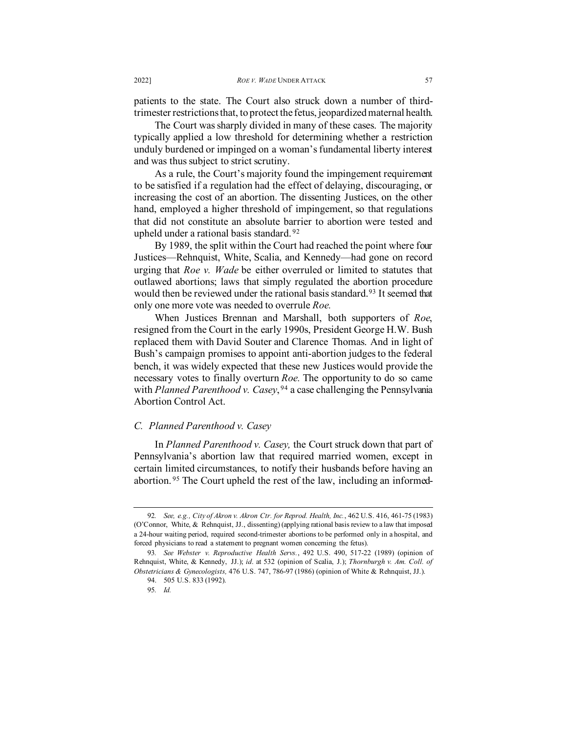patients to the state. The Court also struck down a number of thirdtrimester restrictions that, to protect the fetus, jeopardized maternal health.

The Court was sharply divided in many of these cases. The majority typically applied a low threshold for determining whether a restriction unduly burdened or impinged on a woman's fundamental liberty interest and was thus subject to strict scrutiny.

As a rule, the Court's majority found the impingement requirement to be satisfied if a regulation had the effect of delaying, discouraging, or increasing the cost of an abortion. The dissenting Justices, on the other hand, employed a higher threshold of impingement, so that regulations that did not constitute an absolute barrier to abortion were tested and upheld under a rational basis standard. [92](#page-18-0)

By 1989, the split within the Court had reached the point where four Justices—Rehnquist, White, Scalia, and Kennedy—had gone on record urging that *Roe v. Wade* be either overruled or limited to statutes that outlawed abortions; laws that simply regulated the abortion procedure would then be reviewed under the rational basis standard.<sup>[93](#page-18-1)</sup> It seemed that only one more vote was needed to overrule *Roe.*

When Justices Brennan and Marshall, both supporters of *Roe*, resigned from the Court in the early 1990s, President George H.W. Bush replaced them with David Souter and Clarence Thomas. And in light of Bush's campaign promises to appoint anti-abortion judges to the federal bench, it was widely expected that these new Justices would provide the necessary votes to finally overturn *Roe.* The opportunity to do so came with *Planned Parenthood v. Casey*, <sup>[94](#page-18-2)</sup> a case challenging the Pennsylvania Abortion Control Act.

## *C. Planned Parenthood v. Casey*

In *Planned Parenthood v. Casey,* the Court struck down that part of Pennsylvania's abortion law that required married women, except in certain limited circumstances, to notify their husbands before having an abortion. [95](#page-18-3) The Court upheld the rest of the law, including an informed-

<span id="page-18-0"></span><sup>92</sup>*. See, e.g., City of Akron v. Akron Ctr. for Reprod. Health, Inc.*, 462 U.S. 416, 461-75 (1983) (O'Connor, White, & Rehnquist, JJ., dissenting) (applying rational basis review to a law that imposed a 24-hour waiting period, required second-trimester abortions to be performed only in a hospital, and forced physicians to read a statement to pregnant women concerning the fetus).

<span id="page-18-3"></span><span id="page-18-2"></span><span id="page-18-1"></span><sup>93</sup>*. See Webster v. Reproductive Health Servs.*, 492 U.S. 490, 517-22 (1989) (opinion of Rehnquist, White, & Kennedy, JJ.); *id*. at 532 (opinion of Scalia, J.); *Thornburgh v. Am. Coll. of Obstetricians & Gynecologists,* 476 U.S. 747, 786-97 (1986) (opinion of White & Rehnquist, JJ.).

<sup>94.</sup> 505 U.S. 833 (1992).

<sup>95</sup>*. Id.*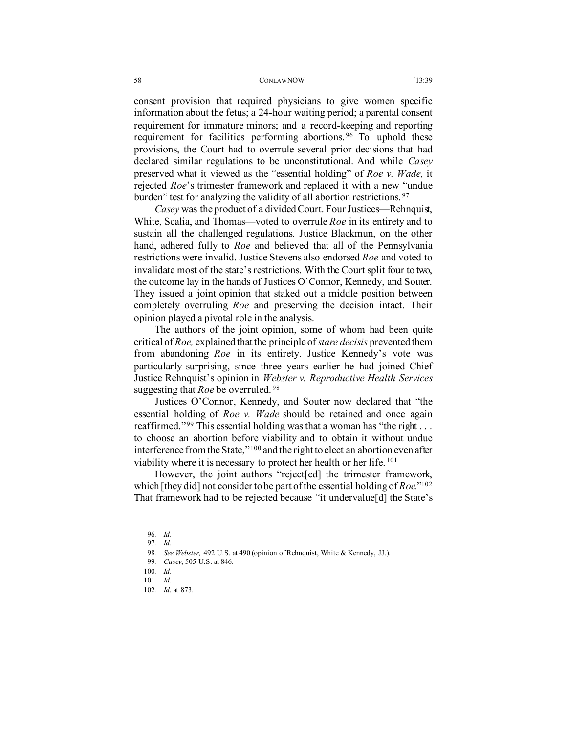consent provision that required physicians to give women specific information about the fetus; a 24-hour waiting period; a parental consent requirement for immature minors; and a record-keeping and reporting requirement for facilities performing abortions. [96](#page-19-0) To uphold these provisions, the Court had to overrule several prior decisions that had declared similar regulations to be unconstitutional. And while *Casey* preserved what it viewed as the "essential holding" of *Roe v. Wade,* it rejected *Roe*'s trimester framework and replaced it with a new "undue burden" test for analyzing the validity of all abortion restrictions. [97](#page-19-1)

*Casey* was the product of a divided Court. Four Justices—Rehnquist, White, Scalia, and Thomas—voted to overrule *Roe* in its entirety and to sustain all the challenged regulations. Justice Blackmun, on the other hand, adhered fully to *Roe* and believed that all of the Pennsylvania restrictions were invalid. Justice Stevens also endorsed *Roe* and voted to invalidate most of the state's restrictions. With the Court split four to two, the outcome lay in the hands of Justices O'Connor, Kennedy, and Souter. They issued a joint opinion that staked out a middle position between completely overruling *Roe* and preserving the decision intact. Their opinion played a pivotal role in the analysis.

The authors of the joint opinion, some of whom had been quite critical of *Roe,* explained that the principle of *stare decisis* prevented them from abandoning *Roe* in its entirety. Justice Kennedy's vote was particularly surprising, since three years earlier he had joined Chief Justice Rehnquist's opinion in *Webster v. Reproductive Health Services* suggesting that *Roe* be overruled. [98](#page-19-2)

Justices O'Connor, Kennedy, and Souter now declared that "the essential holding of *Roe v. Wade* should be retained and once again reaffirmed."<sup>[99](#page-19-3)</sup> This essential holding was that a woman has "the right  $\dots$ to choose an abortion before viability and to obtain it without undue interference from the State,"[100](#page-19-4) and the right to elect an abortion even after viability where it is necessary to protect her health or her life. [101](#page-19-5)

However, the joint authors "reject [ed] the trimester framework, which [they did] not consider to be part of the essential holding of *Roe.*["102](#page-19-6) That framework had to be rejected because "it undervalue[d] the State's

<sup>96</sup>*. Id.*

<sup>97</sup>*. Id.*

<span id="page-19-1"></span><span id="page-19-0"></span><sup>98</sup>*. See Webster,* 492 U.S. at 490 (opinion of Rehnquist, White & Kennedy, JJ.).

<span id="page-19-3"></span><span id="page-19-2"></span><sup>99</sup>*. Casey*, 505 U.S. at 846.

<span id="page-19-5"></span><span id="page-19-4"></span><sup>100</sup>*. Id.* 101*. Id.*

<span id="page-19-6"></span><sup>102</sup>*. Id*. at 873.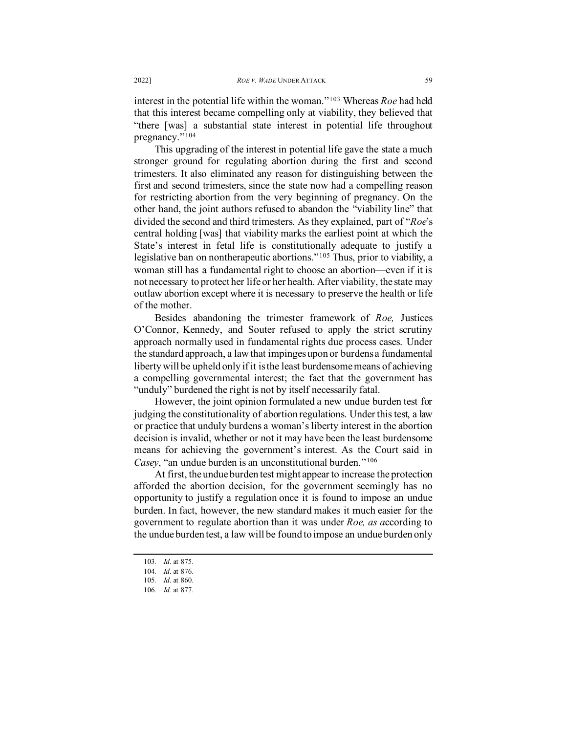interest in the potential life within the woman."[103](#page-20-0) Whereas *Roe* had held that this interest became compelling only at viability, they believed that "there [was] a substantial state interest in potential life throughout pregnancy."<sup>[104](#page-20-1)</sup>

This upgrading of the interest in potential life gave the state a much stronger ground for regulating abortion during the first and second trimesters. It also eliminated any reason for distinguishing between the first and second trimesters, since the state now had a compelling reason for restricting abortion from the very beginning of pregnancy. On the other hand, the joint authors refused to abandon the "viability line" that divided the second and third trimesters. As they explained, part of "*Roe*'s central holding [was] that viability marks the earliest point at which the State's interest in fetal life is constitutionally adequate to justify a legislative ban on nontherapeutic abortions."<sup>[105](#page-20-2)</sup> Thus, prior to viability, a woman still has a fundamental right to choose an abortion—even if it is not necessary to protect her life or her health. After viability, the state may outlaw abortion except where it is necessary to preserve the health or life of the mother.

Besides abandoning the trimester framework of *Roe,* Justices O'Connor, Kennedy, and Souter refused to apply the strict scrutiny approach normally used in fundamental rights due process cases. Under the standard approach, a law that impinges upon or burdens a fundamental liberty will be upheld only if it isthe least burdensome means of achieving a compelling governmental interest; the fact that the government has "unduly" burdened the right is not by itself necessarily fatal.

However, the joint opinion formulated a new undue burden test for judging the constitutionality of abortion regulations. Under this test, a law or practice that unduly burdens a woman's liberty interest in the abortion decision is invalid, whether or not it may have been the least burdensome means for achieving the government's interest. As the Court said in *Casey*, "an undue burden is an unconstitutional burden."[106](#page-20-3)

At first, the undue burden test might appear to increase the protection afforded the abortion decision, for the government seemingly has no opportunity to justify a regulation once it is found to impose an undue burden. In fact, however, the new standard makes it much easier for the government to regulate abortion than it was under *Roe, as a*ccording to the undue burden test, a law will be found to impose an undue burden only

<sup>103</sup>*. Id*. at 875.

<span id="page-20-1"></span><span id="page-20-0"></span><sup>104</sup>*. Id*. at 876.

<span id="page-20-2"></span><sup>105</sup>*. Id*. at 860.

<span id="page-20-3"></span><sup>106</sup>*. Id.* at 877.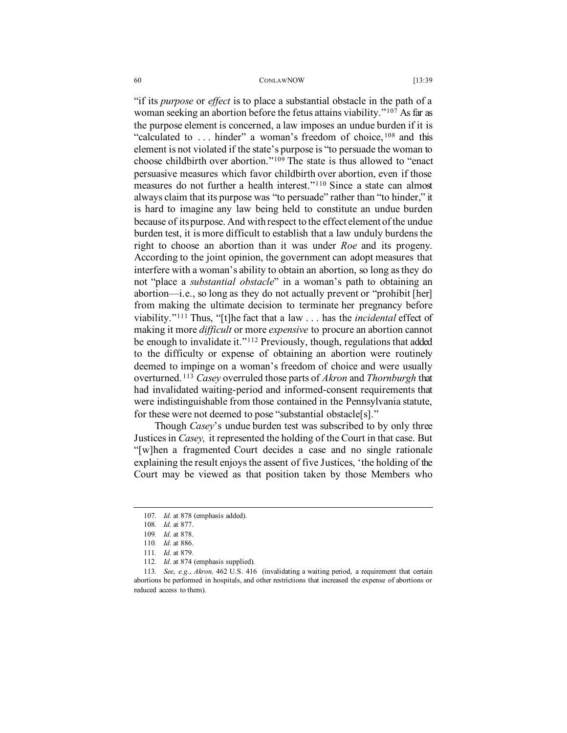"if its *purpose* or *effect* is to place a substantial obstacle in the path of a woman seeking an abortion before the fetus attains viability."<sup>[107](#page-21-0)</sup> As far as the purpose element is concerned, a law imposes an undue burden if it is "calculated to ... hinder" a woman's freedom of choice, <sup>[108](#page-21-1)</sup> and this element is not violated if the state's purpose is "to persuade the woman to choose childbirth over abortion."[109](#page-21-2) The state is thus allowed to "enact persuasive measures which favor childbirth over abortion, even if those measures do not further a health interest."[110](#page-21-3) Since a state can almost always claim that its purpose was "to persuade" rather than "to hinder," it is hard to imagine any law being held to constitute an undue burden because of its purpose. And with respect to the effect element of the undue burden test, it is more difficult to establish that a law unduly burdens the right to choose an abortion than it was under *Roe* and its progeny. According to the joint opinion, the government can adopt measures that interfere with a woman's ability to obtain an abortion, so long as they do not "place a *substantial obstacle*" in a woman's path to obtaining an abortion—i.e., so long as they do not actually prevent or "prohibit [her] from making the ultimate decision to terminate her pregnancy before viability."[111](#page-21-4) Thus, "[t]he fact that a law . . . has the *incidental* effect of making it more *difficult* or more *expensive* to procure an abortion cannot be enough to invalidate it."<sup>[112](#page-21-5)</sup> Previously, though, regulations that added to the difficulty or expense of obtaining an abortion were routinely deemed to impinge on a woman's freedom of choice and were usually overturned. [113](#page-21-6) *Casey* overruled those parts of *Akron* and *Thornburgh* that had invalidated waiting-period and informed-consent requirements that were indistinguishable from those contained in the Pennsylvania statute, for these were not deemed to pose "substantial obstacle[s]."

Though *Casey*'s undue burden test was subscribed to by only three Justices in *Casey,* it represented the holding of the Court in that case. But "[w]hen a fragmented Court decides a case and no single rationale explaining the result enjoys the assent of five Justices, 'the holding of the Court may be viewed as that position taken by those Members who

<span id="page-21-0"></span><sup>107</sup>*. Id*. at 878 (emphasis added).

<sup>108</sup>*. Id*. at 877.

<sup>109</sup>*. Id*. at 878.

<sup>110</sup>*. Id*. at 886.

<sup>111</sup>*. Id*. at 879.

<sup>112</sup>*. Id*. at 874 (emphasis supplied).

<span id="page-21-6"></span><span id="page-21-5"></span><span id="page-21-4"></span><span id="page-21-3"></span><span id="page-21-2"></span><span id="page-21-1"></span><sup>113</sup>*. See*, *e.g*., *Akron,* 462 U.S. 416 (invalidating a waiting period, a requirement that certain abortions be performed in hospitals, and other restrictions that increased the expense of abortions or reduced access to them).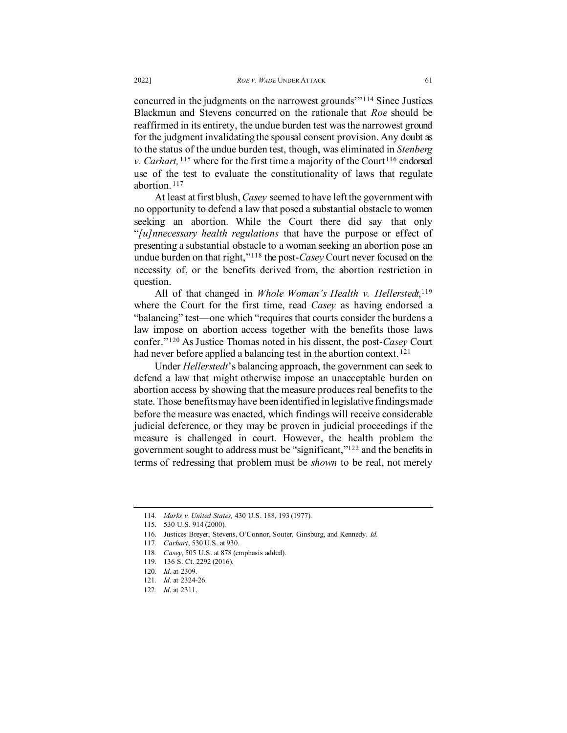concurred in the judgments on the narrowest grounds'"[114](#page-22-0) Since Justices Blackmun and Stevens concurred on the rationale that *Roe* should be reaffirmed in its entirety, the undue burden test was the narrowest ground for the judgment invalidating the spousal consent provision. Any doubt as to the status of the undue burden test, though, was eliminated in *Stenberg v. Carhart*,  $^{115}$  $^{115}$  $^{115}$  where for the first time a majority of the Court<sup>[116](#page-22-2)</sup> endorsed use of the test to evaluate the constitutionality of laws that regulate abortion. [117](#page-22-3)

At least at first blush, *Casey* seemed to have left the government with no opportunity to defend a law that posed a substantial obstacle to women seeking an abortion. While the Court there did say that only "*[u]nnecessary health regulations* that have the purpose or effect of presenting a substantial obstacle to a woman seeking an abortion pose an undue burden on that right,"[118](#page-22-4) the post-*Casey* Court never focused on the necessity of, or the benefits derived from, the abortion restriction in question.

All of that changed in *Whole Woman's Health v. Hellerstedt*,<sup>[119](#page-22-5)</sup> where the Court for the first time, read *Casey* as having endorsed a "balancing" test—one which "requires that courts consider the burdens a law impose on abortion access together with the benefits those laws confer."[120](#page-22-6) As Justice Thomas noted in his dissent, the post-*Casey* Court had never before applied a balancing test in the abortion context.<sup>[121](#page-22-7)</sup>

Under *Hellerstedt*'s balancing approach, the government can seek to defend a law that might otherwise impose an unacceptable burden on abortion access by showing that the measure produces real benefits to the state. Those benefits may have been identified in legislative findings made before the measure was enacted, which findings will receive considerable judicial deference, or they may be proven in judicial proceedings if the measure is challenged in court. However, the health problem the government sought to address must be "significant,["122](#page-22-8) and the benefits in terms of redressing that problem must be *shown* to be real, not merely

<span id="page-22-0"></span><sup>114</sup>*. Marks v. United States,* 430 U.S. 188, 193 (1977).

<span id="page-22-1"></span><sup>115.</sup> 530 U.S. 914 (2000).

<span id="page-22-2"></span><sup>116.</sup> Justices Breyer, Stevens, O'Connor, Souter, Ginsburg, and Kennedy. *Id.*

<span id="page-22-3"></span><sup>117</sup>*. Carhart*, 530 U.S. at 930.

<span id="page-22-4"></span><sup>118</sup>*. Casey*, 505 U.S. at 878 (emphasis added).

<sup>119.</sup> 136 S. Ct. 2292 (2016).

<span id="page-22-6"></span><span id="page-22-5"></span><sup>120</sup>*. Id*. at 2309.

<sup>121</sup>*. Id*. at 2324-26.

<span id="page-22-8"></span><span id="page-22-7"></span><sup>122</sup>*. Id*. at 2311.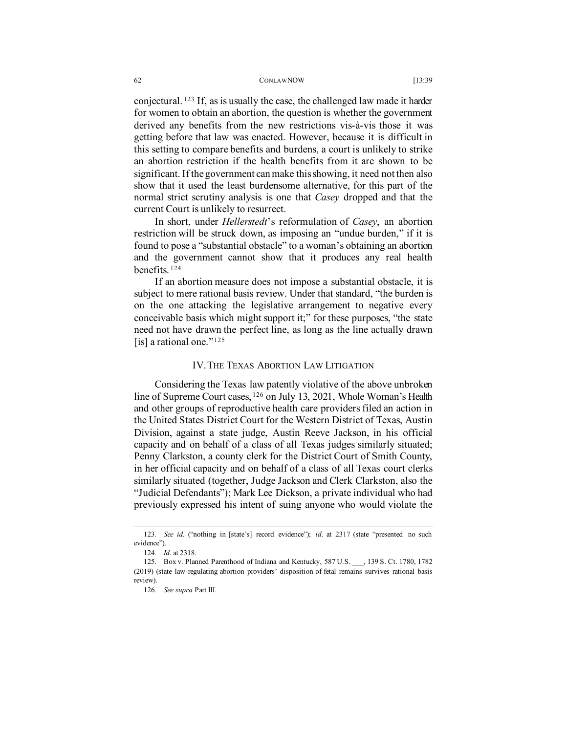conjectural. [123](#page-23-0) If, as is usually the case, the challenged law made it harder for women to obtain an abortion, the question is whether the government derived any benefits from the new restrictions vis-à-vis those it was getting before that law was enacted. However, because it is difficult in this setting to compare benefits and burdens, a court is unlikely to strike an abortion restriction if the health benefits from it are shown to be significant. If the government can make this showing, it need not then also show that it used the least burdensome alternative, for this part of the normal strict scrutiny analysis is one that *Casey* dropped and that the current Court is unlikely to resurrect.

In short, under *Hellerstedt*'s reformulation of *Casey*, an abortion restriction will be struck down, as imposing an "undue burden," if it is found to pose a "substantial obstacle" to a woman's obtaining an abortion and the government cannot show that it produces any real health benefits. [124](#page-23-1)

If an abortion measure does not impose a substantial obstacle, it is subject to mere rational basis review. Under that standard, "the burden is on the one attacking the legislative arrangement to negative every conceivable basis which might support it;" for these purposes, "the state need not have drawn the perfect line, as long as the line actually drawn [is] a rational one."<sup>[125](#page-23-2)</sup>

### IV. THE TEXAS ABORTION LAW LITIGATION

Considering the Texas law patently violative of the above unbroken line of Supreme Court cases, <sup>[126](#page-23-3)</sup> on July 13, 2021, Whole Woman's Health and other groups of reproductive health care providers filed an action in the United States District Court for the Western District of Texas, Austin Division, against a state judge, Austin Reeve Jackson, in his official capacity and on behalf of a class of all Texas judges similarly situated; Penny Clarkston, a county clerk for the District Court of Smith County, in her official capacity and on behalf of a class of all Texas court clerks similarly situated (together, Judge Jackson and Clerk Clarkston, also the "Judicial Defendants"); Mark Lee Dickson, a private individual who had previously expressed his intent of suing anyone who would violate the

<span id="page-23-0"></span><sup>123</sup>*. See id.* ("nothing in [state's] record evidence"); *id*. at 2317 (state "presented no such evidence").

<sup>124</sup>*. Id*. at 2318.

<span id="page-23-3"></span><span id="page-23-2"></span><span id="page-23-1"></span><sup>125.</sup> Box v. Planned Parenthood of Indiana and Kentucky, 587 U.S. \_\_\_, 139 S. Ct. 1780, 1782 (2019) (state law regulating abortion providers' disposition of fetal remains survives rational basis review).

<sup>126</sup>*. See supra* Part III.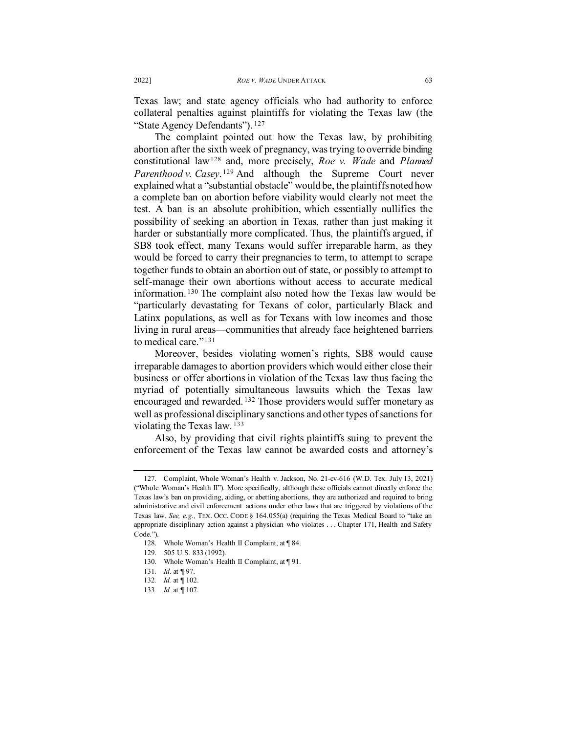Texas law; and state agency officials who had authority to enforce collateral penalties against plaintiffs for violating the Texas law (the "State Agency Defendants"). [127](#page-24-0)

The complaint pointed out how the Texas law, by prohibiting abortion after the sixth week of pregnancy, was trying to override binding constitutional law[128](#page-24-1) and, more precisely, *Roe v. Wade* and *Planned Parenthood v. Casey*. [129](#page-24-2) And although the Supreme Court never explained what a "substantial obstacle" would be, the plaintiffs noted how a complete ban on abortion before viability would clearly not meet the test. A ban is an absolute prohibition, which essentially nullifies the possibility of seeking an abortion in Texas, rather than just making it harder or substantially more complicated. Thus, the plaintiffs argued, if SB8 took effect, many Texans would suffer irreparable harm, as they would be forced to carry their pregnancies to term, to attempt to scrape together funds to obtain an abortion out of state, or possibly to attempt to self-manage their own abortions without access to accurate medical information. [130](#page-24-3) The complaint also noted how the Texas law would be "particularly devastating for Texans of color, particularly Black and Latinx populations, as well as for Texans with low incomes and those living in rural areas—communities that already face heightened barriers to medical care."<sup>[131](#page-24-4)</sup>

Moreover, besides violating women's rights, SB8 would cause irreparable damages to abortion providers which would either close their business or offer abortions in violation of the Texas law thus facing the myriad of potentially simultaneous lawsuits which the Texas law encouraged and rewarded. [132](#page-24-5) Those providers would suffer monetary as well as professional disciplinary sanctions and other types of sanctions for violating the Texas law. [133](#page-24-6)

Also, by providing that civil rights plaintiffs suing to prevent the enforcement of the Texas law cannot be awarded costs and attorney's

<span id="page-24-0"></span><sup>127.</sup> Complaint, Whole Woman's Health v. Jackson, No. 21-cv-616 (W.D. Tex. July 13, 2021) ("Whole Woman's Health II"). More specifically, although these officials cannot directly enforce the Texas law's ban on providing, aiding, or abetting abortions, they are authorized and required to bring administrative and civil enforcement actions under other laws that are triggered by violations of the Texas law. *See, e.g.,* TEX. OCC. CODE § 164.055(a) (requiring the Texas Medical Board to "take an appropriate disciplinary action against a physician who violates . . . Chapter 171, Health and Safety Code.").

<span id="page-24-2"></span><span id="page-24-1"></span><sup>128.</sup> Whole Woman's Health II Complaint, at 184.

<sup>129.</sup> 505 U.S. 833 (1992).

<span id="page-24-4"></span><span id="page-24-3"></span><sup>130.</sup> Whole Woman's Health II Complaint, at 191.

<sup>131</sup>*. Id*. at ¶ 97.

<span id="page-24-5"></span><sup>132</sup>*. Id.* at ¶ 102.

<span id="page-24-6"></span><sup>133</sup>*. Id.* at ¶ 107.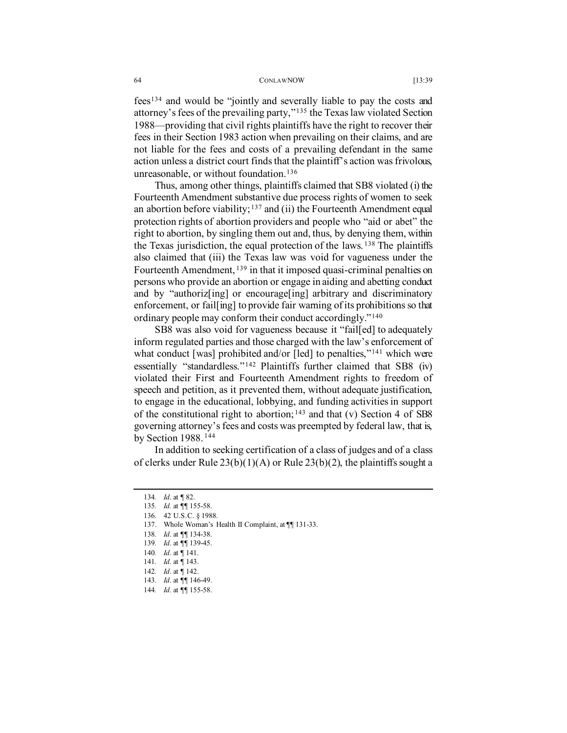fees[134](#page-25-0) and would be "jointly and severally liable to pay the costs and attorney's fees of the prevailing party,"[135](#page-25-1) the Texas law violated Section 1988—providing that civil rights plaintiffs have the right to recover their fees in their Section 1983 action when prevailing on their claims, and are not liable for the fees and costs of a prevailing defendant in the same action unless a district court finds that the plaintiff's action was frivolous, unreasonable, or without foundation.<sup>[136](#page-25-2)</sup>

Thus, among other things, plaintiffs claimed that SB8 violated (i) the Fourteenth Amendment substantive due process rights of women to seek an abortion before viability;<sup>[137](#page-25-3)</sup> and (ii) the Fourteenth Amendment equal protection rights of abortion providers and people who "aid or abet" the right to abortion, by singling them out and, thus, by denying them, within the Texas jurisdiction, the equal protection of the laws. [138](#page-25-4) The plaintiffs also claimed that (iii) the Texas law was void for vagueness under the Fourteenth Amendment, <sup>[139](#page-25-5)</sup> in that it imposed quasi-criminal penalties on persons who provide an abortion or engage in aiding and abetting conduct and by "authoriz[ing] or encourage[ing] arbitrary and discriminatory enforcement, or fail[ing] to provide fair warning of its prohibitions so that ordinary people may conform their conduct accordingly."[140](#page-25-6)

SB8 was also void for vagueness because it "fail[ed] to adequately inform regulated parties and those charged with the law's enforcement of what conduct [was] prohibited and/or [led] to penalties,"<sup>[141](#page-25-7)</sup> which were essentially "standardless."<sup>[142](#page-25-8)</sup> Plaintiffs further claimed that SB8 (iv) violated their First and Fourteenth Amendment rights to freedom of speech and petition, as it prevented them, without adequate justification, to engage in the educational, lobbying, and funding activities in support of the constitutional right to abortion;<sup>[143](#page-25-9)</sup> and that (v) Section 4 of SB8 governing attorney's fees and costs was preempted by federal law, that is, by Section 1988. [144](#page-25-10)

<span id="page-25-0"></span>In addition to seeking certification of a class of judges and of a class of clerks under Rule  $23(b)(1)(A)$  or Rule  $23(b)(2)$ , the plaintiffs sought a

<span id="page-25-3"></span>137. Whole Woman's Health II Complaint, at ¶¶ 131-33.

<sup>134</sup>*. Id*. at ¶ 82.

<sup>135</sup>*. Id.* at ¶¶ 155-58.

<span id="page-25-2"></span><span id="page-25-1"></span><sup>136.</sup> 42 U.S.C. § 1988.

<sup>138</sup>*. Id*. at ¶¶ 134-38.

<span id="page-25-4"></span><sup>139</sup>*. Id*. at ¶¶ 139-45.

<span id="page-25-6"></span><span id="page-25-5"></span><sup>140</sup>*. Id*. at ¶ 141.

<sup>141</sup>*. Id*. at ¶ 143.

<span id="page-25-10"></span><span id="page-25-9"></span><span id="page-25-8"></span><span id="page-25-7"></span><sup>142</sup>*. Id*. at ¶ 142.

<sup>143</sup>*. Id*. at ¶¶ 146-49.

<sup>144</sup>*. Id*. at ¶¶ 155-58.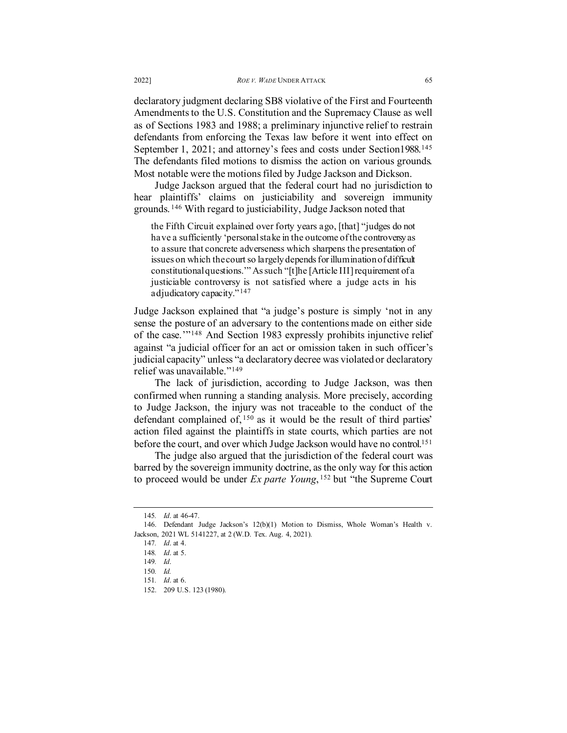declaratory judgment declaring SB8 violative of the First and Fourteenth Amendments to the U.S. Constitution and the Supremacy Clause as well as of Sections 1983 and 1988; a preliminary injunctive relief to restrain defendants from enforcing the Texas law before it went into effect on September 1, 2021; and attorney's fees and costs under Section1988.<sup>[145](#page-26-0)</sup> The defendants filed motions to dismiss the action on various grounds. Most notable were the motions filed by Judge Jackson and Dickson.

Judge Jackson argued that the federal court had no jurisdiction to hear plaintiffs' claims on justiciability and sovereign immunity grounds. [146](#page-26-1) With regard to justiciability, Judge Jackson noted that

the Fifth Circuit explained over forty years ago, [that] "judges do not have a sufficiently 'personal stake in the outcome of the controversy as to assure that concrete adverseness which sharpens the presentation of issues on which the court so largely depends for illumination of difficult constitutional questions.'" As such "[t]he [Article III] requirement of a justiciable controversy is not satisfied where a judge acts in his adjudicatory capacity." [147](#page-26-2)

Judge Jackson explained that "a judge's posture is simply 'not in any sense the posture of an adversary to the contentions made on either side of the case.'"<sup>[148](#page-26-3)</sup> And Section 1983 expressly prohibits injunctive relief against "a judicial officer for an act or omission taken in such officer's judicial capacity" unless "a declaratory decree was violated or declaratory relief was unavailable."[149](#page-26-4)

The lack of jurisdiction, according to Judge Jackson, was then confirmed when running a standing analysis. More precisely, according to Judge Jackson, the injury was not traceable to the conduct of the defendant complained of,  $150$  as it would be the result of third parties' action filed against the plaintiffs in state courts, which parties are not before the court, and over which Judge Jackson would have no control.<sup>151</sup>

The judge also argued that the jurisdiction of the federal court was barred by the sovereign immunity doctrine, as the only way for this action to proceed would be under *Ex parte Young*, [152](#page-26-7) but "the Supreme Court

<sup>145</sup>*. Id*. at 46-47.

<span id="page-26-5"></span><span id="page-26-4"></span><span id="page-26-3"></span><span id="page-26-2"></span><span id="page-26-1"></span><span id="page-26-0"></span><sup>146.</sup> Defendant Judge Jackson's 12(b)(1) Motion to Dismiss, Whole Woman's Health v. Jackson, 2021 WL 5141227, at 2 (W.D. Tex. Aug. 4, 2021).

<sup>147</sup>*. Id*. at 4.

<sup>148</sup>*. Id*. at 5.

<sup>149</sup>*. Id*.

<span id="page-26-6"></span><sup>150</sup>*. Id.*

<sup>151</sup>*. Id*. at 6.

<span id="page-26-7"></span><sup>152.</sup> 209 U.S. 123 (1980).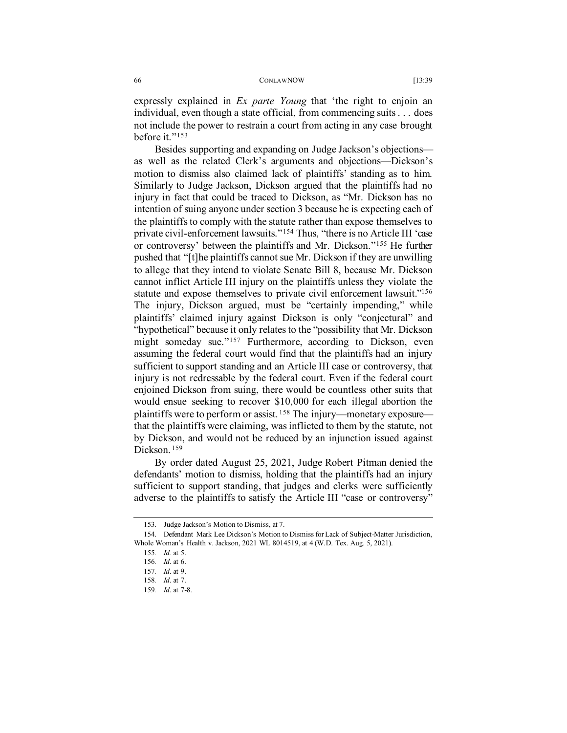Besides supporting and expanding on Judge Jackson's objections as well as the related Clerk's arguments and objections—Dickson's motion to dismiss also claimed lack of plaintiffs' standing as to him. Similarly to Judge Jackson, Dickson argued that the plaintiffs had no injury in fact that could be traced to Dickson, as "Mr. Dickson has no intention of suing anyone under section 3 because he is expecting each of the plaintiffs to comply with the statute rather than expose themselves to private civil-enforcement lawsuits."[154](#page-27-1) Thus, "there is no Article III 'case or controversy' between the plaintiffs and Mr. Dickson."[155](#page-27-2) He further pushed that "[t]he plaintiffs cannot sue Mr. Dickson if they are unwilling to allege that they intend to violate Senate Bill 8, because Mr. Dickson cannot inflict Article III injury on the plaintiffs unless they violate the statute and expose themselves to private civil enforcement lawsuit.["156](#page-27-3) The injury, Dickson argued, must be "certainly impending," while plaintiffs' claimed injury against Dickson is only "conjectural" and "hypothetical" because it only relates to the "possibility that Mr. Dickson might someday sue."<sup>[157](#page-27-4)</sup> Furthermore, according to Dickson, even assuming the federal court would find that the plaintiffs had an injury sufficient to support standing and an Article III case or controversy, that injury is not redressable by the federal court. Even if the federal court enjoined Dickson from suing, there would be countless other suits that would ensue seeking to recover \$10,000 for each illegal abortion the plaintiffs were to perform or assist. [158](#page-27-5) The injury—monetary exposure that the plaintiffs were claiming, was inflicted to them by the statute, not by Dickson, and would not be reduced by an injunction issued against Dickson.<sup>[159](#page-27-6)</sup>

By order dated August 25, 2021, Judge Robert Pitman denied the defendants' motion to dismiss, holding that the plaintiffs had an injury sufficient to support standing, that judges and clerks were sufficiently adverse to the plaintiffs to satisfy the Article III "case or controversy"

<sup>153.</sup> Judge Jackson's Motion to Dismiss, at 7.

<span id="page-27-5"></span><span id="page-27-4"></span><span id="page-27-3"></span><span id="page-27-2"></span><span id="page-27-1"></span><span id="page-27-0"></span><sup>154.</sup> Defendant Mark Lee Dickson's Motion to Dismiss for Lack of Subject-Matter Jurisdiction, Whole Woman's Health v. Jackson, 2021 WL 8014519, at 4 (W.D. Tex. Aug. 5, 2021).

<sup>155</sup>*. Id.* at 5.

<sup>156</sup>*. Id*. at 6.

<sup>157</sup>*. Id*. at 9.

<sup>158</sup>*. Id*. at 7.

<span id="page-27-6"></span><sup>159</sup>*. Id*. at 7-8.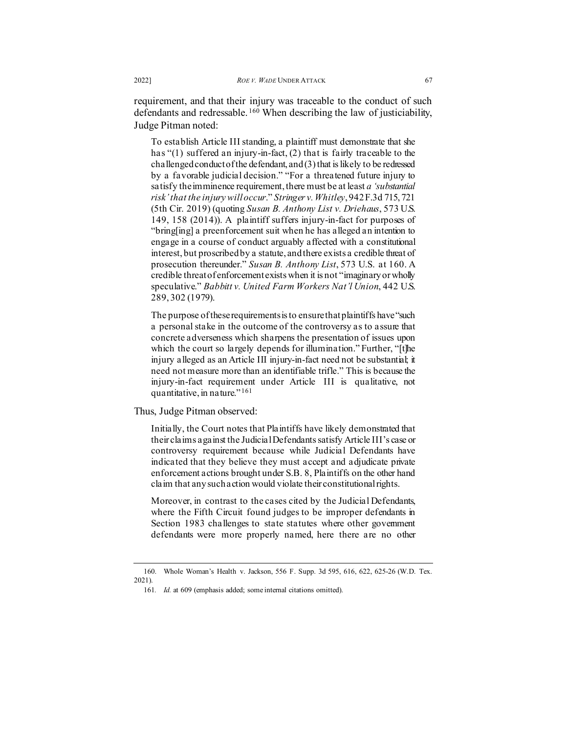requirement, and that their injury was traceable to the conduct of such defendants and redressable. [160](#page-28-0) When describing the law of justiciability, Judge Pitman noted:

To establish Article III standing, a plaintiff must demonstrate that she has "(1) suffered an injury-in-fact, (2) that is fairly traceable to the challenged conduct of the defendant, and (3) that is likely to be redressed by a favorable judicial decision." "For a threatened future injury to satisfy the imminence requirement, there must be at least *a 'substantial risk' that the injury will occur*." *Stringer v. Whitley*, 942 F.3d 715, 721 (5th Cir. 2019) (quoting *Susan B. Anthony List v. Driehaus*, 573 U.S. 149, 158 (2014)). A plaintiff suffers injury-in-fact for purposes of "bring[ing] a preenforcement suit when he has alleged an intention to engage in a course of conduct arguably affected with a constitutional interest, but proscribed by a statute, and there exists a credible threat of prosecution thereunder." *Susan B. Anthony List*, 573 U.S. at 160. A credible threat of enforcement exists when it is not "imaginary or wholly speculative." *Babbitt v. United Farm Workers Nat'l Union*, 442 U.S. 289, 302 (1979).

The purpose of these requirements is to ensure that plaintiffs have "such a personal stake in the outcome of the controversy as to assure that concrete adverseness which sharpens the presentation of issues upon which the court so largely depends for illumination." Further, "[t]he injury alleged as an Article III injury-in-fact need not be substantial; it need not measure more than an identifiable trifle." This is because the injury-in-fact requirement under Article III is qualitative, not quantitative, in nature." [161](#page-28-1)

Thus, Judge Pitman observed:

Initially, the Court notes that Plaintiffs have likely demonstrated that their claims against the Judicial Defendants satisfy Article III's case or controversy requirement because while Judicial Defendants have indicated that they believe they must accept and adjudicate private enforcement actions brought under S.B. 8, Plaintiffs on the other hand claim that any such action would violate their constitutional rights.

Moreover, in contrast to the cases cited by the Judicial Defendants, where the Fifth Circuit found judges to be improper defendants in Section 1983 challenges to state statutes where other government defendants were more properly named, here there are no other

<span id="page-28-1"></span><span id="page-28-0"></span><sup>160.</sup> Whole Woman's Health v. Jackson, 556 F. Supp. 3d 595, 616, 622, 625-26 (W.D. Tex. 2021).

<sup>161</sup>*. Id.* at 609 (emphasis added; some internal citations omitted).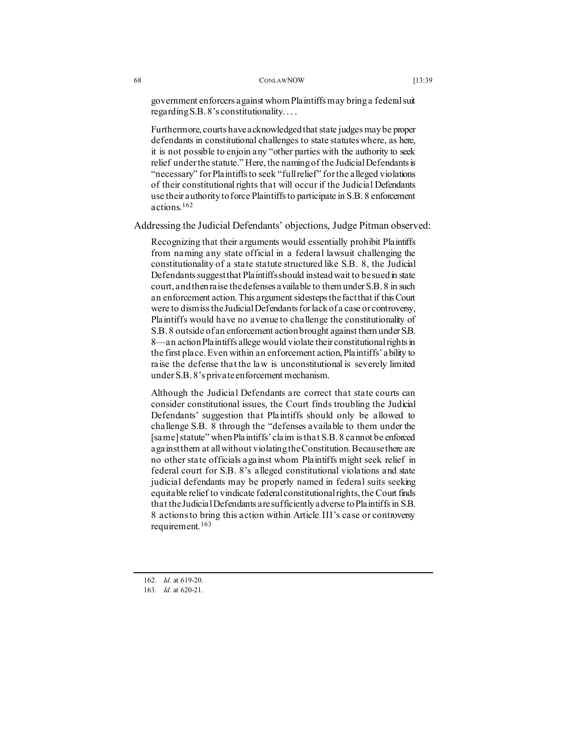government enforcers against whom Plaintiffs may bring a federal suit regarding S.B. 8's constitutionality. . . .

Furthermore, courts have acknowledged that state judges may be proper defendants in constitutional challenges to state statutes where, as here, it is not possible to enjoin any "other parties with the authority to seek relief under the statute." Here, the naming of the Judicial Defendants is "necessary" for Plaintiffs to seek "full relief" for the alleged violations of their constitutional rights that will occur if the Judicial Defendants use their authority to force Plaintiffs to participate in S.B. 8 enforcement actions.[162](#page-29-0)

Addressing the Judicial Defendants' objections, Judge Pitman observed:

Recognizing that their arguments would essentially prohibit Plaintiffs from naming any state official in a federal lawsuit challenging the constitutionality of a state statute structured like S.B. 8, the Judicial Defendants suggest that Plaintiffs should instead wait to be sued in state court, and then raise the defenses available to them under S.B. 8 in such an enforcement action. This argument sidesteps the fact that if this Court were to dismiss the Judicial Defendants for lack of a case or controversy, Plaintiffs would have no avenue to challenge the constitutionality of S.B. 8 outside of an enforcement action brought against them under S.B. 8—an action Plaintiffs allege would violate their constitutional rights in the first place. Even within an enforcement action, Plaintiffs' ability to raise the defense that the law is unconstitutional is severely limited under S.B. 8's private enforcement mechanism.

Although the Judicial Defendants are correct that state courts can consider constitutional issues, the Court finds troubling the Judicial Defendants' suggestion that Plaintiffs should only be allowed to challenge S.B. 8 through the "defenses available to them under the [same] statute" when Plaintiffs' claim is that S.B. 8 cannot be enforced against them at all without violating the Constitution. Because there are no other state officials against whom Plaintiffs might seek relief in federal court for S.B. 8's alleged constitutional violations and state judicial defendants may be properly named in federal suits seeking equitable relief to vindicate federal constitutional rights, the Court finds that the Judicial Defendants are sufficiently adverse to Plaintiffs in S.B. 8 actions to bring this action within Article III's case or controversy requirement.[163](#page-29-1)

<span id="page-29-1"></span><span id="page-29-0"></span><sup>162</sup>*. Id*. at 619-20.

<sup>163</sup>*. Id*. at 620-21.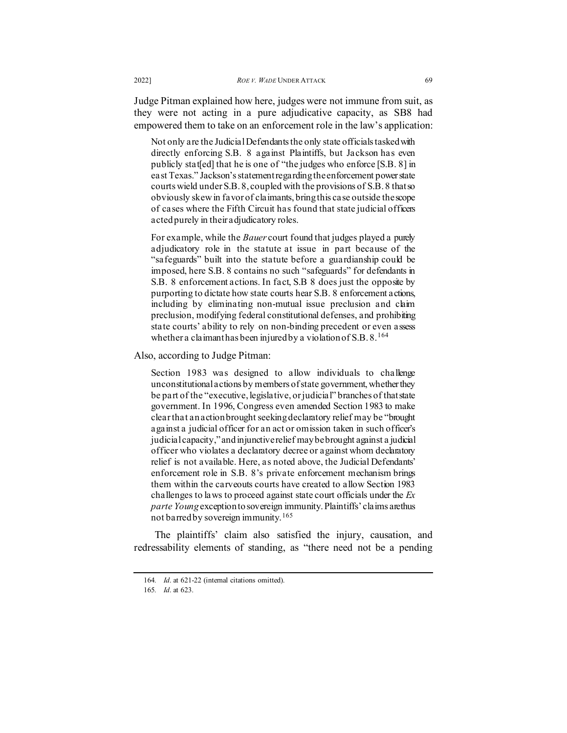Judge Pitman explained how here, judges were not immune from suit, as they were not acting in a pure adjudicative capacity, as SB8 had empowered them to take on an enforcement role in the law's application:

Not only are the Judicial Defendants the only state officials tasked with directly enforcing S.B. 8 against Plaintiffs, but Jackson has even publicly stat[ed] that he is one of "the judges who enforce [S.B. 8] in east Texas." Jackson's statement regarding the enforcement power state courts wield under S.B. 8, coupled with the provisions of S.B. 8 that so obviously skew in favor of claimants, bring this case outside the scope of cases where the Fifth Circuit has found that state judicial officers acted purely in their adjudicatory roles.

For example, while the *Bauer* court found that judges played a purely adjudicatory role in the statute at issue in part because of the "safeguards" built into the statute before a guardianship could be imposed, here S.B. 8 contains no such "safeguards" for defendants in S.B. 8 enforcement actions. In fact, S.B 8 does just the opposite by purporting to dictate how state courts hear S.B. 8 enforcement actions, including by eliminating non-mutual issue preclusion and claim preclusion, modifying federal constitutional defenses, and prohibiting state courts' ability to rely on non-binding precedent or even assess whether a claimant has been injured by a violation of S.B. 8.[164](#page-30-0)

Also, according to Judge Pitman:

Section 1983 was designed to allow individuals to challenge unconstitutional actions by members of state government, whether they be part of the "executive, legislative, or judicial" branches of that state government. In 1996, Congress even amended Section 1983 to make clear that an action brought seeking declaratory relief may be "brought against a judicial officer for an act or omission taken in such officer's judicial capacity," and injunctive relief may be brought against a judicial officer who violates a declaratory decree or against whom declaratory relief is not available. Here, as noted above, the Judicial Defendants' enforcement role in S.B. 8's private enforcement mechanism brings them within the carveouts courts have created to allow Section 1983 challenges to laws to proceed against state court officials under the *Ex parte Young* exception to sovereign immunity. Plaintiffs' claims are thus not barred by sovereign immunity.<sup>[165](#page-30-1)</sup>

<span id="page-30-0"></span>The plaintiffs' claim also satisfied the injury, causation, and redressability elements of standing, as "there need not be a pending

<sup>164</sup>*. Id*. at 621-22 (internal citations omitted).

<span id="page-30-1"></span><sup>165</sup>*. Id*. at 623.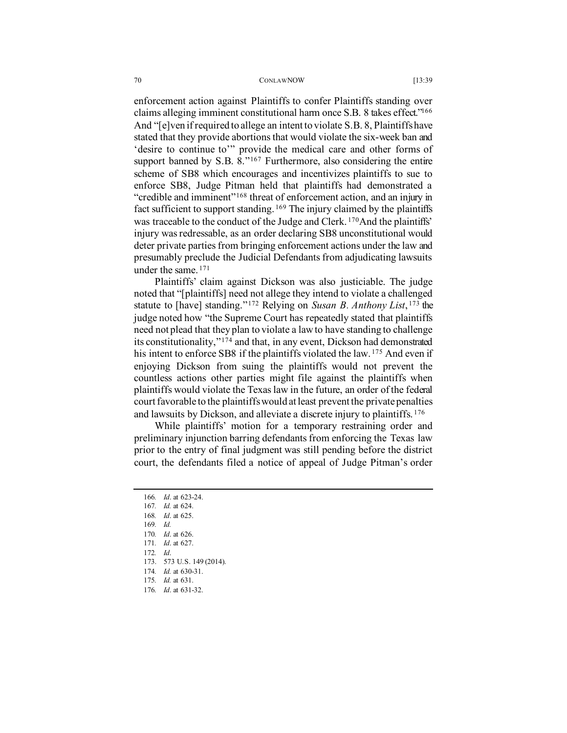enforcement action against Plaintiffs to confer Plaintiffs standing over claims alleging imminent constitutional harm once S.B. 8 takes effect.["166](#page-31-0) And "[e]ven if required to allege an intent to violate S.B. 8, Plaintiffs have stated that they provide abortions that would violate the six-week ban and 'desire to continue to'" provide the medical care and other forms of support banned by S.B. 8."<sup>[167](#page-31-1)</sup> Furthermore, also considering the entire scheme of SB8 which encourages and incentivizes plaintiffs to sue to enforce SB8, Judge Pitman held that plaintiffs had demonstrated a "credible and imminent"<sup>[168](#page-31-2)</sup> threat of enforcement action, and an injury in fact sufficient to support standing. <sup>[169](#page-31-3)</sup> The injury claimed by the plaintiffs was traceable to the conduct of the Judge and Clerk. <sup>[170](#page-31-4)</sup>And the plaintiffs' injury was redressable, as an order declaring SB8 unconstitutional would deter private parties from bringing enforcement actions under the law and presumably preclude the Judicial Defendants from adjudicating lawsuits under the same. [171](#page-31-5)

Plaintiffs' claim against Dickson was also justiciable. The judge noted that "[plaintiffs] need not allege they intend to violate a challenged statute to [have] standing."[172](#page-31-6) Relying on *Susan B. Anthony List*, [173](#page-31-7) the judge noted how "the Supreme Court has repeatedly stated that plaintiffs need not plead that they plan to violate a law to have standing to challenge its constitutionality,"[174](#page-31-8) and that, in any event, Dickson had demonstrated his intent to enforce SB8 if the plaintiffs violated the law. <sup>[175](#page-31-9)</sup> And even if enjoying Dickson from suing the plaintiffs would not prevent the countless actions other parties might file against the plaintiffs when plaintiffs would violate the Texas law in the future, an order of the federal court favorable to the plaintiffs would at least prevent the private penalties and lawsuits by Dickson, and alleviate a discrete injury to plaintiffs. [176](#page-31-10)

While plaintiffs' motion for a temporary restraining order and preliminary injunction barring defendants from enforcing the Texas law prior to the entry of final judgment was still pending before the district court, the defendants filed a notice of appeal of Judge Pitman's order

<span id="page-31-0"></span><sup>166</sup>*. Id*. at 623-24.

<span id="page-31-2"></span><span id="page-31-1"></span><sup>167</sup>*. Id.* at 624.

<sup>168</sup>*. Id*. at 625.

<span id="page-31-3"></span><sup>169</sup>*. Id.*

<sup>170</sup>*. Id*. at 626.

<span id="page-31-5"></span><span id="page-31-4"></span><sup>171</sup>*. Id*. at 627.

<span id="page-31-6"></span><sup>172</sup>*. Id*.

<sup>173.</sup> 573 U.S. 149 (2014).

<span id="page-31-10"></span><span id="page-31-9"></span><span id="page-31-8"></span><span id="page-31-7"></span><sup>174</sup>*. Id.* at 630-31.

<sup>175</sup>*. Id.* at 631.

<sup>176</sup>*. Id*. at 631-32.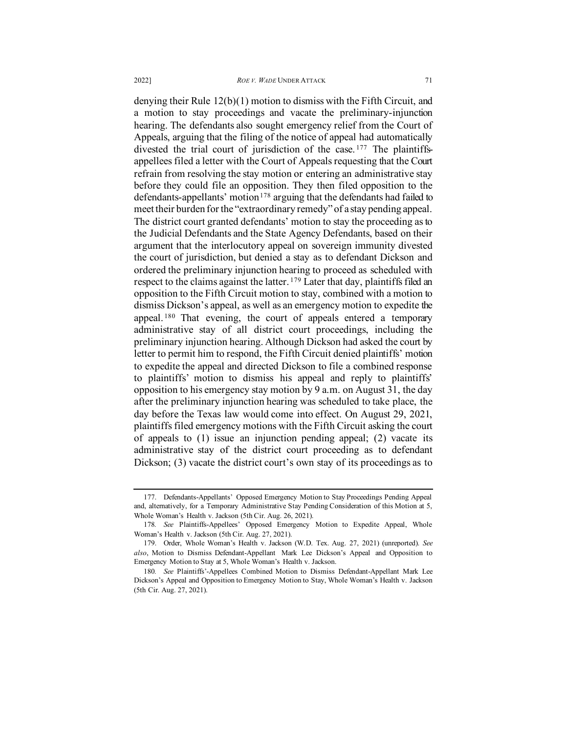denying their Rule 12(b)(1) motion to dismiss with the Fifth Circuit, and a motion to stay proceedings and vacate the preliminary-injunction hearing. The defendants also sought emergency relief from the Court of Appeals, arguing that the filing of the notice of appeal had automatically divested the trial court of jurisdiction of the case.<sup>[177](#page-32-0)</sup> The plaintiffsappellees filed a letter with the Court of Appeals requesting that the Court refrain from resolving the stay motion or entering an administrative stay before they could file an opposition. They then filed opposition to the defendants-appellants' motion<sup>[178](#page-32-1)</sup> arguing that the defendants had failed to meet their burden for the "extraordinary remedy" of a stay pending appeal. The district court granted defendants' motion to stay the proceeding as to the Judicial Defendants and the State Agency Defendants, based on their argument that the interlocutory appeal on sovereign immunity divested the court of jurisdiction, but denied a stay as to defendant Dickson and ordered the preliminary injunction hearing to proceed as scheduled with respect to the claims against the latter.<sup>[179](#page-32-2)</sup> Later that day, plaintiffs filed an opposition to the Fifth Circuit motion to stay, combined with a motion to dismiss Dickson's appeal, as well as an emergency motion to expedite the appeal. [180](#page-32-3) That evening, the court of appeals entered a temporary administrative stay of all district court proceedings, including the preliminary injunction hearing. Although Dickson had asked the court by letter to permit him to respond, the Fifth Circuit denied plaintiffs' motion to expedite the appeal and directed Dickson to file a combined response to plaintiffs' motion to dismiss his appeal and reply to plaintiffs' opposition to his emergency stay motion by 9 a.m. on August 31, the day after the preliminary injunction hearing was scheduled to take place, the day before the Texas law would come into effect. On August 29, 2021, plaintiffs filed emergency motions with the Fifth Circuit asking the court of appeals to (1) issue an injunction pending appeal; (2) vacate its administrative stay of the district court proceeding as to defendant Dickson; (3) vacate the district court's own stay of its proceedings as to

<span id="page-32-0"></span><sup>177.</sup> Defendants-Appellants' Opposed Emergency Motion to Stay Proceedings Pending Appeal and, alternatively, for a Temporary Administrative Stay Pending Consideration of this Motion at 5, Whole Woman's Health v. Jackson (5th Cir. Aug. 26, 2021).

<span id="page-32-1"></span><sup>178</sup>*. See* Plaintiffs-Appellees' Opposed Emergency Motion to Expedite Appeal, Whole Woman's Health v. Jackson (5th Cir. Aug. 27, 2021).

<span id="page-32-2"></span><sup>179.</sup> Order, Whole Woman's Health v. Jackson (W.D. Tex. Aug. 27, 2021) (unreported). *See also*, Motion to Dismiss Defendant-Appellant Mark Lee Dickson's Appeal and Opposition to Emergency Motion to Stay at 5, Whole Woman's Health v. Jackson.

<span id="page-32-3"></span><sup>180</sup>*. See* Plaintiffs'-Appellees Combined Motion to Dismiss Defendant-Appellant Mark Lee Dickson's Appeal and Opposition to Emergency Motion to Stay, Whole Woman's Health v. Jackson (5th Cir. Aug. 27, 2021).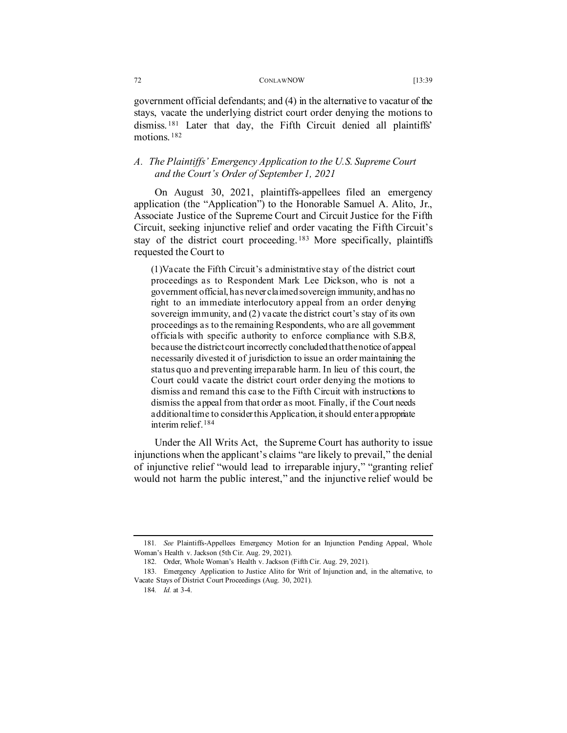## *A. The Plaintiffs' Emergency Application to the U.S. Supreme Court and the Court's Order of September 1, 2021*

On August 30, 2021, plaintiffs-appellees filed an emergency application (the "Application") to the Honorable Samuel A. Alito, Jr., Associate Justice of the Supreme Court and Circuit Justice for the Fifth Circuit, seeking injunctive relief and order vacating the Fifth Circuit's stay of the district court proceeding. [183](#page-33-2) More specifically, plaintiffs requested the Court to

(1)Vacate the Fifth Circuit's administrative stay of the district court proceedings as to Respondent Mark Lee Dickson, who is not a government official, has never claimed sovereign immunity, and has no right to an immediate interlocutory appeal from an order denying sovereign immunity, and (2) vacate the district court's stay of its own proceedings as to the remaining Respondents, who are all government officials with specific authority to enforce compliance with S.B.8, because the district court incorrectly concluded that the notice of appeal necessarily divested it of jurisdiction to issue an order maintaining the status quo and preventing irreparable harm. In lieu of this court, the Court could vacate the district court order denying the motions to dismiss and remand this case to the Fifth Circuit with instructions to dismiss the appeal from that order as moot. Finally, if the Court needs additional time to consider this Application, it should enter appropriate interim relief.[184](#page-33-3)

Under the All Writs Act, the Supreme Court has authority to issue injunctions when the applicant's claims "are likely to prevail," the denial of injunctive relief "would lead to irreparable injury," "granting relief would not harm the public interest," and the injunctive relief would be

<span id="page-33-0"></span><sup>181</sup>*. See* Plaintiffs-Appellees Emergency Motion for an Injunction Pending Appeal, Whole Woman's Health v. Jackson (5th Cir. Aug. 29, 2021).

<sup>182.</sup> Order, Whole Woman's Health v. Jackson (Fifth Cir. Aug. 29, 2021).

<span id="page-33-3"></span><span id="page-33-2"></span><span id="page-33-1"></span><sup>183.</sup> Emergency Application to Justice Alito for Writ of Injunction and, in the alternative, to Vacate Stays of District Court Proceedings (Aug. 30, 2021).

<sup>184</sup>*. Id.* at 3-4.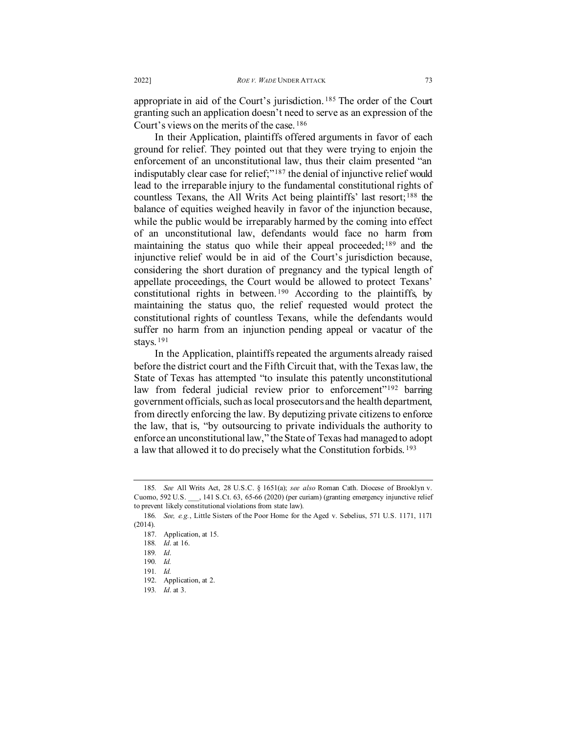appropriate in aid of the Court's jurisdiction. [185](#page-34-0) The order of the Court granting such an application doesn't need to serve as an expression of the Court's views on the merits of the case. [186](#page-34-1)

In their Application, plaintiffs offered arguments in favor of each ground for relief. They pointed out that they were trying to enjoin the enforcement of an unconstitutional law, thus their claim presented "an indisputably clear case for relief;"[187](#page-34-2) the denial of injunctive relief would lead to the irreparable injury to the fundamental constitutional rights of countless Texans, the All Writs Act being plaintiffs' last resort;<sup>[188](#page-34-3)</sup> the balance of equities weighed heavily in favor of the injunction because, while the public would be irreparably harmed by the coming into effect of an unconstitutional law, defendants would face no harm from maintaining the status quo while their appeal proceeded;<sup>[189](#page-34-4)</sup> and the injunctive relief would be in aid of the Court's jurisdiction because, considering the short duration of pregnancy and the typical length of appellate proceedings, the Court would be allowed to protect Texans' constitutional rights in between. [190](#page-34-5) According to the plaintiffs, by maintaining the status quo, the relief requested would protect the constitutional rights of countless Texans, while the defendants would suffer no harm from an injunction pending appeal or vacatur of the stays. [191](#page-34-6)

In the Application, plaintiffs repeated the arguments already raised before the district court and the Fifth Circuit that, with the Texas law, the State of Texas has attempted "to insulate this patently unconstitutional law from federal judicial review prior to enforcement"<sup>[192](#page-34-7)</sup> barring government officials, such as local prosecutors and the health department, from directly enforcing the law. By deputizing private citizens to enforce the law, that is, "by outsourcing to private individuals the authority to enforce an unconstitutional law," the State of Texas had managed to adopt a law that allowed it to do precisely what the Constitution forbids. [193](#page-34-8)

<span id="page-34-0"></span><sup>185</sup>*. See* All Writs Act, 28 U.S.C. § 1651(a); *see also* Roman Cath. Diocese of Brooklyn v. Cuomo, 592 U.S. \_\_\_, 141 S.Ct. 63, 65-66 (2020) (per curiam) (granting emergency injunctive relief to prevent likely constitutional violations from state law).

<span id="page-34-5"></span><span id="page-34-4"></span><span id="page-34-3"></span><span id="page-34-2"></span><span id="page-34-1"></span><sup>186</sup>*. See, e.g.*, Little Sisters of the Poor Home for the Aged v. Sebelius, 571 U.S. 1171, 1171 (2014).

<sup>187.</sup> Application, at 15.

<sup>188</sup>*. Id*. at 16.

<sup>189</sup>*. Id*.

<sup>190</sup>*. Id.*

<sup>191</sup>*. Id.*

<span id="page-34-8"></span><span id="page-34-7"></span><span id="page-34-6"></span><sup>192.</sup> Application, at 2.

<sup>193</sup>*. Id*. at 3.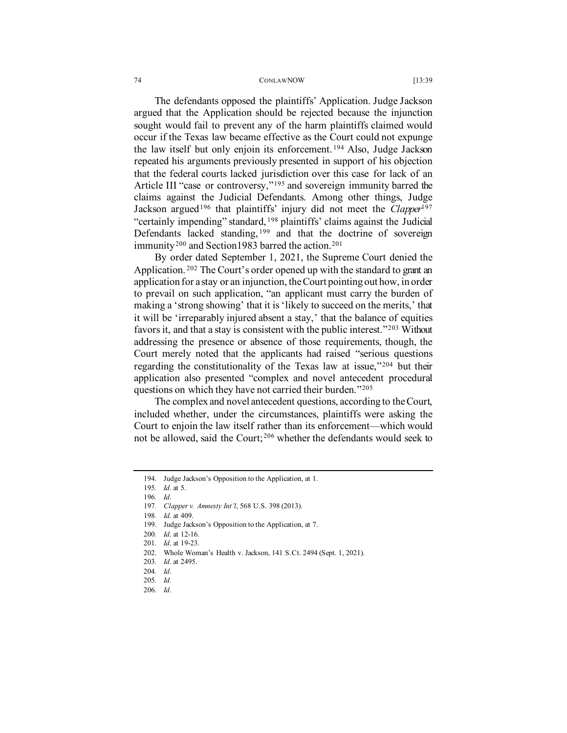The defendants opposed the plaintiffs' Application. Judge Jackson argued that the Application should be rejected because the injunction sought would fail to prevent any of the harm plaintiffs claimed would occur if the Texas law became effective as the Court could not expunge the law itself but only enjoin its enforcement. [194](#page-35-0) Also, Judge Jackson repeated his arguments previously presented in support of his objection that the federal courts lacked jurisdiction over this case for lack of an Article III "case or controversy,"<sup>[195](#page-35-1)</sup> and sovereign immunity barred the claims against the Judicial Defendants. Among other things, Judge Jackson argued<sup>[196](#page-35-2)</sup> that plaintiffs' injury did not meet the *Clapper*<sup>[197](#page-35-3)</sup> "certainly impending" standard, [198](#page-35-4) plaintiffs' claims against the Judicial Defendants lacked standing, <sup>[199](#page-35-5)</sup> and that the doctrine of sovereign immunity<sup>[200](#page-35-6)</sup> and Section1983 barred the action.<sup>[201](#page-35-7)</sup>

By order dated September 1, 2021, the Supreme Court denied the Application. <sup>[202](#page-35-8)</sup> The Court's order opened up with the standard to grant an application for a stay or an injunction, the Court pointing out how, in order to prevail on such application, "an applicant must carry the burden of making a 'strong showing' that it is 'likely to succeed on the merits,' that it will be 'irreparably injured absent a stay,' that the balance of equities favors it, and that a stay is consistent with the public interest."[203](#page-35-9) Without addressing the presence or absence of those requirements, though, the Court merely noted that the applicants had raised "serious questions regarding the constitutionality of the Texas law at issue,"[204](#page-35-10) but their application also presented "complex and novel antecedent procedural questions on which they have not carried their burden."[205](#page-35-11)

The complex and novel antecedent questions, according to the Court, included whether, under the circumstances, plaintiffs were asking the Court to enjoin the law itself rather than its enforcement—which would not be allowed, said the Court;[206](#page-35-12) whether the defendants would seek to

<span id="page-35-12"></span>206*. Id*.

<span id="page-35-0"></span><sup>194.</sup> Judge Jackson's Opposition to the Application, at 1.

<span id="page-35-1"></span><sup>195</sup>*. Id*. at 5.

<span id="page-35-2"></span><sup>196</sup>*. Id*.

<span id="page-35-3"></span><sup>197</sup>*. Clapper v. Amnesty Int'l*, 568 U.S. 398 (2013).

<sup>198</sup>*. Id.* at 409.

<span id="page-35-5"></span><span id="page-35-4"></span><sup>199.</sup> Judge Jackson's Opposition to the Application, at 7.

<sup>200</sup>*. Id*. at 12-16.

<sup>201</sup>*. Id*. at 19-23.

<span id="page-35-9"></span><span id="page-35-8"></span><span id="page-35-7"></span><span id="page-35-6"></span><sup>202.</sup> Whole Woman's Health v. Jackson, 141 S.Ct. 2494 (Sept. 1, 2021).

<span id="page-35-10"></span><sup>203</sup>*. Id*. at 2495.

<sup>204</sup>*. Id*.

<span id="page-35-11"></span><sup>205</sup>*. Id.*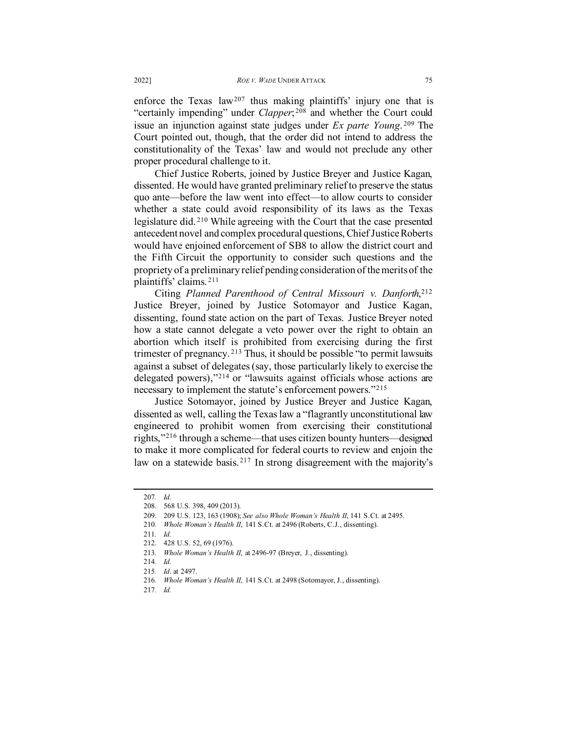enforce the Texas  $law^{207}$  $law^{207}$  $law^{207}$  thus making plaintiffs' injury one that is "certainly impending" under *Clapper*;[208](#page-36-1) and whether the Court could issue an injunction against state judges under *Ex parte Young*. [209](#page-36-2) The Court pointed out, though, that the order did not intend to address the constitutionality of the Texas' law and would not preclude any other proper procedural challenge to it.

Chief Justice Roberts, joined by Justice Breyer and Justice Kagan, dissented. He would have granted preliminary relief to preserve the status quo ante—before the law went into effect—to allow courts to consider whether a state could avoid responsibility of its laws as the Texas legislature did. [210](#page-36-3) While agreeing with the Court that the case presented antecedent novel and complex procedural questions, Chief Justice Roberts would have enjoined enforcement of SB8 to allow the district court and the Fifth Circuit the opportunity to consider such questions and the propriety of a preliminary relief pending consideration of the merits of the plaintiffs' claims. [211](#page-36-4)

Citing *Planned Parenthood of Central Missouri v. Danforth*, [212](#page-36-5) Justice Breyer, joined by Justice Sotomayor and Justice Kagan, dissenting, found state action on the part of Texas. Justice Breyer noted how a state cannot delegate a veto power over the right to obtain an abortion which itself is prohibited from exercising during the first trimester of pregnancy. [213](#page-36-6) Thus, it should be possible "to permit lawsuits against a subset of delegates (say, those particularly likely to exercise the delegated powers),"[214](#page-36-7) or "lawsuits against officials whose actions are necessary to implement the statute's enforcement powers."[215](#page-36-8)

Justice Sotomayor, joined by Justice Breyer and Justice Kagan, dissented as well, calling the Texas law a "flagrantly unconstitutional law engineered to prohibit women from exercising their constitutional rights,"[216](#page-36-9) through a scheme—that uses citizen bounty hunters—designed to make it more complicated for federal courts to review and enjoin the law on a statewide basis.<sup>[217](#page-36-10)</sup> In strong disagreement with the majority's

<span id="page-36-1"></span><span id="page-36-0"></span><sup>207</sup>*. Id.*

<sup>208.</sup> 568 U.S. 398, 409 (2013).

<sup>209.</sup> 209 U.S. 123, 163 (1908); *See also Whole Woman's Health II*, 141 S.Ct. at 2495.

<sup>210</sup>*. Whole Woman's Health II*, 141 S.Ct. at 2496 (Roberts, C.J., dissenting).

<span id="page-36-3"></span><span id="page-36-2"></span><sup>211</sup>*. Id.*

<sup>212.</sup> 428 U.S. 52, 69 (1976).

<span id="page-36-7"></span><span id="page-36-6"></span><span id="page-36-5"></span><span id="page-36-4"></span><sup>213</sup>*. Whole Woman's Health II*, at 2496-97 (Breyer, J., dissenting).

<sup>214</sup>*. Id.*

<span id="page-36-8"></span><sup>215</sup>*. Id*. at 2497.

<span id="page-36-10"></span><span id="page-36-9"></span><sup>216</sup>*. Whole Woman's Health II*, 141 S.Ct. at 2498 (Sotomayor, J., dissenting).

<sup>217</sup>*. Id.*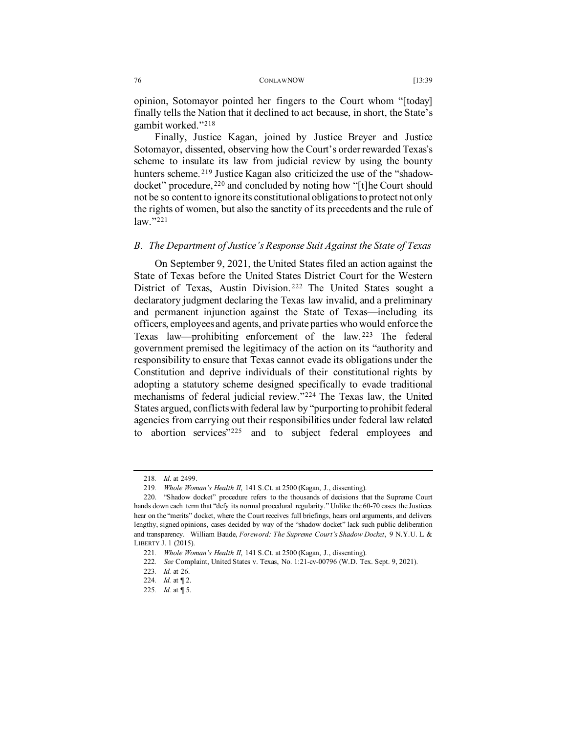opinion, Sotomayor pointed her fingers to the Court whom "[today] finally tells the Nation that it declined to act because, in short, the State's gambit worked."[218](#page-37-0)

Finally, Justice Kagan, joined by Justice Breyer and Justice Sotomayor, dissented, observing how the Court's order rewarded Texas's scheme to insulate its law from judicial review by using the bounty hunters scheme.<sup>[219](#page-37-1)</sup> Justice Kagan also criticized the use of the "shadowdocket" procedure, [220](#page-37-2) and concluded by noting how "[t]he Court should not be so content to ignore its constitutional obligations to protect not only the rights of women, but also the sanctity of its precedents and the rule of law."[221](#page-37-3)

## *B. The Department of Justice's Response Suit Against the State of Texas*

On September 9, 2021, the United States filed an action against the State of Texas before the United States District Court for the Western District of Texas, Austin Division.<sup>[222](#page-37-4)</sup> The United States sought a declaratory judgment declaring the Texas law invalid, and a preliminary and permanent injunction against the State of Texas—including its officers, employees and agents, and private parties who would enforce the Texas law—prohibiting enforcement of the law. [223](#page-37-5) The federal government premised the legitimacy of the action on its "authority and responsibility to ensure that Texas cannot evade its obligations under the Constitution and deprive individuals of their constitutional rights by adopting a statutory scheme designed specifically to evade traditional mechanisms of federal judicial review."[224](#page-37-6) The Texas law, the United States argued, conflicts with federal law by "purporting to prohibit federal agencies from carrying out their responsibilities under federal law related to abortion services"<sup>[225](#page-37-7)</sup> and to subject federal employees and

<sup>218</sup>*. Id*. at 2499.

<sup>219</sup>*. Whole Woman's Health II*, 141 S.Ct. at 2500 (Kagan, J., dissenting).

<span id="page-37-2"></span><span id="page-37-1"></span><span id="page-37-0"></span><sup>220. &</sup>quot;Shadow docket" procedure refers to the thousands of decisions that the Supreme Court hands down each term that "defy its normal procedural regularity." Unlike the 60-70 cases the Justices hear on the "merits" docket, where the Court receives full briefings, hears oral arguments, and delivers lengthy, signed opinions, cases decided by way of the "shadow docket" lack such public deliberation and transparency. William Baude, *Foreword: The Supreme Court's Shadow Docket*, 9 N.Y.U. L. & LIBERTY J. 1 (2015).

<span id="page-37-3"></span><sup>221</sup>*. Whole Woman's Health II*, 141 S.Ct. at 2500 (Kagan, J., dissenting).

<sup>222</sup>*. See* Complaint, United States v. Texas, No. 1:21-cv-00796 (W.D. Tex. Sept. 9, 2021).

<sup>223</sup>*. Id.* at 26.

<span id="page-37-6"></span><span id="page-37-5"></span><span id="page-37-4"></span><sup>224</sup>*. Id.* at ¶ 2.

<span id="page-37-7"></span><sup>225</sup>*. Id.* at ¶ 5.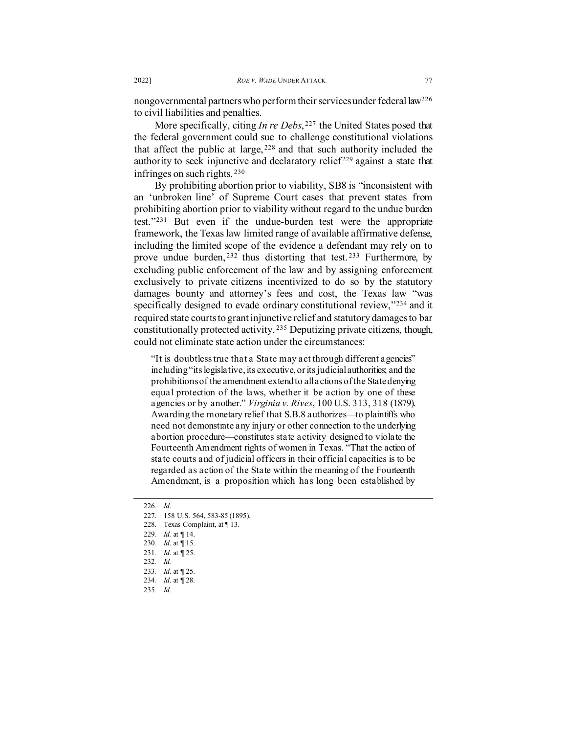nongovernmental partners who perform their services under federal law<sup>226</sup> to civil liabilities and penalties.

More specifically, citing *In re Debs*, <sup>[227](#page-38-1)</sup> the United States posed that the federal government could sue to challenge constitutional violations that affect the public at large, [228](#page-38-2) and that such authority included the authority to seek injunctive and declaratory relief<sup>[229](#page-38-3)</sup> against a state that infringes on such rights. [230](#page-38-4)

By prohibiting abortion prior to viability, SB8 is "inconsistent with an 'unbroken line' of Supreme Court cases that prevent states from prohibiting abortion prior to viability without regard to the undue burden test."[231](#page-38-5) But even if the undue-burden test were the appropriate framework, the Texas law limited range of available affirmative defense, including the limited scope of the evidence a defendant may rely on to prove undue burden,  $232$  thus distorting that test.  $233$  Furthermore, by excluding public enforcement of the law and by assigning enforcement exclusively to private citizens incentivized to do so by the statutory damages bounty and attorney's fees and cost, the Texas law "was specifically designed to evade ordinary constitutional review,"<sup>[234](#page-38-8)</sup> and it required state courts to grant injunctive relief and statutory damages to bar constitutionally protected activity. [235](#page-38-9) Deputizing private citizens, though, could not eliminate state action under the circumstances:

"It is doubtless true that a State may act through different agencies" including "its legislative, its executive, or its judicial authorities; and the prohibitions of the amendment extend to all actions of the State denying equal protection of the laws, whether it be action by one of these agencies or by another." *Virginia v. Rives*, 100 U.S. 313, 318 (1879). Awarding the monetary relief that S.B.8 authorizes—to plaintiffs who need not demonstrate any injury or other connection to the underlying abortion procedure—constitutes state activity designed to violate the Fourteenth Amendment rights of women in Texas. "That the action of state courts and of judicial officers in their official capacities is to be regarded as action of the State within the meaning of the Fourteenth Amendment, is a proposition which has long been established by

- 232*. Id.*
- 233*. Id*. at ¶ 25.
- 234*. Id*. at ¶ 28.
- <span id="page-38-9"></span><span id="page-38-8"></span><span id="page-38-7"></span>235*. Id.*

<sup>226</sup>*. Id*.

<span id="page-38-2"></span><span id="page-38-1"></span><span id="page-38-0"></span><sup>227.</sup> 158 U.S. 564, 583-85 (1895).

<sup>228.</sup> Texas Complaint, at ¶ 13.

<sup>229</sup>*. Id.* at ¶ 14.

<sup>230</sup>*. Id*. at ¶ 15.

<span id="page-38-6"></span><span id="page-38-5"></span><span id="page-38-4"></span><span id="page-38-3"></span><sup>231</sup>*. Id*. at ¶ 25.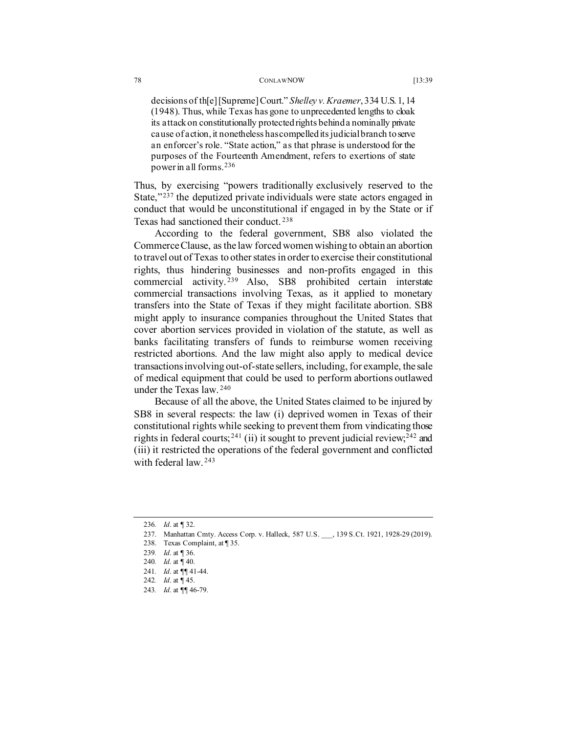decisions of th[e] [Supreme] Court." *Shelley v. Kraemer*, 334 U.S. 1, 14 (1948). Thus, while Texas has gone to unprecedented lengths to cloak its attack on constitutionally protected rights behind a nominally private cause of action, it nonetheless has compelled its judicial branch to serve an enforcer's role. "State action," as that phrase is understood for the purposes of the Fourteenth Amendment, refers to exertions of state power in all forms.[236](#page-39-0)

Thus, by exercising "powers traditionally exclusively reserved to the State,"<sup>[237](#page-39-1)</sup> the deputized private individuals were state actors engaged in conduct that would be unconstitutional if engaged in by the State or if Texas had sanctioned their conduct. [238](#page-39-2)

According to the federal government, SB8 also violated the Commerce Clause, as the law forced women wishing to obtain an abortion to travel out of Texas to other states in order to exercise their constitutional rights, thus hindering businesses and non-profits engaged in this commercial activity. [239](#page-39-3) Also, SB8 prohibited certain interstate commercial transactions involving Texas, as it applied to monetary transfers into the State of Texas if they might facilitate abortion. SB8 might apply to insurance companies throughout the United States that cover abortion services provided in violation of the statute, as well as banks facilitating transfers of funds to reimburse women receiving restricted abortions. And the law might also apply to medical device transactions involving out-of-state sellers, including, for example, the sale of medical equipment that could be used to perform abortions outlawed under the Texas law. [240](#page-39-4)

Because of all the above, the United States claimed to be injured by SB8 in several respects: the law (i) deprived women in Texas of their constitutional rights while seeking to prevent them from vindicating those rights in federal courts;<sup>[241](#page-39-5)</sup> (ii) it sought to prevent judicial review;<sup>242</sup> and (iii) it restricted the operations of the federal government and conflicted with federal law. [243](#page-39-7)

<span id="page-39-0"></span><sup>236</sup>*. Id*. at ¶ 32.

<span id="page-39-1"></span><sup>237.</sup> Manhattan Cmty. Access Corp. v. Halleck, 587 U.S. \_\_\_, 139 S.Ct. 1921, 1928-29 (2019).

<sup>238.</sup> Texas Complaint, at ¶ 35.

<span id="page-39-3"></span><span id="page-39-2"></span><sup>239</sup>*. Id*. at ¶ 36.

<span id="page-39-4"></span><sup>240</sup>*. Id*. at ¶ 40.

<sup>241</sup>*. Id*. at ¶¶ 41-44.

<span id="page-39-7"></span><span id="page-39-6"></span><span id="page-39-5"></span><sup>242</sup>*. Id*. at ¶ 45.

<sup>243</sup>*. Id*. at ¶¶ 46-79.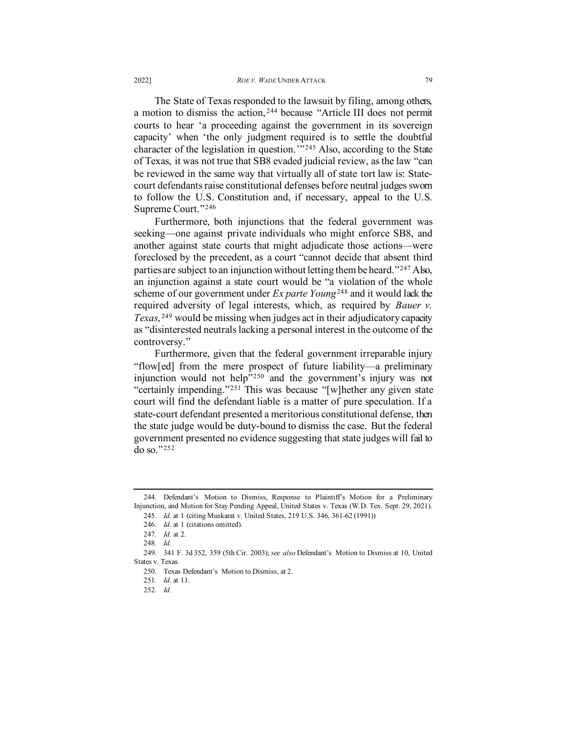The State of Texas responded to the lawsuit by filing, among others, a motion to dismiss the action, [244](#page-40-0) because "Article III does not permit courts to hear 'a proceeding against the government in its sovereign capacity' when 'the only judgment required is to settle the doubtful character of the legislation in question.'"[245](#page-40-1) Also, according to the State of Texas, it was not true that SB8 evaded judicial review, as the law "can be reviewed in the same way that virtually all of state tort law is: Statecourt defendants raise constitutional defenses before neutral judges sworn to follow the U.S. Constitution and, if necessary, appeal to the U.S. Supreme Court."[246](#page-40-2)

Furthermore, both injunctions that the federal government was seeking—one against private individuals who might enforce SB8, and another against state courts that might adjudicate those actions—were foreclosed by the precedent, as a court "cannot decide that absent third parties are subject to an injunction without letting them be heard."<sup>[247](#page-40-3)</sup> Also, an injunction against a state court would be "a violation of the whole scheme of our government under *Ex parte Young*[248](#page-40-4) and it would lack the required adversity of legal interests, which, as required by *Bauer v. Texas*, [249](#page-40-5) would be missing when judges act in their adjudicatory capacity as "disinterested neutrals lacking a personal interest in the outcome of the controversy."

Furthermore, given that the federal government irreparable injury "flow[ed] from the mere prospect of future liability—a preliminary injunction would not help"<sup>[250](#page-40-6)</sup> and the government's injury was not "certainly impending."[251](#page-40-7) This was because "[w]hether any given state court will find the defendant liable is a matter of pure speculation. If a state-court defendant presented a meritorious constitutional defense, then the state judge would be duty-bound to dismiss the case. But the federal government presented no evidence suggesting that state judges will fail to do so."[252](#page-40-8)

<span id="page-40-1"></span><span id="page-40-0"></span><sup>244.</sup> Defendant's Motion to Dismiss, Response to Plaintiff's Motion for a Preliminary Injunction, and Motion for Stay Pending Appeal, United States v. Texas (W.D. Tex. Sept. 29, 2021).

<sup>245</sup>*. Id.* at 1 (citing Muskarat v. United States, 219 U.S. 346, 361-62 (1991))

<sup>246</sup>*. Id*. at 1 (citations omitted).

<sup>247</sup>*. Id*. at 2.

<sup>248</sup>*. Id.*

<span id="page-40-8"></span><span id="page-40-7"></span><span id="page-40-6"></span><span id="page-40-5"></span><span id="page-40-4"></span><span id="page-40-3"></span><span id="page-40-2"></span><sup>249.</sup> 341 F. 3d 352, 359 (5th Cir. 2003); *see also* Defendant's Motion to Dismiss at 10, United States v. Texas.

<sup>250.</sup> Texas Defendant's Motion to Dismiss, at 2.

<sup>251</sup>*. Id*. at 11.

<sup>252</sup>*. Id.*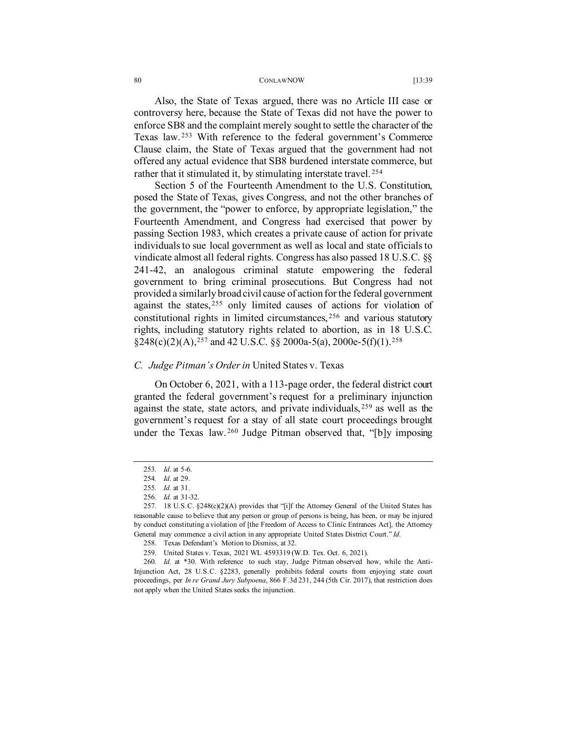Also, the State of Texas argued, there was no Article III case or controversy here, because the State of Texas did not have the power to enforce SB8 and the complaint merely sought to settle the character of the Texas law. [253](#page-41-0) With reference to the federal government's Commerce Clause claim, the State of Texas argued that the government had not offered any actual evidence that SB8 burdened interstate commerce, but rather that it stimulated it, by stimulating interstate travel.<sup>[254](#page-41-1)</sup>

Section 5 of the Fourteenth Amendment to the U.S. Constitution, posed the State of Texas, gives Congress, and not the other branches of the government, the "power to enforce, by appropriate legislation," the Fourteenth Amendment, and Congress had exercised that power by passing Section 1983, which creates a private cause of action for private individuals to sue local government as well as local and state officials to vindicate almost all federal rights. Congress has also passed 18 U.S.C. §§ 241-42, an analogous criminal statute empowering the federal government to bring criminal prosecutions. But Congress had not provided a similarly broad civil cause of action for the federal government against the states,<sup>[255](#page-41-2)</sup> only limited causes of actions for violation of constitutional rights in limited circumstances, [256](#page-41-3) and various statutory rights, including statutory rights related to abortion, as in 18 U.S.C.  $\S 248(c)(2)(A),<sup>257</sup>$  $\S 248(c)(2)(A),<sup>257</sup>$  $\S 248(c)(2)(A),<sup>257</sup>$  and 42 U.S.C.  $\S § 2000a-5(a), 2000e-5(f)(1).<sup>258</sup>$  $\S § 2000a-5(a), 2000e-5(f)(1).<sup>258</sup>$  $\S § 2000a-5(a), 2000e-5(f)(1).<sup>258</sup>$ 

### *C. Judge Pitman's Order in* United States v. Texas

On October 6, 2021, with a 113-page order, the federal district court granted the federal government's request for a preliminary injunction against the state, state actors, and private individuals,  $259$  as well as the government's request for a stay of all state court proceedings brought under the Texas law.<sup>[260](#page-41-7)</sup> Judge Pitman observed that, "[b]y imposing

<sup>253</sup>*. Id*. at 5-6.

<sup>254</sup>*. Id*. at 29.

<sup>255</sup>*. Id*. at 31.

<sup>256</sup>*. Id.* at 31-32.

<span id="page-41-4"></span><span id="page-41-3"></span><span id="page-41-2"></span><span id="page-41-1"></span><span id="page-41-0"></span><sup>257.</sup> 18 U.S.C. §248(c)(2)(A) provides that "[i]f the Attorney General of the United States has reasonable cause to believe that any person or group of persons is being, has been, or may be injured by conduct constituting a violation of [the Freedom of Access to Clinic Entrances Act], the Attorney General may commence a civil action in any appropriate United States District Court." *Id*.

<sup>258.</sup> Texas Defendant's Motion to Dismiss, at 32.

<sup>259.</sup> United States v. Texas, 2021 WL 4593319 (W.D. Tex. Oct. 6, 2021).

<span id="page-41-7"></span><span id="page-41-6"></span><span id="page-41-5"></span><sup>260</sup>*. Id.* at \*30. With reference to such stay, Judge Pitman observed how, while the Anti-Injunction Act, 28 U.S.C. §2283, generally prohibits federal courts from enjoying state court proceedings, per *In re Grand Jury Subpoena*, 866 F.3d 231, 244 (5th Cir. 2017), that restriction does not apply when the United States seeks the injunction.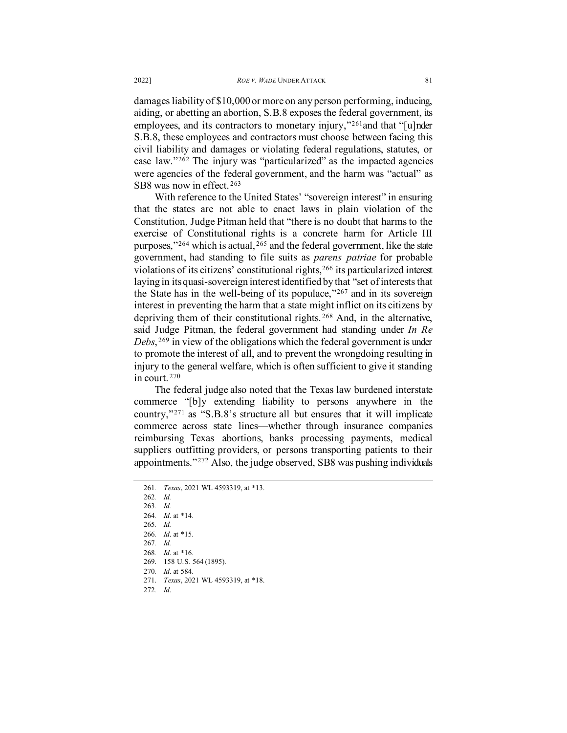damages liability of \$10,000 or more on any person performing, inducing, aiding, or abetting an abortion, S.B.8 exposes the federal government, its employees, and its contractors to monetary injury,"<sup>[261](#page-42-0)</sup>and that "[u]nder S.B.8, these employees and contractors must choose between facing this civil liability and damages or violating federal regulations, statutes, or case law."<sup>[262](#page-42-1)</sup> The injury was "particularized" as the impacted agencies were agencies of the federal government, and the harm was "actual" as SB8 was now in effect. [263](#page-42-2)

With reference to the United States' "sovereign interest" in ensuring that the states are not able to enact laws in plain violation of the Constitution, Judge Pitman held that "there is no doubt that harms to the exercise of Constitutional rights is a concrete harm for Article III purposes,"<sup>[264](#page-42-3)</sup> which is actual,  $^{265}$  $^{265}$  $^{265}$  and the federal government, like the state government, had standing to file suits as *parens patriae* for probable violations of its citizens' constitutional rights,<sup>[266](#page-42-5)</sup> its particularized interest laying in its quasi-sovereign interest identified by that "set of interests that the State has in the well-being of its populace,"[267](#page-42-6) and in its sovereign interest in preventing the harm that a state might inflict on its citizens by depriving them of their constitutional rights. [268](#page-42-7) And, in the alternative, said Judge Pitman, the federal government had standing under *In Re Debs*, [269](#page-42-8) in view of the obligations which the federal government is under to promote the interest of all, and to prevent the wrongdoing resulting in injury to the general welfare, which is often sufficient to give it standing in court. [270](#page-42-9)

The federal judge also noted that the Texas law burdened interstate commerce "[b]y extending liability to persons anywhere in the country,"[271](#page-42-10) as "S.B.8's structure all but ensures that it will implicate commerce across state lines—whether through insurance companies reimbursing Texas abortions, banks processing payments, medical suppliers outfitting providers, or persons transporting patients to their appointments."[272](#page-42-11) Also, the judge observed, SB8 was pushing individuals

<span id="page-42-2"></span><span id="page-42-1"></span>262*. Id.*

<span id="page-42-0"></span><sup>261</sup>*. Texas*, 2021 WL 4593319, at \*13.

<sup>263</sup>*. Id.*

<span id="page-42-3"></span><sup>264</sup>*. Id*. at \*14.

<sup>265</sup>*. Id.*

<sup>266</sup>*. Id*. at \*15.

<span id="page-42-6"></span><span id="page-42-5"></span><span id="page-42-4"></span><sup>267</sup>*. Id.*

<sup>268</sup>*. Id*. at \*16.

<span id="page-42-7"></span><sup>269.</sup> 158 U.S. 564 (1895).

<span id="page-42-10"></span><span id="page-42-9"></span><span id="page-42-8"></span><sup>270</sup>*. Id*. at 584.

<span id="page-42-11"></span><sup>271.</sup> *Texas*, 2021 WL 4593319, at \*18.

<sup>272</sup>*. Id*.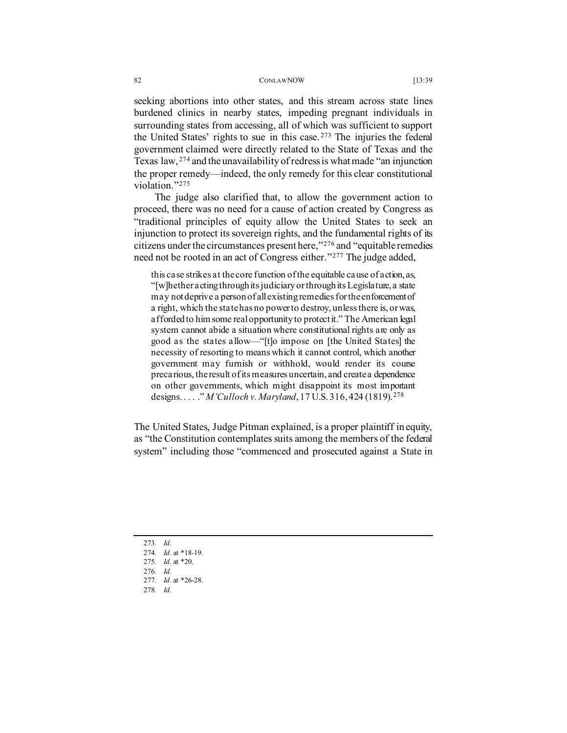seeking abortions into other states, and this stream across state lines burdened clinics in nearby states, impeding pregnant individuals in surrounding states from accessing, all of which was sufficient to support the United States' rights to sue in this case. [273](#page-43-0) The injuries the federal government claimed were directly related to the State of Texas and the Texas law, [274](#page-43-1) and the unavailability of redress is what made "an injunction the proper remedy—indeed, the only remedy for this clear constitutional violation."[275](#page-43-2)

The judge also clarified that, to allow the government action to proceed, there was no need for a cause of action created by Congress as "traditional principles of equity allow the United States to seek an injunction to protect its sovereign rights, and the fundamental rights of its citizens under the circumstances present here,"[276](#page-43-3) and "equitable remedies need not be rooted in an act of Congress either."[277](#page-43-4) The judge added,

this case strikes at the core function of the equitable cause of action, as, "[w]hether acting through its judiciary or through its Legislature, a state may not deprive a person of all existing remedies for the enforcement of a right, which the state has no power to destroy, unless there is, or was, afforded to him some real opportunity to protect it." The American legal system cannot abide a situation where constitutional rights are only as good as the states allow—"[t]o impose on [the United States] the necessity of resorting to means which it cannot control, which another government may furnish or withhold, would render its course precarious, the result of its measures uncertain, and create a dependence on other governments, which might disappoint its most important designs. . . . . "*M'Culloch v. Maryland*, 17 U.S. 316, 424 (1819).<sup>[278](#page-43-5)</sup>

The United States, Judge Pitman explained, is a proper plaintiff in equity, as "the Constitution contemplates suits among the members of the federal system" including those "commenced and prosecuted against a State in

- <span id="page-43-1"></span><span id="page-43-0"></span>273*. Id.* 274*. Id*. at \*18-19.
- <span id="page-43-3"></span><span id="page-43-2"></span>275*. Id*. at \*20.
- <span id="page-43-4"></span>276*. Id.*
- 277*. Id*. at \*26-28.
- <span id="page-43-5"></span>278*. Id.*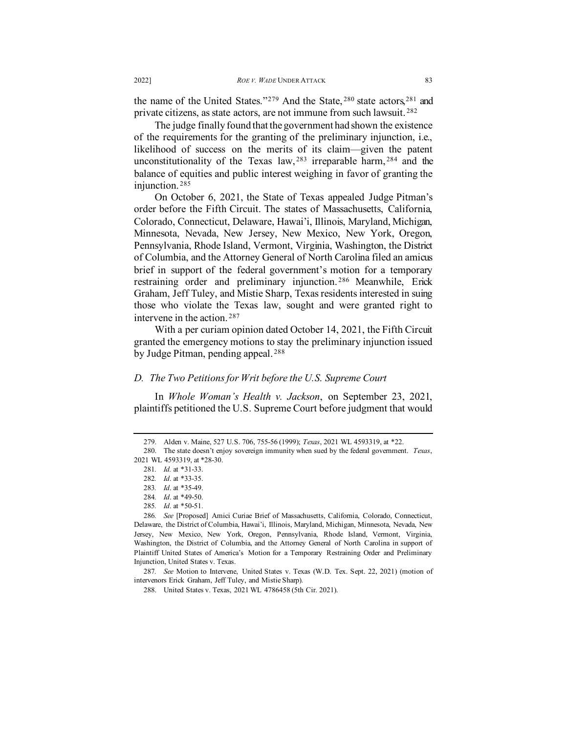the name of the United States."<sup>279</sup> And the State, <sup>[280](#page-44-1)</sup> state actors,<sup>281</sup> and private citizens, as state actors, are not immune from such lawsuit. [282](#page-44-3)

The judge finally found that the government had shown the existence of the requirements for the granting of the preliminary injunction, i.e., likelihood of success on the merits of its claim—given the patent unconstitutionality of the Texas law,  $283$  irreparable harm,  $284$  and the balance of equities and public interest weighing in favor of granting the injunction.<sup>[285](#page-44-6)</sup>

On October 6, 2021, the State of Texas appealed Judge Pitman's order before the Fifth Circuit. The states of Massachusetts, California, Colorado, Connecticut, Delaware, Hawai'i, Illinois, Maryland, Michigan, Minnesota, Nevada, New Jersey, New Mexico, New York, Oregon, Pennsylvania, Rhode Island, Vermont, Virginia, Washington, the District of Columbia, and the Attorney General of North Carolina filed an amicus brief in support of the federal government's motion for a temporary restraining order and preliminary injunction. [286](#page-44-7) Meanwhile, Erick Graham, Jeff Tuley, and Mistie Sharp, Texas residents interested in suing those who violate the Texas law, sought and were granted right to intervene in the action. [287](#page-44-8)

With a per curiam opinion dated October 14, 2021, the Fifth Circuit granted the emergency motions to stay the preliminary injunction issued by Judge Pitman, pending appeal. [288](#page-44-9)

## *D. The Two Petitions for Writ before the U.S. Supreme Court*

In *Whole Woman's Health v. Jackson*, on September 23, 2021, plaintiffs petitioned the U.S. Supreme Court before judgment that would

<span id="page-44-9"></span><span id="page-44-8"></span>287*. See* Motion to Intervene, United States v. Texas (W.D. Tex. Sept. 22, 2021) (motion of intervenors Erick Graham, Jeff Tuley, and Mistie Sharp).

<sup>279.</sup> Alden v. Maine, 527 U.S. 706, 755-56 (1999); *Texas*, 2021 WL 4593319, at \*22.

<span id="page-44-3"></span><span id="page-44-2"></span><span id="page-44-1"></span><span id="page-44-0"></span><sup>280.</sup> The state doesn't enjoy sovereign immunity when sued by the federal government. *Texas*, 2021 WL 4593319, at \*28-30.

<sup>281</sup>*. Id.* at \*31-33.

<sup>282</sup>*. Id*. at \*33-35.

<sup>283</sup>*. Id*. at \*35-49.

<sup>284</sup>*. Id*. at \*49-50.

<sup>285</sup>*. Id*. at \*50-51.

<span id="page-44-7"></span><span id="page-44-6"></span><span id="page-44-5"></span><span id="page-44-4"></span><sup>286</sup>*. See* [Proposed] Amici Curiae Brief of Massachusetts, California, Colorado, Connecticut, Delaware, the District of Columbia, Hawai'i, Illinois, Maryland, Michigan, Minnesota, Nevada, New Jersey, New Mexico, New York, Oregon, Pennsylvania, Rhode Island, Vermont, Virginia, Washington, the District of Columbia, and the Attorney General of North Carolina in support of Plaintiff United States of America's Motion for a Temporary Restraining Order and Preliminary Injunction, United States v. Texas.

<sup>288.</sup> United States v. Texas, 2021 WL 4786458 (5th Cir. 2021).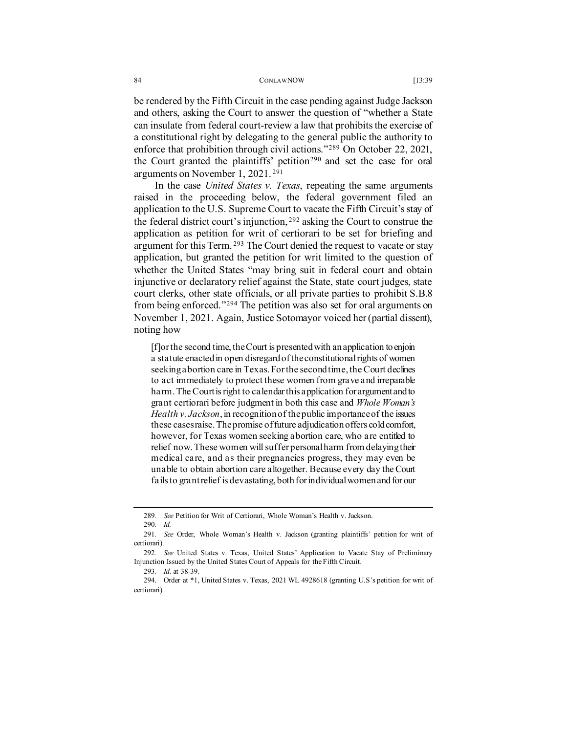be rendered by the Fifth Circuit in the case pending against Judge Jackson and others, asking the Court to answer the question of "whether a State can insulate from federal court-review a law that prohibits the exercise of a constitutional right by delegating to the general public the authority to enforce that prohibition through civil actions."[289](#page-45-0) On October 22, 2021, the Court granted the plaintiffs' petition<sup>[290](#page-45-1)</sup> and set the case for oral arguments on November 1, 2021. [291](#page-45-2)

In the case *United States v. Texas*, repeating the same arguments raised in the proceeding below, the federal government filed an application to the U.S. Supreme Court to vacate the Fifth Circuit's stay of the federal district court's injunction, [292](#page-45-3) asking the Court to construe the application as petition for writ of certiorari to be set for briefing and argument for this Term.<sup>[293](#page-45-4)</sup> The Court denied the request to vacate or stay application, but granted the petition for writ limited to the question of whether the United States "may bring suit in federal court and obtain injunctive or declaratory relief against the State, state court judges, state court clerks, other state officials, or all private parties to prohibit S.B.8 from being enforced."[294](#page-45-5) The petition was also set for oral arguments on November 1, 2021. Again, Justice Sotomayor voiced her (partial dissent), noting how

[f]or the second time, the Court is presented with an application to enjoin a statute enacted in open disregard of the constitutional rights of women seeking abortion care in Texas. For the second time, the Court declines to act immediately to protect these women from grave and irreparable harm. The Court is right to calendar this application for argument and to grant certiorari before judgment in both this case and *Whole Woman's Health v. Jackson*, in recognition of the public importance of the issues these cases raise. The promise of future adjudication offers cold comfort, however, for Texas women seeking abortion care, who are entitled to relief now. These women will suffer personal harm from delaying their medical care, and as their pregnancies progress, they may even be unable to obtain abortion care altogether. Because every day the Court fails to grant relief is devastating, both for individual women and for our

<sup>289</sup>*. See* Petition for Writ of Certiorari, Whole Woman's Health v. Jackson.

<sup>290</sup>*. Id.*

<span id="page-45-2"></span><span id="page-45-1"></span><span id="page-45-0"></span><sup>291</sup>*. See* Order, Whole Woman's Health v. Jackson (granting plaintiffs' petition for writ of certiorari).

<span id="page-45-3"></span><sup>292</sup>*. See* United States v. Texas, United States' Application to Vacate Stay of Preliminary Injunction Issued by the United States Court of Appeals for the Fifth Circuit.

<sup>293</sup>*. Id*. at 38-39.

<span id="page-45-5"></span><span id="page-45-4"></span><sup>294.</sup> Order at \*1, United States v. Texas, 2021 WL 4928618 (granting U.S's petition for writ of certiorari).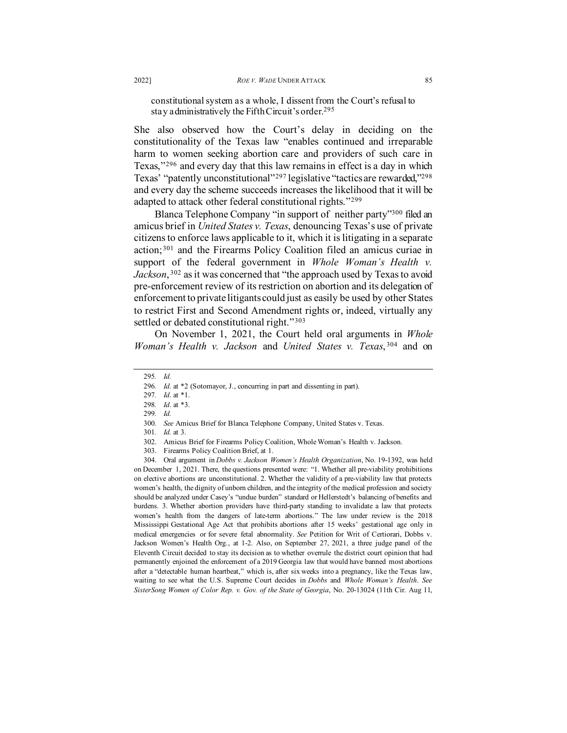constitutional system as a whole, I dissent from the Court's refusal to stay administratively the Fifth Circuit's order.[295](#page-46-0)

She also observed how the Court's delay in deciding on the constitutionality of the Texas law "enables continued and irreparable harm to women seeking abortion care and providers of such care in Texas,"[296](#page-46-1) and every day that this law remains in effect is a day in which Texas' "patently unconstitutional"[297](#page-46-2) legislative "tactics are rewarded,["298](#page-46-3) and every day the scheme succeeds increases the likelihood that it will be adapted to attack other federal constitutional rights."[299](#page-46-4)

Blanca Telephone Company "in support of neither party["300](#page-46-5) filed an amicus brief in *United States v. Texas*, denouncing Texas's use of private citizens to enforce laws applicable to it, which it is litigating in a separate action;[301](#page-46-6) and the Firearms Policy Coalition filed an amicus curiae in support of the federal government in *Whole Woman's Health v. Jackson*, [302](#page-46-7) as it was concerned that "the approach used by Texas to avoid pre-enforcement review of its restriction on abortion and its delegation of enforcement to private litigants could just as easily be used by other States to restrict First and Second Amendment rights or, indeed, virtually any settled or debated constitutional right."<sup>[303](#page-46-8)</sup>

<span id="page-46-0"></span>On November 1, 2021, the Court held oral arguments in *Whole Woman's Health v. Jackson* and *United States v. Texas*, [304](#page-46-9) and on

<span id="page-46-9"></span><span id="page-46-8"></span><span id="page-46-7"></span><span id="page-46-6"></span><span id="page-46-5"></span><span id="page-46-4"></span>304. Oral argument in *Dobbs v. Jackson Women's Health Organization*, No. 19-1392, was held on December 1, 2021. There, the questions presented were: "1. Whether all pre-viability prohibitions on elective abortions are unconstitutional. 2. Whether the validity of a pre-viability law that protects women's health, the dignity of unborn children, and the integrity of the medical profession and society should be analyzed under Casey's "undue burden" standard or Hellerstedt's balancing of benefits and burdens. 3. Whether abortion providers have third-party standing to invalidate a law that protects women's health from the dangers of late-term abortions." The law under review is the 2018 Mississippi Gestational Age Act that prohibits abortions after 15 weeks' gestational age only in medical emergencies or for severe fetal abnormality. *See* Petition for Writ of Certiorari, Dobbs v. Jackson Women's Health Org., at 1-2. Also, on September 27, 2021, a three judge panel of the Eleventh Circuit decided to stay its decision as to whether overrule the district court opinion that had permanently enjoined the enforcement of a 2019 Georgia law that would have banned most abortions after a "detectable human heartbeat," which is, after six weeks into a pregnancy, like the Texas law, waiting to see what the U.S. Supreme Court decides in *Dobbs* and *Whole Woman's Health*. *See SisterSong Women of Color Rep. v. Gov. of the State of Georgia*, No. 20-13024 (11th Cir. Aug 11,

<sup>295</sup>*. Id.*

<span id="page-46-3"></span><span id="page-46-2"></span><span id="page-46-1"></span><sup>296</sup>*. Id*. at \*2 (Sotomayor, J., concurring in part and dissenting in part).

<sup>297</sup>*. Id*. at \*1.

<sup>298</sup>*. Id*. at \*3.

<sup>299</sup>*. Id.*

<sup>300</sup>*. See* Amicus Brief for Blanca Telephone Company, United States v. Texas.

<sup>301</sup>*. Id.* at 3.

<sup>302.</sup> Amicus Brief for Firearms Policy Coalition, Whole Woman's Health v. Jackson.

<sup>303.</sup> Firearms Policy Coalition Brief, at 1.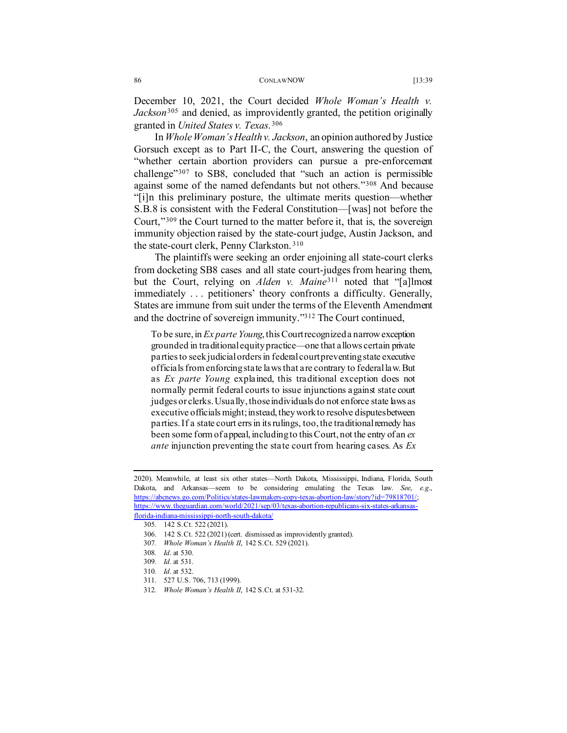December 10, 2021, the Court decided *Whole Woman's Health v.*  Jackson<sup>[305](#page-47-0)</sup> and denied, as improvidently granted, the petition originally granted in *United States v. Texas*. [306](#page-47-1)

In *Whole Woman's Health v. Jackson*, an opinion authored by Justice Gorsuch except as to Part II-C, the Court, answering the question of "whether certain abortion providers can pursue a pre-enforcement challenge"[307](#page-47-2) to SB8, concluded that "such an action is permissible against some of the named defendants but not others."[308](#page-47-3) And because "[i]n this preliminary posture, the ultimate merits question—whether S.B.8 is consistent with the Federal Constitution—[was] not before the Court,"[309](#page-47-4) the Court turned to the matter before it, that is, the sovereign immunity objection raised by the state-court judge, Austin Jackson, and the state-court clerk, Penny Clarkston. [310](#page-47-5)

The plaintiffs were seeking an order enjoining all state-court clerks from docketing SB8 cases and all state court-judges from hearing them, but the Court, relying on *Alden v. Maine*[311](#page-47-6) noted that "[a]lmost immediately . . . petitioners' theory confronts a difficulty. Generally, States are immune from suit under the terms of the Eleventh Amendment and the doctrine of sovereign immunity."[312](#page-47-7) The Court continued,

To be sure, in *Ex parte Young*, this Court recognized a narrow exception grounded in traditional equity practice—one that allows certain private parties to seek judicial orders in federal court preventing state executive officials from enforcing state laws that are contrary to federal law. But as *Ex parte Young* explained, this traditional exception does not normally permit federal courts to issue injunctions against state court judges or clerks. Usually, those individuals do not enforce state laws as executive officials might; instead, they work to resolve disputes between parties. If a state court errs in its rulings, too, the traditional remedy has been some form of appeal, including to this Court, not the entry of an *ex ante* injunction preventing the state court from hearing cases. As *Ex* 

<span id="page-47-0"></span><sup>2020).</sup> Meanwhile, at least six other states—North Dakota, Mississippi, Indiana, Florida, South Dakota, and Arkansas—seem to be considering emulating the Texas law. *See*, *e.g.*, https://abcnews.go.com/Politics/states-lawmakers-copy-texas-abortion-law/story?id=79818701/; https://www.theguardian.com/world/2021/sep/03/texas-abortion-republicans-six-states-arkansas [florida-indiana-mississippi-north-south-dakota/](https://www.theguardian.com/world/2021/sep/03/texas-abortion-republicans-six-states-arkansas-florida-indiana-mississippi-north-south-dakota/)

<span id="page-47-1"></span><sup>305.</sup> 142 S.Ct. 522 (2021).

<sup>306.</sup> 142 S.Ct. 522 (2021) (cert. dismissed as improvidently granted).

<span id="page-47-2"></span><sup>307</sup>*. Whole Woman's Health II*, 142 S.Ct. 529 (2021).

<span id="page-47-4"></span><span id="page-47-3"></span><sup>308</sup>*. Id*. at 530.

<sup>309</sup>*. Id*. at 531.

<sup>310</sup>*. Id*. at 532.

<sup>311.</sup> 527 U.S. 706, 713 (1999).

<span id="page-47-7"></span><span id="page-47-6"></span><span id="page-47-5"></span><sup>312</sup>*. Whole Woman's Health II*, 142 S.Ct. at 531-32.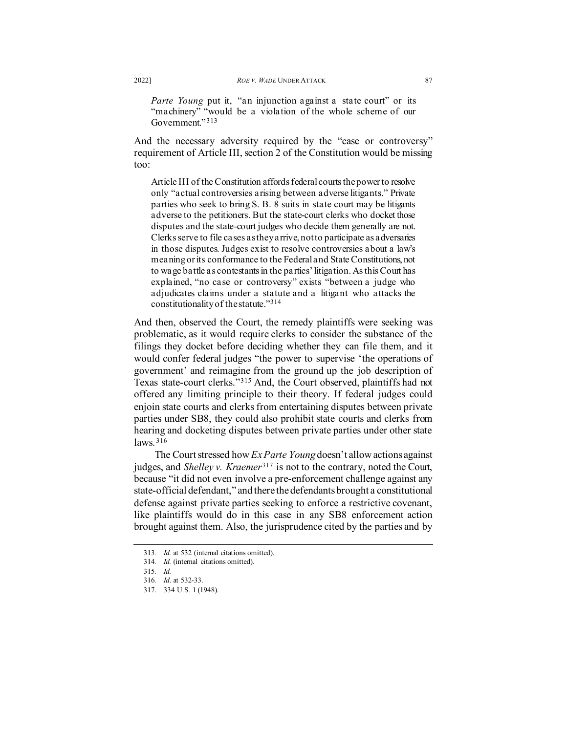*Parte Young put it, "an injunction against a state court" or its* "machinery" "would be a violation of the whole scheme of our Government."<sup>[313](#page-48-0)</sup>

And the necessary adversity required by the "case or controversy" requirement of Article III, section 2 of the Constitution would be missing too:

Article III of the Constitution affords federal courts the power to resolve only "actual controversies arising between adverse litigants." Private parties who seek to bring S. B. 8 suits in state court may be litigants adverse to the petitioners. But the state-court clerks who docket those disputes and the state-court judges who decide them generally are not. Clerks serve to file cases as they arrive, not to participate as adversaries in those disputes. Judges exist to resolve controversies about a law's meaning or its conformance to the Federal and State Constitutions, not to wage battle as contestants in the parties' litigation. As this Court has explained, "no case or controversy" exists "between a judge who adjudicates claims under a statute and a litigant who attacks the constitutionality of the statute."[314](#page-48-1)

And then, observed the Court, the remedy plaintiffs were seeking was problematic, as it would require clerks to consider the substance of the filings they docket before deciding whether they can file them, and it would confer federal judges "the power to supervise 'the operations of government' and reimagine from the ground up the job description of Texas state-court clerks."[315](#page-48-2) And, the Court observed, plaintiffs had not offered any limiting principle to their theory. If federal judges could enjoin state courts and clerks from entertaining disputes between private parties under SB8, they could also prohibit state courts and clerks from hearing and docketing disputes between private parties under other state laws. [316](#page-48-3)

The Court stressed how *Ex Parte Young* doesn't allow actions against judges, and *Shelley v. Kraemer*[317](#page-48-4) is not to the contrary, noted the Court, because "it did not even involve a pre-enforcement challenge against any state-official defendant," and there the defendants brought a constitutional defense against private parties seeking to enforce a restrictive covenant, like plaintiffs would do in this case in any SB8 enforcement action brought against them. Also, the jurisprudence cited by the parties and by

<span id="page-48-0"></span><sup>313</sup>*. Id.* at 532 (internal citations omitted).

<span id="page-48-1"></span><sup>314</sup>*. Id.* (internal citations omitted).

<sup>315</sup>*. Id.*

<span id="page-48-4"></span><span id="page-48-3"></span><span id="page-48-2"></span><sup>316</sup>*. Id*. at 532-33.

<sup>317.</sup> 334 U.S. 1 (1948).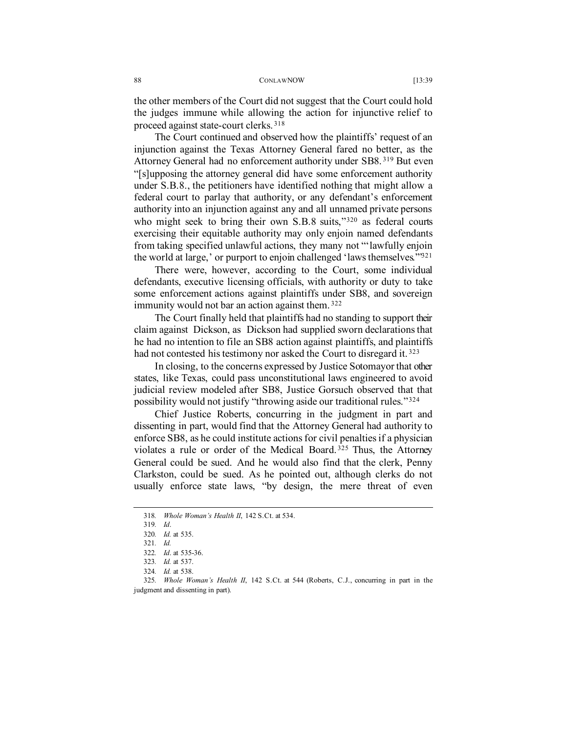The Court continued and observed how the plaintiffs' request of an injunction against the Texas Attorney General fared no better, as the Attorney General had no enforcement authority under SB8. [319](#page-49-1) But even "[s]upposing the attorney general did have some enforcement authority under S.B.8., the petitioners have identified nothing that might allow a federal court to parlay that authority, or any defendant's enforcement authority into an injunction against any and all unnamed private persons who might seek to bring their own S.B.8 suits,"<sup>[320](#page-49-2)</sup> as federal courts exercising their equitable authority may only enjoin named defendants from taking specified unlawful actions, they many not "'lawfully enjoin the world at large,' or purport to enjoin challenged 'laws themselves.'["321](#page-49-3)

There were, however, according to the Court, some individual defendants, executive licensing officials, with authority or duty to take some enforcement actions against plaintiffs under SB8, and sovereign immunity would not bar an action against them.<sup>[322](#page-49-4)</sup>

The Court finally held that plaintiffs had no standing to support their claim against Dickson, as Dickson had supplied sworn declarations that he had no intention to file an SB8 action against plaintiffs, and plaintiffs had not contested his testimony nor asked the Court to disregard it. [323](#page-49-5)

In closing, to the concerns expressed by Justice Sotomayor that other states, like Texas, could pass unconstitutional laws engineered to avoid judicial review modeled after SB8, Justice Gorsuch observed that that possibility would not justify "throwing aside our traditional rules."[324](#page-49-6)

Chief Justice Roberts, concurring in the judgment in part and dissenting in part, would find that the Attorney General had authority to enforce SB8, as he could institute actions for civil penalties if a physician violates a rule or order of the Medical Board. [325](#page-49-7) Thus, the Attorney General could be sued. And he would also find that the clerk, Penny Clarkston, could be sued. As he pointed out, although clerks do not usually enforce state laws, "by design, the mere threat of even

<span id="page-49-7"></span><span id="page-49-6"></span><span id="page-49-5"></span><span id="page-49-4"></span><span id="page-49-3"></span><span id="page-49-2"></span>325*. Whole Woman's Health II*, 142 S.Ct. at 544 (Roberts, C.J., concurring in part in the judgment and dissenting in part).

<sup>318</sup>*. Whole Woman's Health II*, 142 S.Ct. at 534.

<span id="page-49-1"></span><span id="page-49-0"></span><sup>319</sup>*. Id*.

<sup>320</sup>*. Id.* at 535.

<sup>321</sup>*. Id.*

<sup>322</sup>*. Id*. at 535-36.

<sup>323</sup>*. Id.* at 537.

<sup>324</sup>*. Id.* at 538.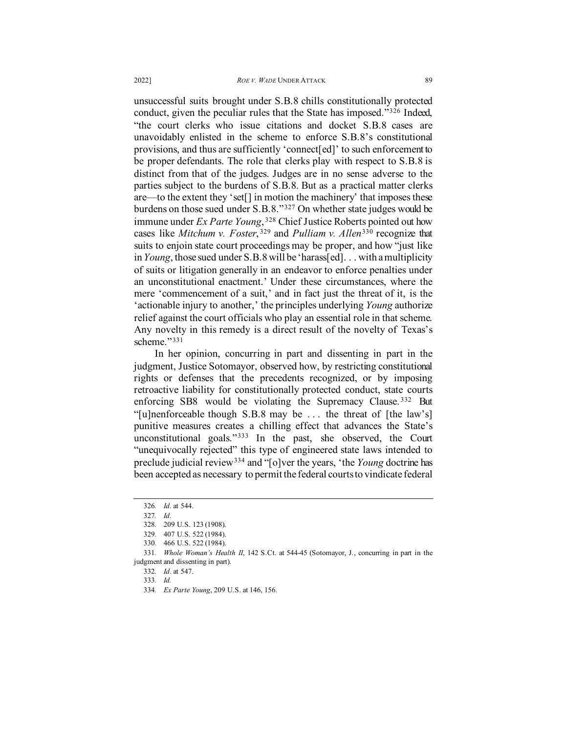unsuccessful suits brought under S.B.8 chills constitutionally protected conduct, given the peculiar rules that the State has imposed."[326](#page-50-0) Indeed, "the court clerks who issue citations and docket S.B.8 cases are unavoidably enlisted in the scheme to enforce S.B.8's constitutional provisions, and thus are sufficiently 'connect[ed]' to such enforcement to be proper defendants. The role that clerks play with respect to S.B.8 is distinct from that of the judges. Judges are in no sense adverse to the parties subject to the burdens of S.B.8. But as a practical matter clerks are—to the extent they 'set[] in motion the machinery' that imposes these burdens on those sued under S.B.8."[327](#page-50-1) On whether state judges would be immune under *Ex Parte Young*, [328](#page-50-2) Chief Justice Roberts pointed out how cases like *Mitchum v. Foster*, [329](#page-50-3) and *Pulliam v. Allen*[330](#page-50-4) recognize that suits to enjoin state court proceedings may be proper, and how "just like in *Young*, those sued under S.B.8 will be 'harass[ed]. . . with a multiplicity of suits or litigation generally in an endeavor to enforce penalties under an unconstitutional enactment.' Under these circumstances, where the mere 'commencement of a suit,' and in fact just the threat of it, is the 'actionable injury to another,' the principles underlying *Young* authorize relief against the court officials who play an essential role in that scheme. Any novelty in this remedy is a direct result of the novelty of Texas's scheme."[331](#page-50-5)

In her opinion, concurring in part and dissenting in part in the judgment, Justice Sotomayor, observed how, by restricting constitutional rights or defenses that the precedents recognized, or by imposing retroactive liability for constitutionally protected conduct, state courts enforcing SB8 would be violating the Supremacy Clause.<sup>[332](#page-50-6)</sup> But "[u]nenforceable though S.B.8 may be . . . the threat of [the law's] punitive measures creates a chilling effect that advances the State's unconstitutional goals."[333](#page-50-7) In the past, she observed, the Court "unequivocally rejected" this type of engineered state laws intended to preclude judicial review[334](#page-50-8) and "[o]ver the years, 'the *Young* doctrine has been accepted as necessary to permit the federal courts to vindicate federal

<sup>326</sup>*. Id*. at 544.

<sup>327</sup>*. Id*.

<sup>328.</sup> 209 U.S. 123 (1908).

<sup>329.</sup> 407 U.S. 522 (1984).

<sup>330.</sup> 466 U.S. 522 (1984).

<span id="page-50-8"></span><span id="page-50-7"></span><span id="page-50-6"></span><span id="page-50-5"></span><span id="page-50-4"></span><span id="page-50-3"></span><span id="page-50-2"></span><span id="page-50-1"></span><span id="page-50-0"></span><sup>331</sup>*. Whole Woman's Health II*, 142 S.Ct. at 544-45 (Sotomayor, J., concurring in part in the judgment and dissenting in part).

<sup>332</sup>*. Id*. at 547.

<sup>333</sup>*. Id.*

<sup>334</sup>*. Ex Parte Young*, 209 U.S. at 146, 156.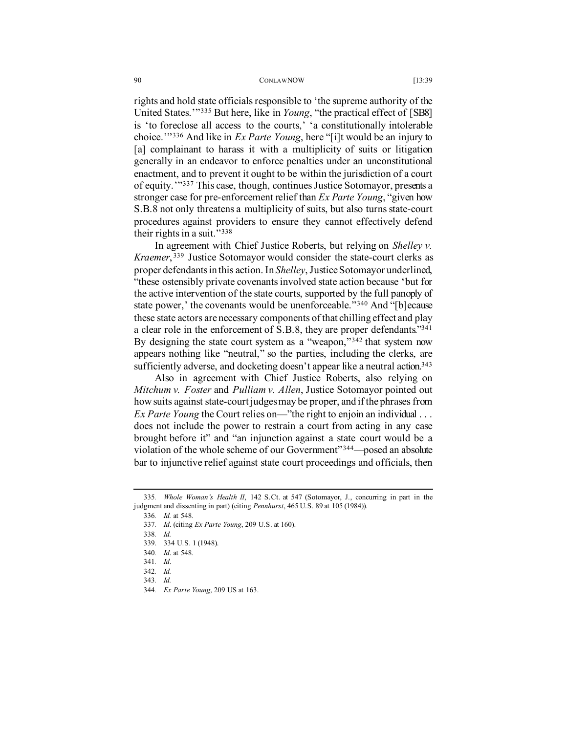rights and hold state officials responsible to 'the supreme authority of the United States.'"[335](#page-51-0) But here, like in *Young*, "the practical effect of [SB8] is 'to foreclose all access to the courts,' 'a constitutionally intolerable choice.'"[336](#page-51-1) And like in *Ex Parte Young*, here "[i]t would be an injury to [a] complainant to harass it with a multiplicity of suits or litigation generally in an endeavor to enforce penalties under an unconstitutional enactment, and to prevent it ought to be within the jurisdiction of a court of equity.'"[337](#page-51-2) This case, though, continues Justice Sotomayor, presents a stronger case for pre-enforcement relief than *Ex Parte Young*, "given how S.B.8 not only threatens a multiplicity of suits, but also turns state-court procedures against providers to ensure they cannot effectively defend their rights in a suit. $\frac{1}{2}$ <sup>[338](#page-51-3)</sup>

In agreement with Chief Justice Roberts, but relying on *Shelley v. Kraemer*, [339](#page-51-4) Justice Sotomayor would consider the state-court clerks as proper defendants in this action. In *Shelley*, Justice Sotomayor underlined, "these ostensibly private covenants involved state action because 'but for the active intervention of the state courts, supported by the full panoply of state power,' the covenants would be unenforceable."<sup>[340](#page-51-5)</sup> And "[b]ecause these state actors are necessary components of that chilling effect and play a clear role in the enforcement of S.B.8, they are proper defendants.["341](#page-51-6) By designing the state court system as a "weapon," $342$  that system now appears nothing like "neutral," so the parties, including the clerks, are sufficiently adverse, and docketing doesn't appear like a neutral action.<sup>343</sup>

Also in agreement with Chief Justice Roberts, also relying on *Mitchum v. Foster* and *Pulliam v. Allen*, Justice Sotomayor pointed out how suits against state-court judges may be proper, and if the phrases from *Ex Parte Young* the Court relies on—"the right to enjoin an individual . . . does not include the power to restrain a court from acting in any case brought before it" and "an injunction against a state court would be a violation of the whole scheme of our Government"[344](#page-51-9)—posed an absolute bar to injunctive relief against state court proceedings and officials, then

<span id="page-51-4"></span><span id="page-51-3"></span><span id="page-51-2"></span><span id="page-51-1"></span><span id="page-51-0"></span><sup>335</sup>*. Whole Woman's Health II*, 142 S.Ct. at 547 (Sotomayor, J., concurring in part in the judgment and dissenting in part) (citing *Pennhurst*, 465 U.S. 89 at 105 (1984)).

<sup>336</sup>*. Id.* at 548.

<sup>337</sup>*. Id*. (citing *Ex Parte Young*, 209 U.S. at 160).

<sup>338</sup>*. Id.*

<sup>339.</sup> 334 U.S. 1 (1948).

<span id="page-51-5"></span><sup>340</sup>*. Id*. at 548.

<sup>341</sup>*. Id*.

<span id="page-51-8"></span><span id="page-51-7"></span><span id="page-51-6"></span><sup>342</sup>*. Id.*

<sup>343</sup>*. Id.*

<span id="page-51-9"></span><sup>344</sup>*. Ex Parte Young*, 209 US at 163.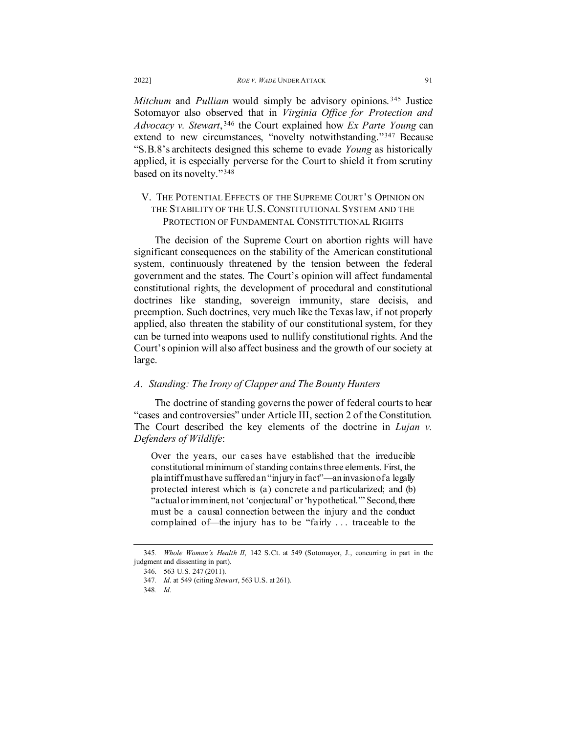*Mitchum* and *Pulliam* would simply be advisory opinions. [345](#page-52-0) Justice Sotomayor also observed that in *Virginia Office for Protection and Advocacy v. Stewart*, [346](#page-52-1) the Court explained how *Ex Parte Young* can extend to new circumstances, "novelty notwithstanding."[347](#page-52-2) Because "S.B.8's architects designed this scheme to evade *Young* as historically applied, it is especially perverse for the Court to shield it from scrutiny based on its novelty."[348](#page-52-3)

## V. THE POTENTIAL EFFECTS OF THE SUPREME COURT'S OPINION ON THE STABILITY OF THE U.S. CONSTITUTIONAL SYSTEM AND THE PROTECTION OF FUNDAMENTAL CONSTITUTIONAL RIGHTS

The decision of the Supreme Court on abortion rights will have significant consequences on the stability of the American constitutional system, continuously threatened by the tension between the federal government and the states. The Court's opinion will affect fundamental constitutional rights, the development of procedural and constitutional doctrines like standing, sovereign immunity, stare decisis, and preemption. Such doctrines, very much like the Texas law, if not properly applied, also threaten the stability of our constitutional system, for they can be turned into weapons used to nullify constitutional rights. And the Court's opinion will also affect business and the growth of our society at large.

## *A. Standing: The Irony of Clapper and The Bounty Hunters*

The doctrine of standing governs the power of federal courts to hear "cases and controversies" under Article III, section 2 of the Constitution. The Court described the key elements of the doctrine in *Lujan v. Defenders of Wildlife*:

Over the years, our cases have established that the irreducible constitutional minimum of standing contains three elements. First, the plaintiff must have suffered an "injury in fact"—an invasion of a legally protected interest which is (a) concrete and particularized; and (b) "actual or imminent, not 'conjectural' or 'hypothetical.'" Second, there must be a causal connection between the injury and the conduct complained of—the injury has to be "fairly . . . traceable to the

<span id="page-52-3"></span><span id="page-52-2"></span><span id="page-52-1"></span><span id="page-52-0"></span><sup>345</sup>*. Whole Woman's Health II*, 142 S.Ct. at 549 (Sotomayor, J., concurring in part in the judgment and dissenting in part).

<sup>346.</sup> 563 U.S. 247 (2011).

<sup>347</sup>*. Id*. at 549 (citing *Stewart*, 563 U.S. at 261).

<sup>348</sup>*. Id*.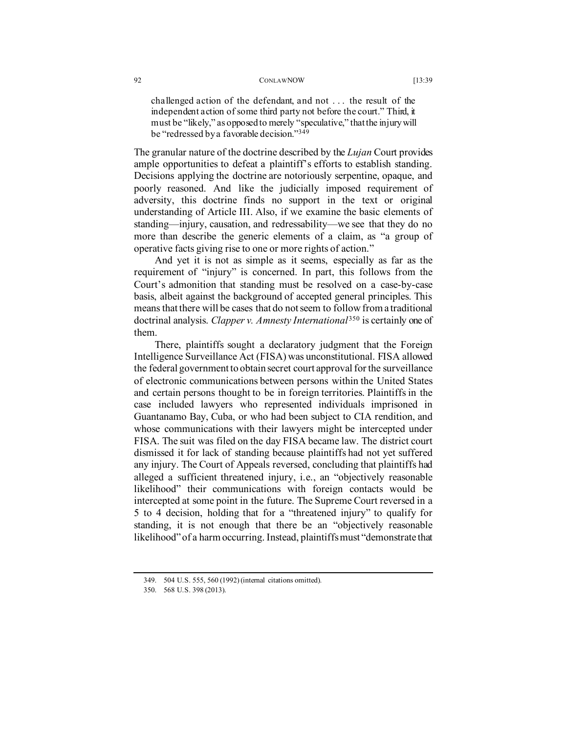challenged action of the defendant, and not . . . the result of the independent action of some third party not before the court." Third, it must be "likely," as opposed to merely "speculative," that the injury will be "redressed by a favorable decision.["349](#page-53-0)

The granular nature of the doctrine described by the *Lujan* Court provides ample opportunities to defeat a plaintiff's efforts to establish standing. Decisions applying the doctrine are notoriously serpentine, opaque, and poorly reasoned. And like the judicially imposed requirement of adversity, this doctrine finds no support in the text or original understanding of Article III. Also, if we examine the basic elements of standing—injury, causation, and redressability—we see that they do no more than describe the generic elements of a claim, as "a group of operative facts giving rise to one or more rights of action."

And yet it is not as simple as it seems, especially as far as the requirement of "injury" is concerned. In part, this follows from the Court's admonition that standing must be resolved on a case-by-case basis, albeit against the background of accepted general principles. This means that there will be cases that do not seem to follow from a traditional doctrinal analysis. *Clapper v. Amnesty International* [350](#page-53-1) is certainly one of them.

There, plaintiffs sought a declaratory judgment that the Foreign Intelligence Surveillance Act (FISA) was unconstitutional. FISA allowed the federal government to obtain secret court approval for the surveillance of electronic communications between persons within the United States and certain persons thought to be in foreign territories. Plaintiffs in the case included lawyers who represented individuals imprisoned in Guantanamo Bay, Cuba, or who had been subject to CIA rendition, and whose communications with their lawyers might be intercepted under FISA. The suit was filed on the day FISA became law. The district court dismissed it for lack of standing because plaintiffs had not yet suffered any injury. The Court of Appeals reversed, concluding that plaintiffs had alleged a sufficient threatened injury, i.e., an "objectively reasonable likelihood" their communications with foreign contacts would be intercepted at some point in the future. The Supreme Court reversed in a 5 to 4 decision, holding that for a "threatened injury" to qualify for standing, it is not enough that there be an "objectively reasonable likelihood" of a harm occurring. Instead, plaintiffs must "demonstrate that

<span id="page-53-0"></span><sup>349.</sup> 504 U.S. 555, 560 (1992) (internal citations omitted).

<span id="page-53-1"></span><sup>350.</sup> 568 U.S. 398 (2013).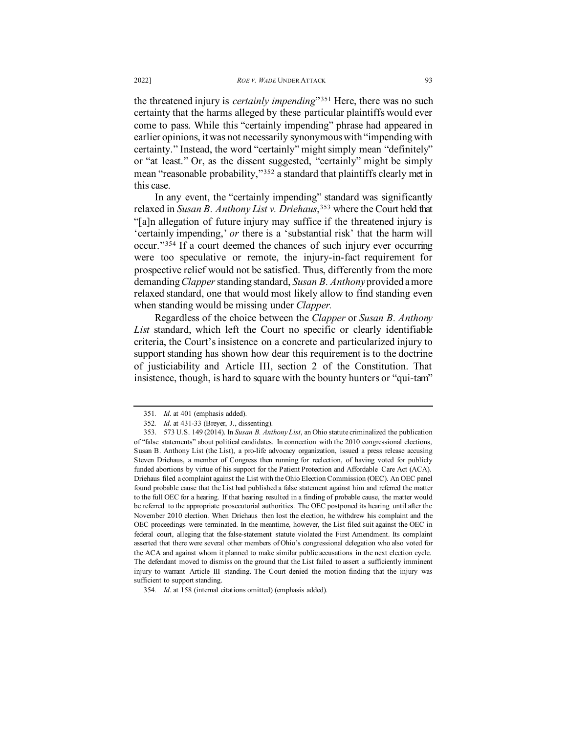the threatened injury is *certainly impending*"[351](#page-54-0) Here, there was no such certainty that the harms alleged by these particular plaintiffs would ever come to pass. While this "certainly impending" phrase had appeared in earlier opinions, it was not necessarily synonymous with "impending with certainty." Instead, the word "certainly" might simply mean "definitely" or "at least." Or, as the dissent suggested, "certainly" might be simply mean "reasonable probability,"[352](#page-54-1) a standard that plaintiffs clearly met in this case.

In any event, the "certainly impending" standard was significantly relaxed in *Susan B. Anthony List v. Driehaus*,[353](#page-54-2) where the Court held that "[a]n allegation of future injury may suffice if the threatened injury is 'certainly impending,' *or* there is a 'substantial risk' that the harm will occur."[354](#page-54-3) If a court deemed the chances of such injury ever occurring were too speculative or remote, the injury-in-fact requirement for prospective relief would not be satisfied. Thus, differently from the more demanding *Clapper*standing standard, *Susan B. Anthony* provided a more relaxed standard, one that would most likely allow to find standing even when standing would be missing under *Clapper.* 

Regardless of the choice between the *Clapper* or *Susan B. Anthony List* standard, which left the Court no specific or clearly identifiable criteria, the Court's insistence on a concrete and particularized injury to support standing has shown how dear this requirement is to the doctrine of justiciability and Article III, section 2 of the Constitution. That insistence, though, is hard to square with the bounty hunters or "qui-tam"

<sup>351</sup>*. Id*. at 401 (emphasis added).

<sup>352</sup>*. Id*. at 431-33 (Breyer, J., dissenting).

<span id="page-54-2"></span><span id="page-54-1"></span><span id="page-54-0"></span><sup>353.</sup> 573 U.S. 149 (2014). In *Susan B. Anthony List*, an Ohio statute criminalized the publication of "false statements" about political candidates. In connection with the 2010 congressional elections, Susan B. Anthony List (the List), a pro-life advocacy organization, issued a press release accusing Steven Driehaus, a member of Congress then running for reelection, of having voted for publicly funded abortions by virtue of his support for the Patient Protection and Affordable Care Act (ACA). Driehaus filed a complaint against the List with the Ohio Election Commission (OEC). An OEC panel found probable cause that the List had published a false statement against him and referred the matter to the full OEC for a hearing. If that hearing resulted in a finding of probable cause, the matter would be referred to the appropriate prosecutorial authorities. The OEC postponed its hearing until after the November 2010 election. When Driehaus then lost the election, he withdrew his complaint and the OEC proceedings were terminated. In the meantime, however, the List filed suit against the OEC in federal court, alleging that the false-statement statute violated the First Amendment. Its complaint asserted that there were several other members of Ohio's congressional delegation who also voted for the ACA and against whom it planned to make similar public accusations in the next election cycle. The defendant moved to dismiss on the ground that the List failed to assert a sufficiently imminent injury to warrant Article III standing. The Court denied the motion finding that the injury was sufficient to support standing.

<span id="page-54-3"></span><sup>354</sup>*. Id*. at 158 (internal citations omitted) (emphasis added).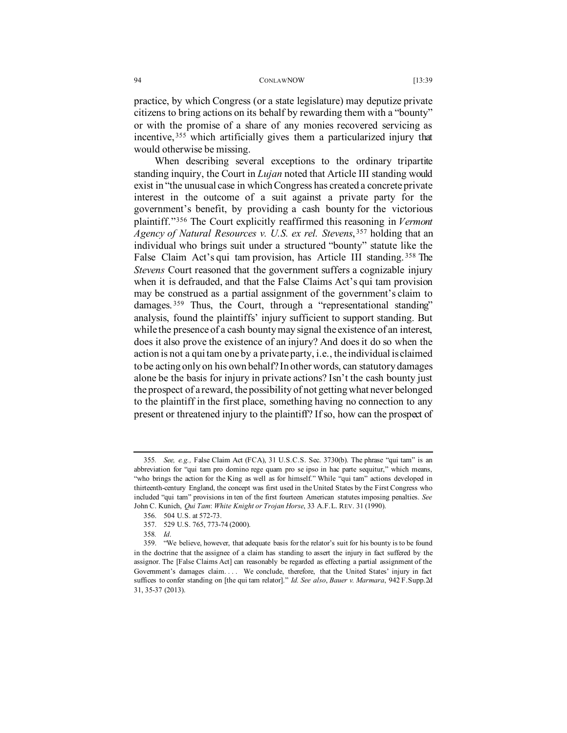practice, by which Congress (or a state legislature) may deputize private citizens to bring actions on its behalf by rewarding them with a "bounty" or with the promise of a share of any monies recovered servicing as incentive, [355](#page-55-0) which artificially gives them a particularized injury that would otherwise be missing.

When describing several exceptions to the ordinary tripartite standing inquiry, the Court in *Lujan* noted that Article III standing would exist in "the unusual case in which Congress has created a concrete private interest in the outcome of a suit against a private party for the government's benefit, by providing a cash bounty for the victorious plaintiff."[356](#page-55-1) The Court explicitly reaffirmed this reasoning in *Vermont Agency of Natural Resources v. U.S. ex rel. Stevens*, [357](#page-55-2) holding that an individual who brings suit under a structured "bounty" statute like the False Claim Act's qui tam provision, has Article III standing. [358](#page-55-3) The *Stevens* Court reasoned that the government suffers a cognizable injury when it is defrauded, and that the False Claims Act's qui tam provision may be construed as a partial assignment of the government's claim to damages.<sup>[359](#page-55-4)</sup> Thus, the Court, through a "representational standing" analysis, found the plaintiffs' injury sufficient to support standing. But while the presence of a cash bounty may signal the existence of an interest, does it also prove the existence of an injury? And does it do so when the action is not a qui tam one by a private party, i.e., the individual is claimed to be acting only on his own behalf? In other words, can statutory damages alone be the basis for injury in private actions? Isn't the cash bounty just the prospect of a reward, the possibility of not getting what never belonged to the plaintiff in the first place, something having no connection to any present or threatened injury to the plaintiff? If so, how can the prospect of

<span id="page-55-0"></span><sup>355</sup>*. See, e.g.,* False Claim Act (FCA), 31 U.S.C.S. Sec. 3730(b). The phrase "qui tam" is an abbreviation for "qui tam pro domino rege quam pro se ipso in hac parte sequitur," which means, "who brings the action for the King as well as for himself." While "qui tam" actions developed in thirteenth-century England, the concept was first used in the United States by the First Congress who included "qui tam" provisions in ten of the first fourteen American statutes imposing penalties. *See* John C. Kunich, *Qui Tam*: *White Knight or Trojan Horse*, 33 A.F.L. REV. 31 (1990).

<sup>356.</sup> 504 U.S. at 572-73.

<sup>357.</sup> 529 U.S. 765, 773-74 (2000).

<sup>358</sup>*. Id*.

<span id="page-55-4"></span><span id="page-55-3"></span><span id="page-55-2"></span><span id="page-55-1"></span><sup>359. &</sup>quot;We believe, however, that adequate basis for the relator's suit for his bounty is to be found in the doctrine that the assignee of a claim has standing to assert the injury in fact suffered by the assignor. The [False Claims Act] can reasonably be regarded as effecting a partial assignment of the Government's damages claim.... We conclude, therefore, that the United States' injury in fact suffices to confer standing on [the qui tam relator]." *Id. See also*, *Bauer v. Marmara*, 942 F.Supp.2d 31, 35-37 (2013).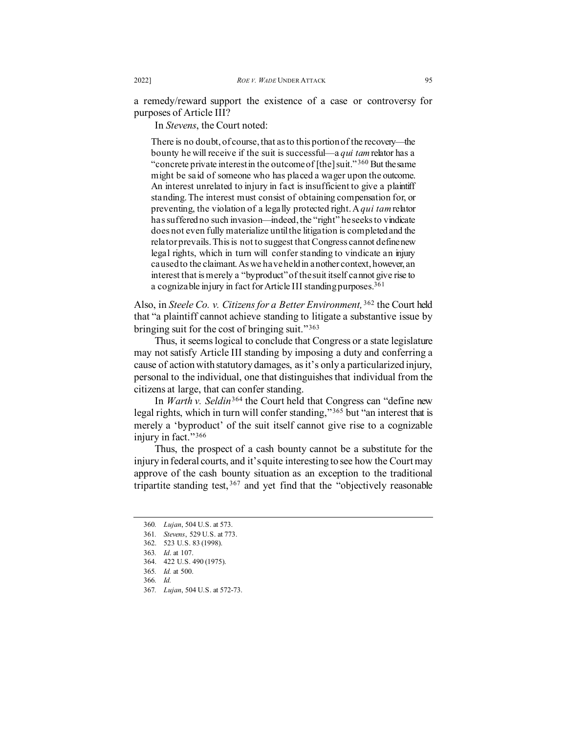a remedy/reward support the existence of a case or controversy for purposes of Article III?

In *Stevens*, the Court noted:

There is no doubt, of course, that as to this portion of the recovery—the bounty he will receive if the suit is successful—a *qui tam*relator has a "concrete private interest in the outcome of [the] suit." [360](#page-56-0) But the same might be said of someone who has placed a wager upon the outcome. An interest unrelated to injury in fact is insufficient to give a plaintiff standing.The interest must consist of obtaining compensation for, or preventing, the violation of a legally protected right. A *qui tam*relator has suffered no such invasion—indeed, the "right" he seeks to vindicate does not even fully materialize until the litigation is completed and the relator prevails. This is not to suggest that Congress cannot define new legal rights, which in turn will confer standing to vindicate an injury caused to the claimant. As we have held in another context, however, an interest that is merely a "byproduct" of the suit itself cannot give rise to a cognizable injury in fact for Article III standing purposes[.361](#page-56-1)

Also, in *Steele Co. v. Citizens for a Better Environment,* [362](#page-56-2) the Court held that "a plaintiff cannot achieve standing to litigate a substantive issue by bringing suit for the cost of bringing suit."[363](#page-56-3)

Thus, it seems logical to conclude that Congress or a state legislature may not satisfy Article III standing by imposing a duty and conferring a cause of action with statutory damages, as it's only a particularized injury, personal to the individual, one that distinguishes that individual from the citizens at large, that can confer standing.

In *Warth v. Seldin*[364](#page-56-4) the Court held that Congress can "define new legal rights, which in turn will confer standing,"[365](#page-56-5) but "an interest that is merely a 'byproduct' of the suit itself cannot give rise to a cognizable injury in fact."[366](#page-56-6)

Thus, the prospect of a cash bounty cannot be a substitute for the injury in federal courts, and it's quite interesting to see how the Court may approve of the cash bounty situation as an exception to the traditional tripartite standing test,  $367$  and yet find that the "objectively reasonable

367*. Lujan*, 504 U.S. at 572-73.

<sup>360</sup>*. Lujan*, 504 U.S. at 573.

<span id="page-56-2"></span><span id="page-56-1"></span><span id="page-56-0"></span><sup>361</sup>*. Stevens*, 529 U.S. at 773.

<sup>362.</sup> 523 U.S. 83 (1998).

<span id="page-56-3"></span><sup>363</sup>*. Id*. at 107.

<sup>364.</sup> 422 U.S. 490 (1975).

<span id="page-56-7"></span><span id="page-56-6"></span><span id="page-56-5"></span><span id="page-56-4"></span><sup>365</sup>*. Id.* at 500.

<sup>366</sup>*. Id.*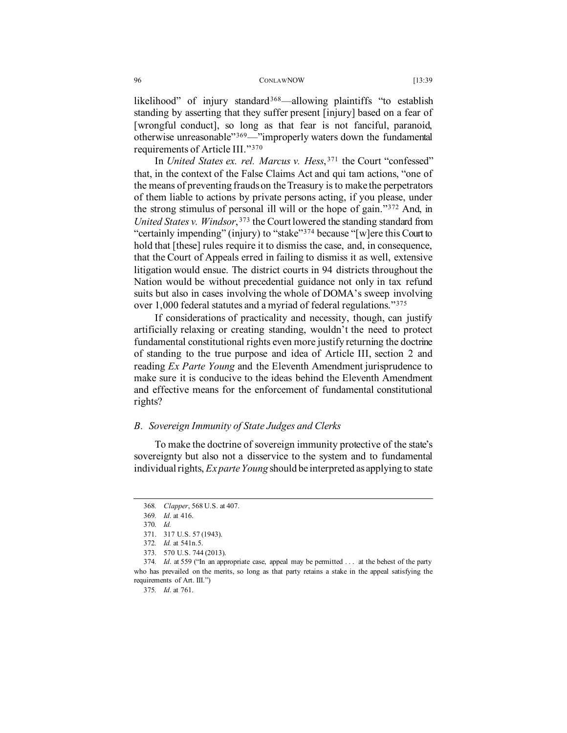likelihood" of injury standard<sup>[368](#page-57-0)</sup>—allowing plaintiffs "to establish standing by asserting that they suffer present [injury] based on a fear of [wrongful conduct], so long as that fear is not fanciful, paranoid, otherwise unreasonable"[369](#page-57-1)—"improperly waters down the fundamental requirements of Article III."[370](#page-57-2)

In *United States ex. rel. Marcus v. Hess*, [371](#page-57-3) the Court "confessed" that, in the context of the False Claims Act and qui tam actions, "one of the means of preventing frauds on the Treasury is to make the perpetrators of them liable to actions by private persons acting, if you please, under the strong stimulus of personal ill will or the hope of gain."[372](#page-57-4) And, in *United States v. Windsor*, <sup>[373](#page-57-5)</sup> the Court lowered the standing standard from "certainly impending" (injury) to "stake"[374](#page-57-6) because "[w]ere this Court to hold that [these] rules require it to dismiss the case, and, in consequence, that the Court of Appeals erred in failing to dismiss it as well, extensive litigation would ensue. The district courts in 94 districts throughout the Nation would be without precedential guidance not only in tax refund suits but also in cases involving the whole of DOMA's sweep involving over 1,000 federal statutes and a myriad of federal regulations."<sup>[375](#page-57-7)</sup>

If considerations of practicality and necessity, though, can justify artificially relaxing or creating standing, wouldn't the need to protect fundamental constitutional rights even more justify returning the doctrine of standing to the true purpose and idea of Article III, section 2 and reading *Ex Parte Young* and the Eleventh Amendment jurisprudence to make sure it is conducive to the ideas behind the Eleventh Amendment and effective means for the enforcement of fundamental constitutional rights?

## *B. Sovereign Immunity of State Judges and Clerks*

To make the doctrine of sovereign immunity protective of the state's sovereignty but also not a disservice to the system and to fundamental individual rights, *Ex parte Young* should be interpreted as applying to state

<span id="page-57-0"></span><sup>368</sup>*. Clapper*, 568 U.S. at 407.

<sup>369</sup>*. Id*. at 416.

<sup>370</sup>*. Id.*

<sup>371.</sup> 317 U.S. 57 (1943).

<sup>372</sup>*. Id.* at 541n.5.

<sup>373.</sup> 570 U.S. 744 (2013).

<span id="page-57-7"></span><span id="page-57-6"></span><span id="page-57-5"></span><span id="page-57-4"></span><span id="page-57-3"></span><span id="page-57-2"></span><span id="page-57-1"></span><sup>374</sup>*. Id*. at 559 ("In an appropriate case, appeal may be permitted . . . at the behest of the party who has prevailed on the merits, so long as that party retains a stake in the appeal satisfying the requirements of Art. III.")

<sup>375</sup>*. Id*. at 761.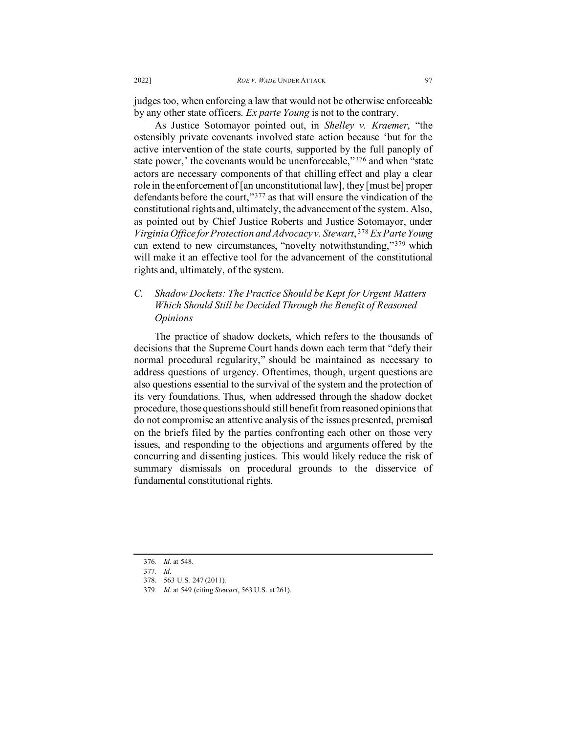judges too, when enforcing a law that would not be otherwise enforceable by any other state officers. *Ex parte Young* is not to the contrary.

As Justice Sotomayor pointed out, in *Shelley v. Kraemer*, "the ostensibly private covenants involved state action because 'but for the active intervention of the state courts, supported by the full panoply of state power,' the covenants would be unenforceable,"[376](#page-58-0) and when "state actors are necessary components of that chilling effect and play a clear role in the enforcement of [an unconstitutional law], they [must be] proper defendants before the court,"[377](#page-58-1) as that will ensure the vindication of the constitutional rights and, ultimately, the advancement of the system. Also, as pointed out by Chief Justice Roberts and Justice Sotomayor, under *Virginia Office for Protection and Advocacy v. Stewart*, [378](#page-58-2) *Ex Parte Young* can extend to new circumstances, "novelty notwithstanding,"[379](#page-58-3) which will make it an effective tool for the advancement of the constitutional rights and, ultimately, of the system.

## *C. Shadow Dockets: The Practice Should be Kept for Urgent Matters Which Should Still be Decided Through the Benefit of Reasoned Opinions*

The practice of shadow dockets, which refers to the thousands of decisions that the Supreme Court hands down each term that "defy their normal procedural regularity," should be maintained as necessary to address questions of urgency. Oftentimes, though, urgent questions are also questions essential to the survival of the system and the protection of its very foundations. Thus, when addressed through the shadow docket procedure, those questions should still benefit from reasoned opinions that do not compromise an attentive analysis of the issues presented, premised on the briefs filed by the parties confronting each other on those very issues, and responding to the objections and arguments offered by the concurring and dissenting justices. This would likely reduce the risk of summary dismissals on procedural grounds to the disservice of fundamental constitutional rights.

<span id="page-58-1"></span><span id="page-58-0"></span><sup>376</sup>*. Id*. at 548.

<sup>377</sup>*. Id*.

<sup>378.</sup> 563 U.S. 247 (2011).

<span id="page-58-3"></span><span id="page-58-2"></span><sup>379</sup>*. Id*. at 549 (citing *Stewart*, 563 U.S. at 261).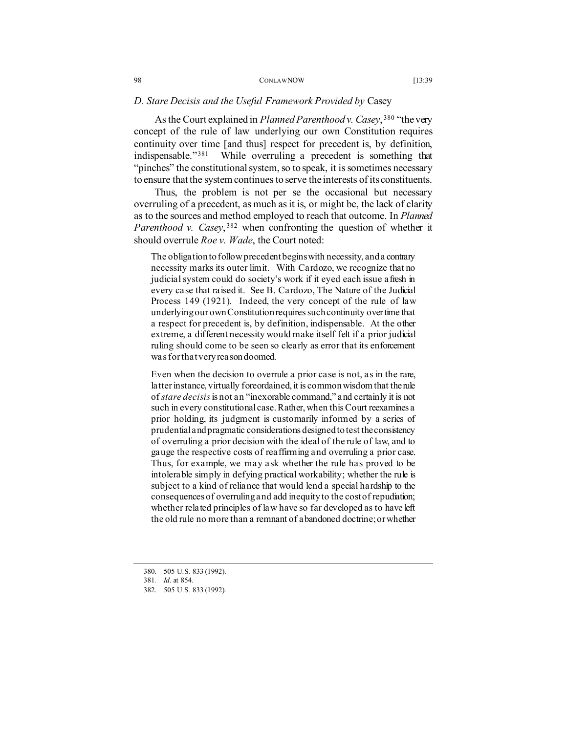As the Court explained in *Planned Parenthood v. Casey*, [380](#page-59-0) "the very concept of the rule of law underlying our own Constitution requires continuity over time [and thus] respect for precedent is, by definition, indispensable."[381](#page-59-1) While overruling a precedent is something that "pinches" the constitutional system, so to speak, it is sometimes necessary to ensure that the system continues to serve the interests of its constituents.

Thus, the problem is not per se the occasional but necessary overruling of a precedent, as much as it is, or might be, the lack of clarity as to the sources and method employed to reach that outcome. In *Planned Parenthood v. Casey*, <sup>[382](#page-59-2)</sup> when confronting the question of whether it should overrule *Roe v. Wade*, the Court noted:

The obligation to follow precedent begins with necessity, and a contrary necessity marks its outer limit. With Cardozo, we recognize that no judicial system could do society's work if it eyed each issue afresh in every case that raised it. See B. Cardozo, The Nature of the Judicial Process 149 (1921). Indeed, the very concept of the rule of law underlying our own Constitution requires such continuity over time that a respect for precedent is, by definition, indispensable. At the other extreme, a different necessity would make itself felt if a prior judicial ruling should come to be seen so clearly as error that its enforcement was for that very reason doomed.

Even when the decision to overrule a prior case is not, as in the rare, latter instance, virtually foreordained, it is common wisdom that the rule of *stare decisis*is not an "inexorable command," and certainly it is not such in every constitutional case. Rather, when this Court reexamines a prior holding, its judgment is customarily informed by a series of prudential and pragmatic considerations designed to test the consistency of overruling a prior decision with the ideal of the rule of law, and to gauge the respective costs of reaffirming and overruling a prior case. Thus, for example, we may ask whether the rule has proved to be intolerable simply in defying practical workability; whether the rule is subject to a kind of reliance that would lend a special hardship to the consequences of overruling and add inequity to the cost of repudiation; whether related principles of law have so far developed as to have left the old rule no more than a remnant of abandoned doctrine; or whether

- 380. 505 U.S. 833 (1992).
- <span id="page-59-1"></span><span id="page-59-0"></span>381*. Id*. at 854.
- <span id="page-59-2"></span>382. 505 U.S. 833 (1992).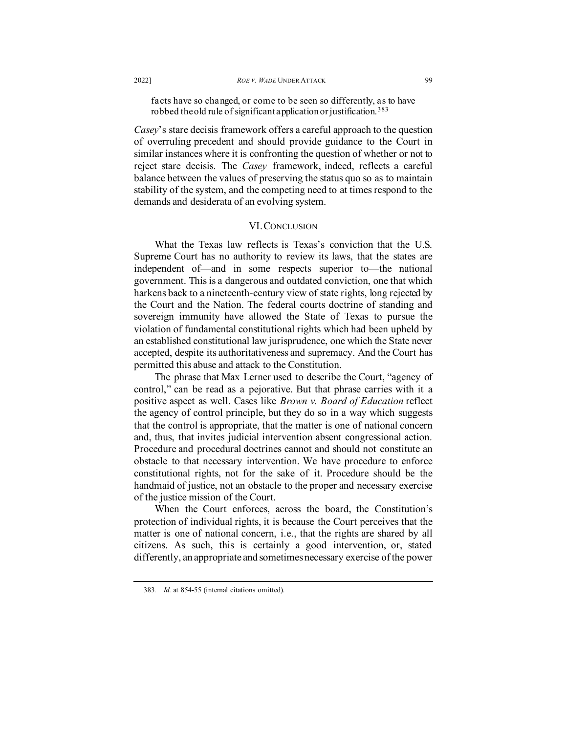#### 2022] *ROE V. WADE* UNDER ATTACK 99

facts have so changed, or come to be seen so differently, as to have robbed the old rule of significant application or justification.<sup>[383](#page-60-0)</sup>

*Casey*'s stare decisis framework offers a careful approach to the question of overruling precedent and should provide guidance to the Court in similar instances where it is confronting the question of whether or not to reject stare decisis. The *Casey* framework, indeed, reflects a careful balance between the values of preserving the status quo so as to maintain stability of the system, and the competing need to at times respond to the demands and desiderata of an evolving system.

## VI. CONCLUSION

What the Texas law reflects is Texas's conviction that the U.S. Supreme Court has no authority to review its laws, that the states are independent of—and in some respects superior to—the national government. This is a dangerous and outdated conviction, one that which harkens back to a nineteenth-century view of state rights, long rejected by the Court and the Nation. The federal courts doctrine of standing and sovereign immunity have allowed the State of Texas to pursue the violation of fundamental constitutional rights which had been upheld by an established constitutional law jurisprudence, one which the State never accepted, despite its authoritativeness and supremacy. And the Court has permitted this abuse and attack to the Constitution.

The phrase that Max Lerner used to describe the Court, "agency of control," can be read as a pejorative. But that phrase carries with it a positive aspect as well. Cases like *Brown v. Board of Education* reflect the agency of control principle, but they do so in a way which suggests that the control is appropriate, that the matter is one of national concern and, thus, that invites judicial intervention absent congressional action. Procedure and procedural doctrines cannot and should not constitute an obstacle to that necessary intervention. We have procedure to enforce constitutional rights, not for the sake of it. Procedure should be the handmaid of justice, not an obstacle to the proper and necessary exercise of the justice mission of the Court.

When the Court enforces, across the board, the Constitution's protection of individual rights, it is because the Court perceives that the matter is one of national concern, i.e., that the rights are shared by all citizens. As such, this is certainly a good intervention, or, stated differently, an appropriate and sometimes necessary exercise of the power

<span id="page-60-0"></span><sup>383</sup>*. Id.* at 854-55 (internal citations omitted).